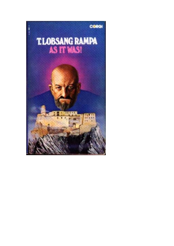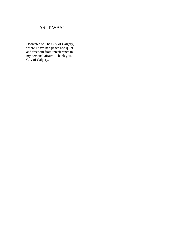### AS IT WAS!

Dedicated to The City of Calgary, where I have had peace and quiet and freedom from interference in my personal affairs. Thank you, City of Calgary.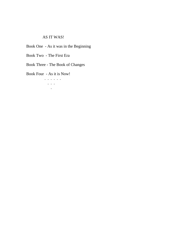### AS IT WAS!

Book One - As it was in the Beginning

Book Two - The First Era

Book Three - The Book of Changes

Book Four - As it is Now!

 . . . . . . . . . .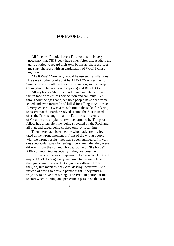#### FOREWORD . . .

 All "the best" books have a Foreword, so it is very necessary that THIS book have one. After all., Authors are quite entitled to regard their own books as The Best. Let me start The Best with an explanation of WHY I chose my title.

"As It Was!" Now why would he use such a silly title? He says in other books that he ALWAYS writes the truth Sure, sure, you shall have your explanation, so just Keep Calm (should be in six-inch capitals) and READ ON.

 All my books ARE true, and I have maintained that fact in face of relentless persecution and calumny. But throughout the ages sane, sensible people have been perse cuted and even tortured and killed for telling it As It was! A Very Wise Man was almost burnt at the stake for daring to assert that the Earth revolved around the Sun instead of-as the Priests taught-that the Earth was the centre of Creation and all planets revolved around it. The poor fellow had a terrible time, being stretched on the Rack and all that, and saved being cooked only by recanting.

 Then there have been people who inadvertently levitated at the wrong moment in front of the wrong people with the wrong results; they have been bumped off in various spectacular ways for letting it be known that they were different from the common horde. Some of "the horde" ARE common, too, especially if they are pressmen!

 Humans of the worst type—you know who THEY are! —just LOVE to drag everyone down to the same level; they just cannot bear to that anyone is different from they, so, like maniacs, they cry "destroy! destroy!" And instead of trying to prove a person right—they must always try to prove him wrong. The Press in particular like to start witch-hunting and persecute a person so that sen-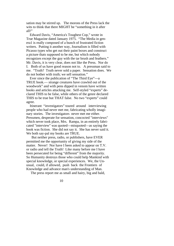sation may be stirred up. The morons of the Press lack the wits to think that there MIGHT be "something in it after all!"

 Edward Davis, "America's Toughest Cop," wrote in True Magazine dated January 1975. "The Media in genera1 is really composed of a bunch of frustrated fiction writers. Putting it another way, Journalism is filled with Picasso types who get out their paint boxes and construct a picture thats supposed to be me, but which nobody recognizes except the guy with the tar brush and feathers." Mr. Davis, it is very clear, does not like the Press. Nor do I. Both of us have good reason not to. A pressman said to me. "Truth? Truth never sold a paper. Sensation does. We do not bother with truth; we sell sensation."

 Ever since the publication of "The Third Eye"—a TRUE book.— strange creatures have crawled out of the woodwork" and with pens dipped in venom have written books and articles attacking me. Self-styled "experts" declared THIS to be false, while others of the genre declared THIS to be true but THAT false. No two "experts" could agree.

 Itinerant "investigators" toured around interviewing people who had never met me, fabricating wholly imaginary stories. The investigators never met me either. Pressmen, desperate for sensation, concocted "interviews" which never took place, Mrs. Rampa, in an entirely fabricated "interview" was quoted—misquoted—as saying the book was fiction. She did not say it. She has never said it. We both say-pal my books are TRUE.

 But neither press, radio, or publishers, have EVER permitted me the opportunity of giving my side of the matter. Never! Nor have I been asked to appear on T.V. or radio and tell the Truth! Like many before me I have been persecuted for being "different" from the majority. So Humanity destroys those who could help Mankind with special knowledge, or special experiences. We, the Unusual, could, if allowed, push back the Frontiers of Knowledge and advance man's understanding of Man.

The press report me as small and hairy, big and bald,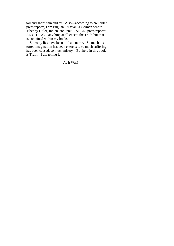tall and short, thin and fat. Also—according to "reliable" press reports, I am English, Russian, a German sent to Tibet by Hitler, Indian, etc. "RELIABLE" press reports! ANYTHING—anything at all except the Truth-but that is contained within my books.

 So many lies have been told about me. So much distorted imagination has been exercised, so much suffering has been caused, so much misery—But here in this book is Truth. I am telling it

As It Was!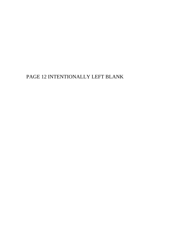# PAGE 12 INTENTIONALLY LEFT BLANK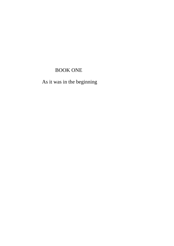## BOOK ONE

As it was in the beginning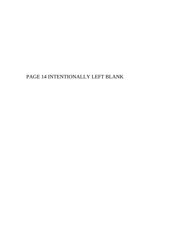# PAGE 14 INTENTIONALLY LEFT BLANK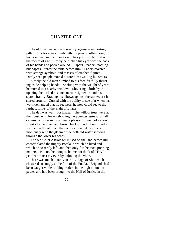#### CHAPTER ONE

 The old man leaned back wearily against a supporting pillar. His back was numb with the pain of sitting long hours in one cramped position. His eyes were blurred with the rheum of age. Slowly he rubbed his eyes with the back of his hands and peered around. Papers—papers, nothing but papers littered the table before him. Papers covered with strange symbols and masses of crabbed figures. Dimly seen people moved before him awaiting his orders.

 Slowly the old man climbed to his feet, fretfully thrusting aside helping hands. Shaking with the weight of years he moved to a nearby window. Shivering a little by the opening, he tucked his ancient robe tighter around his sparse frame. Bracing his elbows against the stonework he stared around. Cursed with the ability to see afar when his work demanded that he see near, he now could see to the farthest limits of the Plain of Lhasa.

 The day was warm for Lhasa. The willow trees were at their best, with leaves showing the youngest green. Small catkins, or pussy-willow, lent a pleasant myriad of yellow streaks to the green and brown background. Four hundred feet below the old man the colours blended most harmoniously with the gleam of the pellucid water showing through the lower branches.

 The old Chief Astrologer mused on the land before him, contemplated the mighty Potala in which he lived and which he so rarely left, and then only for the most pressing matters. No, no, he thought, let me not think of THAT yet; let me rest my eyes by enjoying the view.

 There was much activity in the Village of Sho which clustered so snugly at the foot of the Potala. Brigands had been caught while robbing traders in the high mountain passes and had been brought to the Hall of Justice in the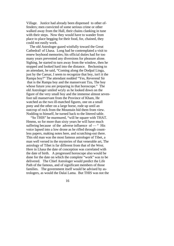Village. Justice had already been dispensed to other offenders; men convicted of some serious crime or other walked away from the Hall, their chains clanking in tune with their steps. Now they would have to wander from place to place begging for their food, for, chained, they could not easily work.

 The old Astrologer gazed wistfully toward the Great Cathedral! of Lhasa. Long had he contemplated a visit to renew boyhood memories; his official duties had for too many years prevented any diversions for pleasure alone. Sighing, he started to turn away from the window, then he stopped and looked hard into the distance. Beckoning to an attendant, he said, "Coming along the Dodpal Linga, just by the Caesar, I seem to recognize that boy, isn't it the Rampa boy?" The attendant nodded "Yes, Reverend Sir that is the Rampa boy and the manservant Tzu, The boy whose future you are preparing in that horoscope." The old Astrologer smiled wryly as he looked down on the figure of the very small boy and the immense almost sevenfoot tall manservant from the Province of Kham, He watched as the two ill-matched figures, one on a small pony and the other on a large horse, rode up until an outcrop of rock from the Mountain hid them from view. Nodding to himself, he turned back to the littered table.

 "So THIS" he murmured, "will be square with THAT. Hmmn, so for more than sixty years he will have much suffering because of the adverse influence of  $-$  " His voice lapsed into a low drone as he rifled through countless papers, making notes here, and scratching-out there. This old man was the most famous astrologer of Tibet, a man well versed in the mysteries of that venerable art, The astrology of Tibet is far different from that of the West. Here in Lhasa the date of conception was correlated with the date of birth. A progressed horoscope also would be done for the date on which the complete "work" was to be delivered. The Chief Astrologer would predict the Life Path of the famous, and of significant members of those families. The government itself would be advised by astrologers, as would the Dalai Lama. But THIS was not the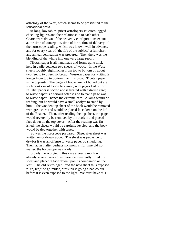astrology of the West, which seems to be prostituted to the sensational press.

 At long, low tables, priest-astrologers sat cross-legged checking figures and their relationship to each other. Charts were drawn of the heavenly configurations extant at the time of conception, time of birth, time of delivery of the horoscope reading, which was known well in advance, and for every year of "the life of the subject" a full chart and annual delineation was prepared. Then there was the blending of the whole into one very large report.

 Tibetan paper is all handmade and forms quite thick held in a pile between two sheets of wood. In the West sheets roughly eight inches from top to bottom by about two feet to two feet six broad. Western paper for writing is longer from top to bottom than it is broad; Tibetan paper is the opposite. The pages of books are not bound but are such books would soon be ruined, with pages lost or torn. In Tibet paper is sacred and is treated with extreme care; to waste paper is a serious offense and to tear a page was to waste paper—hence the extreme care. A lama would be reading, but he would have a small acolyte to stand by him. The wooden top sheet of the book would be removed with great care and would be placed face down on the left of the Reader. Then, after reading the top sheet, the page would reverently be removed by the acolyte and placed face down on the top cover. After the reading was finished, the sheets would be carefully leveled, and the book would be tied together with tapes.

 So was the horoscope prepared. Sheet after sheet was written on or drawn upon. The sheet was put aside to dry-for it was an offense to waste paper by smudging. Then, at last, after perhaps six months, for time did not matter, the horoscope was ready.

 Slowly the acolyte, in this case a young monk with already several years of experience, reverently lifted the sheet and placed it face down upon its companion on the leaf. The old Astrologer lifted the new sheet thus exposed. "Tch, tch," he grumbled, "this ink is going a bad colour before it is even exposed to the light. We must have this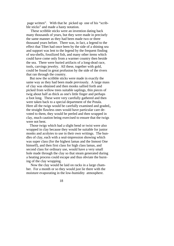page written". With that he picked up one of his "scribble sticks" and made a hasty notation.

 These scribble sticks were an invention dating back many thousands of years, but they were made in precisely the same manner as they had been made two or three thousand years before. There was, in fact, a legend to the effect that Tibet had once been by the side of a shining sea and support was lent to the legend by the frequent finding of sea-shells, fossilized fish, and many other items which could have come only from a warmer country then beside the sea. There were buried artifacts of a long-dead race, tools, carvings jewelry. All these, together with gold, could be found in great profusion by the side of the rivers that ran through the country.

 But now the scribble sticks were made in exactly the same way as they had been made previously. A large mass of clay was obtained and then monks sallied forth and picked from willow trees suitable saplings, thin pieces of twig about half as thick as one's little finger and perhaps a foot long. These were very carefully gathered and then were taken back to a special department of the Potala. Here all the twigs would be carefully examined and graded,, the straight flawless ones would have particular care devoted to them, they would be peeled and then wrapped in clay, much caution being exercised to ensure that the twigs were not bent.

 Those twigs which had a slight bend or twist were also wrapped in clay because they would be suitable for junior monks and acolytes to use in their own writings. The bundles of clay, each with a seal-impression showing which was super class (for the highest lamas and the Inmost One himself), and then first class for high class lamas, and second class for ordinary use, would have a very small hole made through the clay so that steam generated during a heating process could escape and thus obviate the bursting of the clay wrapping.

 Now the clay would be laid on racks in a large chamber. For a month or so they would just lie there with the moisture evaporating in the low-humidity atmosphere.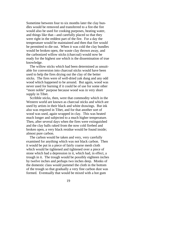Sometime between four to six months later the clay bundles would be removed and transferred to a fire-the fire would also be used for cooking purposes, heating water, and things like that—and carefully placed so that they were right in the reddest part of the fire. For a day the temperature would be maintained and then that fire would be permitted to die out. When it was cold the clay bundles would be broken open, the waste clay thrown away, and the carbonized willow sticks (charcoal) would now be ready for the highest use which is the dissemination of true knowledge.

 The willow sticks which had been determined as unsuitable for conversion into charcoal sticks would have been used to help the fires drying out the clay of the better sticks. The fires were of well-dried yak dung and any odd wood which happened to be around. But again, wood was never used for burning if it could be of use for some other "more noble" purpose because wood was in very short supply in Tibet.

 Scribble sticks, then, were that commodity which in the Western world are known as charcoal sticks and which are used by artists in their black and white drawings. But ink also was required in Tibet, and for that another sort of wood was used, again wrapped in clay. This was heated much longer and subjected to a much higher temperature. Then, after several days when the fires were extinguished and the clay balls raked from the now cold firebed and broken open, a very black residue would be found inside; almost pure carbon.

 The carbon would be taken and very, very carefully examined for anything which was not black carbon. Then it would be put in a piece of fairly coarse mesh cloth which would be tightened and tightened over a piece of stone which had a depression in it, which had, in effect, a trough in it. The trough would be possibly eighteen inches by twelve inches and perhaps two inches deep. Monks of the domestic class would pummel the cloth in the bottom of the trough so that gradually a very fine carbon dust was formed. Eventually that would be mixed with a hot gum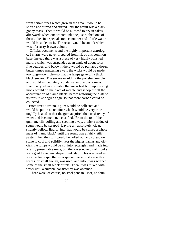from certain trees which grew in the area, it would be stirred and stirred and stirred until the result was a black gooey mass. Then it would be allowed to dry in cakes afterwards when one wanted ink one just rubbed one of these cakes in a special stone container and a little water would be added to it. The result would be an ink which was of a rusty-brown colour.

 Official documents and the highly important astrologica1 charts were never prepared from ink of this common base, instead there was a piece of very highly polished marble which was suspended at an angle of about fortyfive degrees, and below it there would be perhaps a dozen butter-lamps sputtering away, the wicks would be made too long—too high—so that the lamps gave off a thick black smoke. The smoke would hit the polished marble and would immediately condense into a black mass. Eventually when a suitable thickness had built up a young monk would tip the plate of marble and scoop off all the accumulation of "lamp black" before restoring the plate to its forty-five degree angle so that more carbon could be collected.

 From trees a resinous gum would be collected and would be put in a container which would be very thoroughlly heated so that the gum acquired the consistency of water and became much clarified. From the to of the gum, merrily boiling and seething away, a thick residue of scum would be scraped leaving an absolutely clear, slightly yellow, liquid. Into that would be stirred a whole mass of "lamp black" until the result was a fairly stiff paste. Then the stuff would be ladled out and spread on stone to cool and solidify. For the highest lamas and offcials the lumps would be cut into rectangles and made into a fairly presentable mass, but the lower echelon of monks were glad to get any shape of ink slab. This was used as was the first type, that is, a special piece of stone with a recess, or small trough, was used, and into it was scraped some of the small block of ink. Then it was mixed with water until a suitable consistency was obtained.

There were, of course, no steel pens in Tibet, no foun-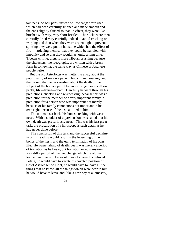tain pens, no ball pens, instead willow twigs were used which had been carefully skinned and made smooth and the ends slightly fluffed so that, in effect, they were like brushes with very, very short bristles. The sticks were then carefully dried-very carefully indeed to avoid cracking or warping-and then when they were dry enough to prevent splitting they were put on hot stone which had the effect of fire—hardening them so that they could be handled with impunity and so that they would last quite a long time. Tibetan writing, then, is more Tibetan brushing because the characters, the ideographs, are written with a brushform in somewhat the same way as Chinese or Japanese people write.

 But the old Astrologer was muttering away about the poor quality of ink on a page. He continued reading, and then found that he was reading about the death of the subject of the horoscope. Tibetan astrology covers all aspecks, life—living—death. Carefully he went through his predictions, checking and re-checking, because this was a prediction for the member of a very important family, a prediction for a person who was important not merely because of his family connections but important in his own right because of the task allotted to him.

 The old man sat back, his bones creaking with wearnests. With a shudder of apprehension he recalled that his own death was precariously near. This was his last great task, the preparation of a horoscope is such detail as he had never done before.

 The conclusion of this task and the successful declaimin of his reading would result in the loosening of the bonds of the flesh, and the early termination of his own life. He wasn't afraid of death; death was merely a period of transition as he knew; but transition or no transition it was still a period of change, change which the old man loathed and feared. He would have to leave his beloved Potala, he would have to vacate his coveted position of Chief Astrologer of Tibet, he would have to leave all the things that he knew, all the things which were dear to him, he would have to leave and, like a new boy at a lamasery,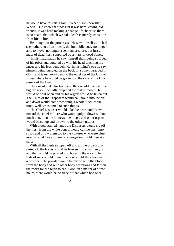he would have to start again. When? He knew that! Where? He knew that too! But it was hard leaving old friends, it was hard making a change life, because there is no death, that which we cal1 death is merely transition from life to life.

 He thought of the processes. He saw himself as he had seen others so often—dead, the immobile body no longer able to move, no longer a sentient creature, but just a mass of dead flesh supported by a mass of dead bones.

 In his imagination he saw himself thus, being stripped of his robes and bundled up with his head touching his knees and his legs bent behind. In his mind's eye he saw himself being bundled on the back of a pony, wrapped in cloth, and taken away beyond the outskirts of the City of Lhasa where he would be given into the care of the Disposers of the Dead.

 They would take his body and they would place it on a big flat rock, specially prepared for that purpose. He would be split open and all his organs would be taken out. The Chief of the Disposers would call aloud into the air and down would come swooping a whole fiock of vultures, well accustomed to such things,

 The Chief Disposer would take the heart and throw it toward the chief vulture who would gulp it down without much ado, then the kidneys, the lungs, and other organs would be cut up and thrown to the other vultures.

 With blood-stained hands the Disposers would rip off the flesh from the white bones, would cut the flesh into strips and throw them too to the vultures who were clustered around like a solemn congregation of old men at a party.

 With all the flesh stripped off and all the organs disposed of, the bones would be broken into small lengths and then would be pushed into holes in the rock. Then rods of rock would pound the bones until they became just a powder. The powder would be mixed with the blood from the body and with other body secretions and left on the rocks for the birds to eat. Soon, in a matter of a few hours, there would be no trace of that which had once

<u>22</u>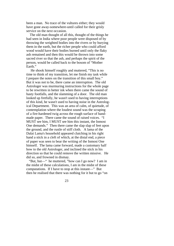been a man. No trace of the vultures either; they would have gone away-somewhere-until called for their grisly service on the next occasion.

 The old man thought of all this, thought of the things he had seen in India where poor people were disposed of by throwing the weighted bodies into the rivers or by burying them in the earth, but the richer people who could afford wood would have their bodies burned until only the flaky ash remained and then this would be thrown into some sacred river so that the ash, and perhaps the spirit of the person, would be called back to the bosom of "Mother Earth."

 He shook himself roughly and muttered, "This is no time to think of my transition, let me finish my task while I prepare the notes on the transition of this small boy." But it was not to be, there came an interruption. The old Astrologer was murmuring instructions for the whole page to be rewritten in better ink when there came the sound of hasty footfalls, and the slamming of a door. The old man looked up fretfully, he wasn't used to having interruptions of this kind, he wasn't used to having noise in the Astrological Department. This was an area of calm, of quietude, of contemplation where the loudest sound was the scraping of a fire-hardened twig across the rough surface of handmade paper. There came the sound of raised voices. "I MUST see him, I MUST see him this instant, the Inmost One demands." Then there came the slap slap of feet upon the ground, and the rustle of stiff cloth. A lama of the Dalai Lama's household appeared clutching in his right hand a stick in a cleft of which, at the distal end, a piece of paper was seen to bear the writing of the Inmost One himself. The lama came forward, made a customary half bow to the old Astrologer, and inclined the stick in his direction so that he could remove the written missive. He did so, and frowned in dismay.

 "But, but—" he muttered, "how can I go now? I am in the midst of these calculations, I am in the midst of these computations. If I have to stop at this instant—" But then he realised that there was nothing for it but to go "on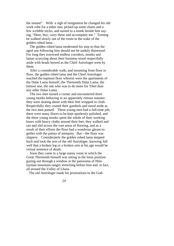the instant". With a sigh of resignation he changed his old work robe for a tidier one, picked up some charts and a few scribble sticks, and turned to a monk beside him saying, "Here, boy, carry these and accompany me." Turning he walked slowly out of the room in the wake of the golden robed lama.

 The golden robed lama moderated his step so that the aged one following him should not be unduly distressed. For long they traversed endless corridors, monks and lamas scurrying about their business stood respectfully aside with heads bowed as the Chief Astrologer went by them.

 After a considerable walk, and mounting from floor to floor, the golden robed lama and the Chief Astrologer reached the topmost floor wherein were the apartments of the Dalai Lama himself, the Thirteenth Dalai Lama, the Inmost one, the one who was to do more for Tibet than any other Dalai Lama.

 The two men turned a corner and encountered three young monks behaving in an apparently riotous manner; they were skating about with their feet wrapped in cloth. Respectfully they ceased their gambols and stood aside as the two men passed. These young men had a full-time job; there were many floors to be kept spotlessly polished, and the three young monks spent the whole of their working hours with heavy cloths around their feet, they walked and ran and slid across the vast areas of flooring, and as a result of their efforts the floor had a wondrous gleam together with the patina of antiquity. But—the floor was slippery. Considerately the golden robed lama stepped back and took the arm of the old Astrologer, knowing full well that a broken leg or a broken arm at his age would be virtual sentence of death.

 Soon they came to a large sunny room in which the Great Thirteenth himself was sitting in the lotus position gazing out through a window at the panorama of Himlayman mountain ranges stretching before him and, in fact, all around the Valley of Lhasa.

The old Astrologer made his prostrations to the God-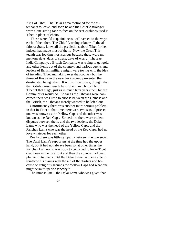King of Tibet. The Dalai Lama motioned for the attendants to leave, and soon he and the Chief Astrologer were alone sitting face to face on the seat-cushions used in Tibet in place of chairs.

 These were old acquaintances, well versed to the ways each of the other. The Chief Astrologer knew all the affairs of State, knew all the predictions about Tibet for he, indeed, had made most of them. Now the Great Thirteenth was looking most serious because these were momentous days, days of stress, days of worry. The East India Company, a British Company, was trying to get gold and other items out of the country, and various agents and leaders of British military might were toying with the idea of invading Tibet and taking over that country but the threat of Russia in the near background prevented that drastic step being taken. It will suffice to say, though, that the British caused much turmoil and much trouble for Tibet at that stage, just as in much later years the Chinese Communists would do. So far as the Tibetans were concerned there was little to choose between the Chinese and the British, the Tibetans merely wanted to be left alone.

 Unfortunately there was another more serious problem in that in Tibet at that time there were two sets of priests, one was known as the Yellow Caps and the other was known as the Red Caps. Sometimes there were violent disputes between them, and the two leaders, the Dalai Lama who was the head of the Yellow Caps, and the Panchen Lama who was the head of the Red Caps, had no love whatever for each other.

 Really there was little sympathy between the two sects. The Dalai Lama's supporters at the time had the upper hand, but it had not always been so, at other times the Panchen Lama-who was soon to be forced to leave Tibet -had been in the forefront and then the country had been plunged into chaos until the Dalai Lama had been able to reinforce his claims with the aid of the Tartars and because on religious grounds the Yellow Caps had what one might term "superior sanctity."

The Inmost One—the Dalai Lama who was given that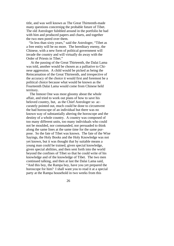title, and was well known as The Great Thirteenth-made many questions concernipg the probable future of Tibet. The old Astrologer fulnbled around in the portfolio he had with him and produced papers and charts, and together the two men pored over them.

 "In less than sixty years," said the Astrologer, "Tibet as a free entity will be no more. The hereditary enemy, the Chinese, with a new form of political government will invade the country and will virtually do away with the Order of Priests in Tibet."

 At the passing of the Great Thirteenth, the Dalai Lama was told, another would be chosen as a palliative to Chinese aggression. A child would be picked as being the Reincarnation of the Great Thirteenth, and irrespective of the accuracy of the choice it would first and foremost be a political choice because what would be known as the Fourteenth Dalai Lama would come from Chinese held territory.

 The Inmost One was most gloomy about the whole affair, and tried to work out plans of how to save his beloved country, but, as the Chief Astrologer so accurately pointed out, much could be done to circumvent the bad horoscope of an individual but there was no known way of substantially altering the horoscope and the destiny of a whole country. A country was composed of too many different units, too many individuals who could not be moulded, nor commanded, nor persuaded to think along the same lines at the same time for the same purpose. So the fate of Tibet was known. The fate of the Wise Sayings, the Holy Books and the Holy Knowledge was not yet known, but it was thought that by suitable means a young man could be trained, given special knowledge, given special abilities, and then sent forth into the world beyond the confines of Tibet so that he could write of his knowledge and of the knowledge of Tibet. The two men continued talking, and then at last the Dalai Lama said, "And this boy, the Rampa boy, have you yet prepared the horoscope for him? I shall want you to read it at a special party at the Rampa household in two weeks from this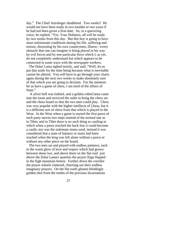day." The Chief Astrologer shuddered. Two weeks? He would not have been ready in two months or two years if he had not been given a firm date. So, in a quavering voice, he replied, "Yes, Your Holiness, all will be ready by two weeks from this day. But this boy is going to have most unfortunate conditions during his life, suffering and torture, disowning by his own countrymen, illness—every obstacle that one can imagine is being placed in his way by evil forces and by one particular force which I, as yet, do not completely understand but which appears to be connected in some ways with the newspaper workers.

 The Dalai Lama sighed noisily, and said, "Well, let us put that aside for the time being because what is inevitable cannot be altered. You will have to go through your charts again during the next two weeks to make absolutely sure of that which you are going to declaim. For the momentlet us have a game of chess, I am tired of the affairs of State."

 A silver bell was tinkled, and a golden robed lama came into the room and received the order to bring the chess set and the chess board so that the two men could play. Chess was very popular with the higher intellects of Lhasa, but it is a different sort of chess from that which is played in the West. In the West when a game is started the first pawn of each party moves two steps instead of the normal one as in Tibet, and in Tibet there is no such thing as castling in which when a pawn reached the back line it could become a castle, nor was the stalemate status used, instead it was considered that a state of balance or stasis had been reached when the king was left alone without a pawn or without any other piece on the board.

 The two men sat and played with endless patience, each in the warm glow of love and respect which had grown between these two, and above them on the flat roof just above the Dalai Lama's quarters the prayer flags flapped in the high mountain breeze. Further down the corridor the prayer wheels clattered, churning out their endless imaginary prayers. On the flat roofs gleams blindingly golden shot from the tombs of the previous Incarnations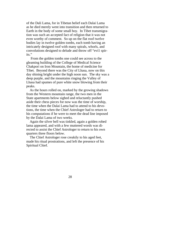of the Dali Lama, for in Tibetan belief each Dalai Lama as he died merely went into transition and then returned to Earth in the body of some small boy. In Tibet transmigration was such an accepted fact of religion that it was not even worthy of comment. So up on the flat roof twelve bodies lay in twelve golden tombs, each tomb having an intricately designed roof with many spirals, whorls, and convolutions designed to delude and throw off "evi1 spirits."

 From the golden tombs one could see across to the gleaming building of the College of Medical Science Chakpori on Iron Mountain, the home of medicine for Tibet. Beyond there was the City of Lhasa, now on this day shining bright under the high noon sun. The sky was a deep purple, and the mountains ringing the Valley of Lhasa had spumes of pure white snow blowing from their peaks.

 As the hours rolled on, marked by the growing shadows from the Western mountain range, the two men in the State apartments below sighed and reluctantly pushed aside their chess pieces for now was the time of worship, the time when the Dalai Lama had to attend to his devotions, the time when the Chief Astrologer had to return to his computations if he were to meet the dead line imposed by the Dalai Lama of two weeks.

 Again the silver bell was tinkled, again a golden robed lama appeared, and with a few muttered words was directed to assist the Chief Astrologer to return to his own quarters three floors below.

 The Chief Astrologer rose creakily to his aged feet, made his ritual prostrations, and left the presence of his Spiritual Chief.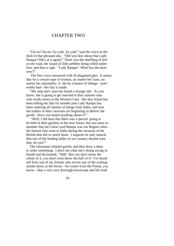#### CHAPTER TWO

 "Oo-ee! Oo-ee! Ay-yah! Ay-yah!" said the voice in the dusk of that pleasant day. "Did you hear about that Lady Rampa? She's at it again!" There was the shuffling of feet on the road, the sound of little pebbles being rolled underfoot, and then a sigh. "Lady Rampa? What has she done  $now?$ 

 The first voice answered with ill-disguised glee. It seems that for a certain type of woman, no matter her class, no matter her nationality, if she be a bearer of tidings—preferably bad—her day is made.

 "My step-son's aunt has heard a strange tale. As you know, she is going to get married to that customs man who works down at the Western Gate. Her boy friend has been telling her that for months past Lady Rampa has been ordering all manner of things from India, and now the traders in their caravans are beginning to deliver the goods. Have you heard anything about it?"

 "Well, I did hear that there was a special going to be held in their gardens in the near future, but you must remember that the Great Lord Rampa was our Regent when the Inmost One went to India during the invasion of the British that did so much harm. I suppose its only natural that one of the leading ladies of our country should want that, do you?"

 The informant exhaled gustily and then drew a deep to order something. I don't see what she's doing wrong in breath and declaimed, "Ahh! But you don't know the whole of it, you don't even know the half of it! I've heard tell from one of my friends who serves one of the waitingmonks down at the Kesar—he comes from the Potala, you know—that a very very thorough horoscope and life read-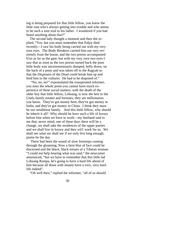ing is being prepared for that little fellow, you know the little runt who's always getting into trouble and who seems to be such a sore trial to his father. I wondered if you had heard anything about that?"

 The second lady thought a moment and then she replied, "Yes, but you must remember that Paljor died recently—I saw his body being carried out with my very own eyes. The Body Breakers carried him out very reverently from the house, and the two priests accompanied h1m as far as the gate, but with my very own two eyes I saw that as soon as the two priests turned back the poor little body was unceremoniously dumped, belly down, on the back of a pony and was taken off to the Ragyab so that the Disposers of the Dead could break him up and feed him to the vultures. He had to be disposed of."

 "No, no, no!" expostulated the exasperated informer, you miss the whole point-you cannot have much experience of these social matters; with the death of the older boy that little fellow, Lobsang, is now the heir to the Lhalu family estates and fortunes, they are millionaires you know. They've got money here, they've got money in India, and they've got money in China. I think they must be our wealthiest family. And this little fellow, why should he inherit it all? Why should he have such a life of luxury before him when we have to work—my husband said to me that, never mind, one of these days there will be a change, we shall take the residences of the upper parties and we shall live in luxury and they wil1 work for us. We shall see what we shall see if we only live long enough, praise be the day.

 There had been the sound of slow footsteps coming through the gloaming, Now a faint blur of face could be discerned and the black, black tresses of a Tibetan woman. "I could not help hearing what was said," the newcomer announced, "but we have to remember that this little lad Lobsang Rampa, he's going to have a hard life ahead of him because all those with money have a very, very hard life indeed".

"Oh well then," replied the informer, "all of us should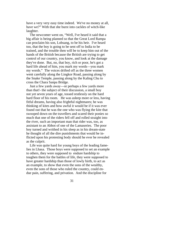have a very very easy time indeed. We've no money at all, have we?" With that she burst into cackles of witch-like laughter.

 The newcomer went on, "Well, I've heard it said that a big affair is being planned so that the Great Lord Rampa can proclaim his son, Lobsang, to be his heir. I've heard too, that the boy is going to be sent off to India to be trained, and the trouble then will be to keep him out of the hands of the British because the British are trying to get control of our country, you know, and look at the damage they've done. But, no, that boy, rich or poor, he's got a hard life ahead of him, you mark my words—you mark my words." The voices drifted off as the three women went carefully along the Lingkor Road, passing along by the Snake Temple, passing along by the Kaling Chu to cross the Chara Sanpa Bridge.

 Just a few yards away—or perhaps a few yards more than that!- the subject of their discussion, a small boy not yet seven years of age, tossed restlessly on the hard hard floor of his room. He was asleep more or less, having fitful dreams, having also frightful nightmares; he was thinking of kites and how awful it would be if it was ever found out that he was the one who was flying the kite that swooped down on the travellers and scared their ponies so much that one of the riders fell off and rolled straight into the river, such an important man that rider was, too, as assistant to an Abbot of one of the Lamaseries. The poor boy turned and writhed in his sleep as in his dream-state he thought of all the dire punishments that would be inflicted upon his protesting body should he ever be revealed as the culprit.

 Life was quite hard for young boys of the leading famelies in Lhasa. Those boys were supposed to set an example to others, they were supposed to endure hardship to toughen them for the battles of life, they were supposed to have greater hardship than those of lowly birth, to act as an example, to show that even the sons of the wealthy, even the sons of those who ruled the country, could endue pain, suffering, and privation. And the discipline for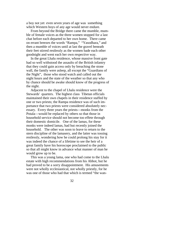a boy not yet even seven years of age was something which Western boys of any age would never endure.

 From beyond the Bridge there came the mumble, mumble of female voices as the three women stopped for a last chat before each departed to her own home. There came on errant breezes the words "Rampa," "Yasodhara," and then a mumble of voices until at last the gravel beneath their feet stirred restlessly as the women bade each other goodnight and went each her own respective way.

 In the great Lhalu residence, whose massive front gate had so well withstood the assaults of the British infantry that they could gain access only by breaching the stone wall, the family were asleep, all except the "Guardians of the Night", those who stood watch and called out the night hours and the state of the weather so that any who by chance should be awake should know of the progress of the night.

 Adjacent to the chapel of Lhalu residence were the Stewards' quarters. The highest class Tibetan officials maintained their own chapels in their residence staffed by one or two priests; the Rampa residence was of such importance that two priests were considered absolutely necessary. Every three years the priests—monks from the Potala—would be replaced by others so that those in household service should not become too effete through their domestic domicile. One of the lamas, for these monks were indeed lamas, had but recently joined the household. The other was soon to leave to return to the stern discipline of the lamasery, and the latter was tossing restlessly, wondering how he could prolong his stay for it was indeed the chance of a lifetime to see the heir of a great family have his horoscope proclaimed to the public so that all might know in advance what manner of man he would grow up to be.

 This was a young lama, one who had come to the Lhalu estate with high recommendations from his Abbot, but he had proved to be a sorry disappointment. His amusements were not wholly ecclesiastical, not wholly priestly, for he was one of those who had that which is termed "the wan-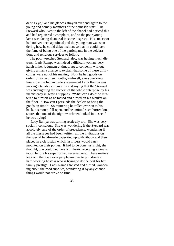dering eye," and his glances strayed ever and again to the young and comely members of the domestic staff. The Steward who lived to the left of the chapel had noticed this and had registered a complaint, and so the poor young lama was facing dismissal in some disgrace. His successor had not yet been appointed and the young man was wondering how he could delay matters so that he could have the fame of being one of the participants in the celebrations and religious services to follow.

 The poor wretched Steward, also, was having much distress. Lady Rampa was indeed a difficult woman, very harsh in her judgment at times, apt to condemn without giving a man a chance to explain that some of these diffi culties were not of his making. Now he had goods on order for some three months, and-well, everyone knew how slow the Indian traders were—but Lady Rampa was making a terrible commotion and saying that the Steward was endangering the success of the whole enterprise by his inefficiency in getting supplies. "What can I do?" he muttered to himself as he tossed and turned on his blanket on the floor. "How can I persuade the dealers to bring the goods on time?" So muttering he rolled over on to his back, his mouth fell open, and he emitted such horrendous snores that one of the night watchmen looked in to see if he was dying!

 Lady Rampa was turning restlessly too. She was very socially-conscious. She was wondering if the Steward was absolutely sure of the order of precedence, wondering if all the messages had been written, all the invitations on the special hand-made paper tied up with ribbon and then placed in a cleft stick which fast riders would carry mounted on their ponies. It had to be done just right, she thought, one could not have an inferior receiving an invitation before his superior had received one. These matters leak out, there are ever people anxious to pull down a hard working hostess who is trying to do the best for her family prestige. Lady Rampa twisted and turned, wondering about the food supplies, wondering if by any chance things would not arrive on time.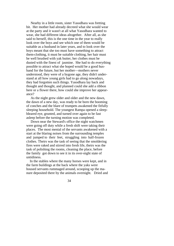Nearby in a little room, sister Yasodhara was fretting bit. Her mother had already decreed what she would wear at the party and it wasn't at all what Yasodhara wanted to wear, she had different ideas altogether. After all, as she said to herself, this is the one time in the year to really look over the boys and see which one of them would be suitable as a husband in later years, and to look over the boys meant that she too must have something to attract them-clothing, it must be suitable clothing, her hair must be well brushed with yak butter, her clothes must be dusted with the finest of jasmine. She had to do everything possible to attract what she hoped would be a good husband for the future, but her mother—mothers never understood, they were of a bygone age, they didn't understand at all how young girls had to go along nowadays, they had forgotten such things. Yasodhara lay back and thought and thought, and planned could she add a ribbon here or a flower there, how could she improve her appearance?

 As the night grew older and older and the new dawn, the dawn of a new day, was ready to be born the booming of conches and the blare of trumpets awakened the fitfully sleeping household. The youngest Rampa opened a sleepbleared eye, grunted, and turned over again to be fast asleep before the turning motion was completed.

 Down near the Steward's office the night watchmen were going off duty while a fresh shift were taking their places. The most menial of the servants awakened with a start at the blaring noises from the surrounding temples and jumped to their feet, struggling into half-frozen clothes. Theirs was the task of seeing that the smoldering fires were raked and stirred into fresh life, theirs was the task of polishing the rooms, cleaning the place, before the family got down to see it in its over-night state of untidiness.

 In the stables where the many horses were kept, and in the farm buildings at the back where the yaks were housed servants rummaged around, scooping up the manure deposited there by the animals overnight. Dried and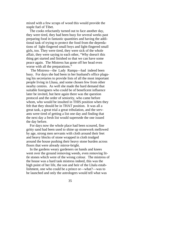mixed with a few scraps of wood this would provide the staple fuel of Tibet.

 The cooks reluctantly turned out to face another day, they were tired, they had been busy for several weeks past preparing food in fantastic quantities and having the additional task of trying to protect the food from the depredations of light-fingered small boys and light-fingered small girls, too. They were tired, they were sick of the whole affair, they were saying to each other, "Why doesn't this thing get started and finished so that we can have some peace again. The Mistress has gone off her head even worse with all the preparations."

 The Mistress—the Lady Rampa—had indeed been busy. For days she had been in her husband's office plaguing his secretaries to provide lists of all the most important people living in Lhasa, and some chosen few from other nearby centres. As well she made the hard demand that suitable foreigners who could be of beneficent influence later be invited, but here again there was the question protocol and the order of seniority, who came before whom, who would be insulted in THIS position when they felt that they should be in THAT position. It was all a great task, a great trial a great tribulation, and the servants were tired of getting a list one day and finding that the next day a fresh list would supersede the one issued the day before.

 For days now the whole place had been scoured, fine gritty sand had been used to shine up stonework mellowed by age, strong men servants with cloth around their feet and heavy blocks of stone wrapped in cloth trudged around the house pushing their heavy stone burden across floors that were already mirror-bright.

 In the gardens weary gardeners on hands and knees went over the ground removing weeds, even removing little stones which were of the wrong colour. The mistress of the house was a hard task mistress indeed, this was the high point of her life, the son and heir of the Lhalu establishment, one who could be a prince or—what?—was to be launched and only the astrologers would tell what was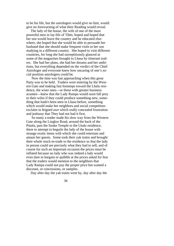to be his life, but the astrologers would give no hint, would give no forewarning of what their Reading would reveal.

 The lady of the house, the wife of one of the most powerful men in lay-life of Tibet, hoped and hoped that her son would leave the country and be educated elsewhere, she hoped that she would be able to persuade her husband that she should make frequent visits to her son studying in a different country. She hoped to visit different countries, for long she had surreptitiously glanced at some of the magazines brought to Lhasa by itinerant traders. She had her plans, she had her dreams and her ambitions, but everything depended on the verdict of the Chief Astrologer and everyone knew how uncaring of one's social position astrologers could be.

 Now the time was fast approaching when this great Party was to be held. Traders were entering by the Western Gate and making fast footsteps toward the Lhalu residence, the wiser ones—or those with greater business acumen—knew that the Lady Rampa would soon fall prey to their wiles if they could produce something new, something that hadn't been seen in Lhasa before, something which would make her neighbors and social competitors exclaim in feigned awe which really concealed frustration and jealousy that They had not had it first.

 So many a trader made his slow way from the Western Gate along the Lingkor Road, around the back of the Potala, past the Snake Temple to the Lhalu residence, there to attempt to beguile the lady of the house with strange exotic items with which she could entertain and amaze her guests. Some took their yak trains and brought their whole stock-in-trade to the residence so that the lady in person could see precisely what they had to sell, and of course for such an important occasion the prices must be inflated because no lady who was indeed a lady would even dare to bargain or quibble at the prices asked for fear that the traders would mention to the neighbors that Lady Rampa could not pay the proper price but wanted a discount, or concessions, or samples.

Day after day the yak trains went by, day after day the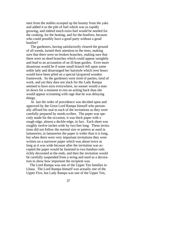men from the stables scooped up the bounty from the yaks and added it to the pile of fuel which was so rapidly growing, and indeed much extra fuel would be needed for the cooking, for the heating, and for the bonfires, because who could possibly have a good party without a good bonfire?

 The gardeners, having satisfactorily cleared the ground of all weeds, turned their attention to the trees, making sure that there were no broken branches, making sure that there were no dead branches which could appear unsightly and lead to an accusation of an ill-kept garden. Even more disastrous would be if some small branch fell upon some noble lady and disarranged her hairstyle which over hours would have been piled on a special lacquered wooden framework. So the gardeners were tired of parties, tired of work, and yet they dare not slack for the Lady Rampa seemed to have eyes everywhere, no sooner would a man sit down for a moment to rest an aching back than she would appear screaming with rage that he was delaying things.

 At last the order of precedence was decided upon and approved by the Great Lord Rampa himself who personally affixed his seal to each of the invitations as they were carefully prepared by monk-scribes. The paper was specialy made for the occasion, it was thick paper with a rough edge, almost a deckle-edge, in fact. Each sheet was roughly twelve inches wide by two feet long. These invitations did not follow the normal size or pattern as used in lamaseries; in lamaseries the paper is wider than it is long, but when there were very important invitations they were written on a narrower paper which was about twice as long as it was wide because after the invitation was accepted the paper would be fastened to two bamboo rods richly decorated at the ends, and then the invitation would be carefully suspended from a string and used as a decoration to show how important the recipient was.

 The Lord Rampa was one of the Upper Ten families in Lhasa. The Lord Rampa himself was actually one of the Upper Five, but Lady Rampa was one of the Upper Ten,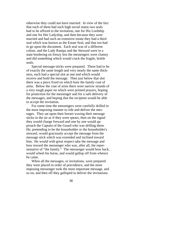otherwise they could not have married. In view of the fact that each of them had such high social status two seals had to be affixed to the invitation, one for His Lordship and one for Her Ladyship, and then because they were married and had such an extensive estate they had a third seal which was known as the Estate Seal, and that too had to go upon the document. Each seal was of a different colour, and the Lady Rampa and the Steward were in a state bordering on frenzy lest the messengers were clumsy and did something which would crack the fragile, brittle seals.

 Special message-sticks were prepared. These had to be of exactly the same length and very nearly the same thickness, each had a special slot at one end which would receive and hold the message. Then just below that slot there was a piece fixed on which bore the family coat of arms. Below the coat of arms there were narrow strands of a very tough paper on which were printed prayers, hoping for protection for the messenger and for a safe delivery of the messages, and hoping that the recipient would be able to accept the invitation.

 For some time the messengers were carefully drilled in the most imposing manner to ride and deliver the messages. They sat upon their horses waving their message sticks in the air as if they were spears, then on the signal they would charge forward and one by one would approach the Captain of the Guard who was drilling them. He, pretending to be the householder or the householder's steward, would graciously accept the message from the message stick which was extended and inclined toward him. He would with great respect take the message and bow toward the messenger who was, after all, the representative of "the family." The messenger would bow back, would wheel his horse, and would gallop off from whence he came.

 When all the messages, or invitations, were prepared they were placed in order of precedence, and the most imposing messenger took the most important message, and so on, and then off they galloped to deliver the invitations.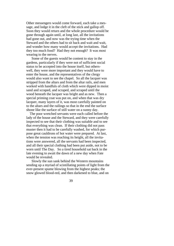Other messengers would come forward, each take a message, and lodge it in the cleft of the stick and gallop off. Soon they would return and the whole procedure would be gone through again until, at long last, all the invitations had gone out, and now was the trying time when the Steward and the others had to sit back and wait and wait, and wonder how many would accept the invitations. Had they too much food? Had they not enough? It was most wearing to the nerves.

 Some of the guests would be content to stay in the gardens, particularly if they were not of sufficient social status to be accepted into the house itself, but otherswell, they were more important and they would have to enter the house, and the representatives of the clergy would also want to see the chapel. So all the lacquer was stripped from the altars and from the altar rails, and men worked with handfuls of cloth which were dipped in moist sand and scraped, and scraped, and scraped until the wood beneath the lacquer was bright and as new. Then a special priming coat was put on, and when that was dry lacquer, many layers of it, was most carefully painted on to the altars and the railings so that in the end the surface shone like the surface of still water on a sunny day.

 The poor wretched servants were each called before the lady of the house and the Steward, and they were carefully inspected to see that their clothing was suitable and to see that everything was clean. If their clothing did not pass muster then it had to be carefully washed, for which purpose great cauldrons of hot water were prepared. At last, when the tension was reaching its height, all the invitations were answered, all the servants had been inspected, and all their special clothing had been put aside, not to be worn until The Day. So a tired household sat back in the late evening to await the dawn of a new day when Fate would be revealed.

 Slowly the sun sank behind the Western mountains sending up a myriad of scintillating points of light from the ever-present spume blowing from the highest peaks; the snow glowed blood-red, and then darkened to blue, and on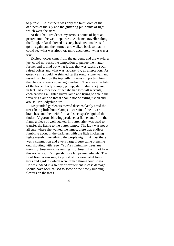to purple. At last there was only the faint loom of the darkness of the sky and the glittering pin-points of light which were the stars.

 At the Lhalu residence mysterious points of light appeared amid the well-kept trees. A chance traveller along the Lingkor Road slowed his step, hesitated, made as if to go on again, and then turned and walked back so that he could see what was afoot, or, more accurately, what was atree!

 Excited voices came from the gardens, and the wayfarer just could not resist the temptation to pursue the matter further and to find out what it was that was causing such raised voices and what was, apparently, an altercation. As quietly as he could he shinned up the rough stone wall and rested his chest on the top with his arms supporting him, then he could see a novel sight indeed. There was the lady of the house, Lady Rampa, plump, short, almost square, in fact. At either side of her she had two tall servants, each carrying a lighted butter lamp and trying to shield the wavering flame so that it should not be extinguished and arouse Her Ladyship's ire.

 Disgruntled gardeners moved disconsolately amid the trees fixing little butter lamps to certain of the lower branches, and then with flint and steel sparks ignited the tinder. Vigorous blowing produced a flame, and from the flame a piece of well-soaked-in-butter stick was used to transfer the flame to the butter lamps. The lady was not at all sure where she wanted the lamps, there was endless fumbling about in the darkness with the little flickering lights merely intensifying the purple night. At last there was a commotion and a very large figure came prancing out, shouting with rage: "You're ruining my trees, my trees my trees—you re ruining my trees. I will not have this nonsense. Extinguish those lamps immediately The Lord Rampa was mighty proud of his wonderful trees, trees and gardens which were famed throughout Lhasa. He was indeed in a frenzy of excitement in case damage should have been caused to some of the newly budding flowers on the trees.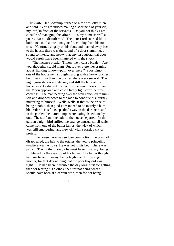His wife, Her Ladyship, turned to him with lofty mien and said, "You are indeed making a spectacle of yourself, my lord, in front of the servants. Do you not think I am capable of managing this affair? It is my home as well as yours. Do not disturb me." The poor Lord snorted like a bull, one could almost imagine fire coming from his nostrils. He turned angrily on his foot, and hurried away back to the house, there was the sound of a door slamming, a sound so intense and heavy that any less substantial door would surely have been shattered with the shock.

 "The incense brazier, Timon, the incense brazier. Are you altogether stupid man? Put it over there, never mind about lighting it now—put it over there." Poor Timon, one of the housemen, struggled along with a heavy brazier, but it was more than one brazier, there were several. The night grew darker and darker, and still the lady of the house wasn't satisfied. But at last the wind blew chill and the Moon appeared and cast a frosty light over the proceedings. The man peering over the wall chuckled to himself and dropped down to the road to continue his journey muttering to himself, "Well! well! If that is the price of being a noble, then glad I am indeed to be merely a humble trader." His footsteps died away in the darkness, and in the garden the butter lamps were extinguished one by one. The staff and the lady of the house departed. In the garden a night bird sniffed the strange unusual smell which came from one of the butter lamps, the wick of which was still smoldering, and flew off with a startled cry of protest.

 In the house there was sudden commotion; the boy had disappeared, the heir to the estates, the young princeling —where was he now? He was not in his bed. There was panic. The mother thought he must have run away, being frightened by the severity of his father. The father thought he must have run away, being frightened by the anger of mother, for that day nothing that the poor boy did was right. He had been in trouble the day long, first for getting then for tearing his clothes, then for not being where should have been at a certain time, then for not being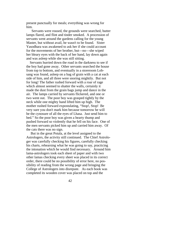present punctually for meals; everything was wrong for him.

 Servants were roused, the grounds were searched, butter lamps flared, and flint and tinder smoked. A procession of servants went around the gardens calling for the young Master, but without avail, he wasn't to be found. Sister Yasodhara was awakened to ask her if she could account for the movements of her brother, but—no—she wiped her bleary eyes with the back of her hand, lay down again and was asleep while she was still sitting.

 Servants hurried down the road in the darkness to see if the boy had gone away. Other servants searched the house from top to bottom, and eventually in a storeroom Lobsang was found, asleep on a bag of grain with a cat at each side of him, and all three were snoring mightily. But not for long! The father rushed forward with a roar of rage which almost seemed to shatter the walls, certainly it made the dust from the grain bags jump and dance in the air. The lamps carried by servants flickered, and one or two went out. The poor boy was grasped tightly by the neck while one mighty hand lifted him up high. The mother rushed forward expostulating, "Stop!, Stop! Be very sure you don't mark him because tomorrow he will be the cynosure of all the eyes of Lhasa. Just send him to bed." So the poor boy was given a hearty thump and pushed forward so violently that he fell on his face. One of the men servants picked him up and carried him away. Of the cats there was no sign.

 But in the great Potala, at the level assigned to the Astrologers, the activity still continued. The Chief Astrologer was carefully checking his figures, carefully checking his charts, rehearsing what he was going to say, practicing the intonation which he would find necessary. Around him lama-astrologers took each sheet of paper and with two other lamas checking every sheet was placed in its correct order, there could be no possibility of error here, no possibility of reading from the wrong page and bringing the College of Astrologers into disrepute. As each book was completed its wooden cover was placed on top and the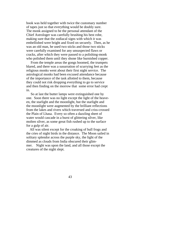book was held together with twice the customary number of tapes just so that everything would be doubly sure. The monk assigned to be the personal attendant of the Chief Astrologer was carefully brushing his best robe, making sure that the zodiacal signs with which it was embellished were bright and fixed on securely. Then, as he was an old man, he used two sticks and those two sticks were carefully examined for any unsuspected flaws or cracks, after which they were passed to a polishing-monk who polished them until they shone like burnished copper.

 From the temple areas the gongs boomed, the trumpets blared, and there was a susurration of scurrying feet as the religious monks went about their first night service. The astrological monks had been excused attendance because of the importance of the task allotted to them, because they could not risk dropping everything to go to service and then finding on the morrow that some error had crept in.

 So at last the butter lamps were extinguished one by one. Soon there was no light except the light of the heaveen, the starlight and the moonlight, but the starlight and the moonlight were augmented by the brilliant reflections from the lakes and rivers which traversed and criss-crossed the Plain of Lhasa. Every so often a dazzling sheet of water would cascade in a burst of glittering silver, like molten silver, as some great fish rushed up to the surface for a gulp of air.

 All was silent except for the croaking of bull frogs and the cries of night birds in the distance. The Moon sailed in solitary splendor across the purple sky, the light of the dimmed as clouds from India obscured their glimmer. Night was upon the land, and all those except the creatures of the night slept.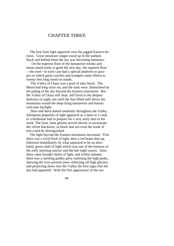### CHAPTER THREE

 The first faint light appeared over the jagged Eastern horizon. Great mountain ranges stood up in the starkest black and behind them the sky was becoming luminous.

 On the topmost floor of the lamaseries monks and lamas stood ready to greet the new day, the topmost floor —the roof—in each case had a special platform or parapet on which great conches and trumpets some fifteen to twenty feet long stood on stands.

 The Valley of Lhasa was a pool of inky black. The Moon had long since set, and the stars were diminished by the paling of the sky beyond the Eastern mountains. But the Valley of Lhasa still slept, still lived in the deepest darkness of night, not until the Sun lifted well above the mountains would the deep-lying lamaseries and houses welcome daylight.

 Here and there dotted randomly throughout the Valley infrequent pinpoints of light appeared as a lama or a cook or a herdsman had to prepare for a very early start to his work. The faint, faint gleams served merely to accentuate the velvet blackness, so black that not even the trunk of tree could be distinguished.

 The light beyond the Eastern mountains increased. First there was a vivid flash of light, then a red beam shot up, followed immediately by what appeared to be an absolutely green shaft of light which was one of the features of the early morning sunrise and the late night sunset. Soon there came broader shafts of light, and within minutes there was a startling golden glow outlining the high peaks, showing the ever-present snow reflecting off high glaciers and projecting down into the Valley the first signs that the day had appeared. With the first appearance of the sun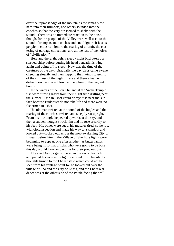over the topmost edge of the mountains the lamas blew hard into their trumpets, and others sounded into the conches so that the very air seemed to shake with the sound. There was no immediate reaction to the noise, though, for the people of the Valley were well used to the sound of trumpets and conches and could ignore it just as people in cities can ignore the roaring of aircraft, the clattering of garbage collections, and all the rest of the noises of "civilization."

 Here and there, though, a sleepy night bird uttered a startled chirp before putting his head beneath his wing again and going off to sleep. Now was the time of the creatures of the day. Gradually the day birds came awake, cheeping sleepily and then flapping their wings to get rid of the stillness of the night. Here and there a feather drifted down and was blown at the whim of the vagrant breeze.

 In the waters of the Kyi Chu and at the Snake Temple fish were stirring lazily from their night time drifting near the surface. Fish in Tibet could always rise near the surface because Buddhists do not take life and there were no fishermen in Tibet.

 The old man twisted at the sound of the bugles and the roariug of the conches, twisted and sleepily sat upright. From his low angle he peered upwards at the sky, and then a sudden thought struck him and he rose creakily to his feet. His bones were aged, his muscles tired, so he rose with circumspection and made his way to a window and looked out—looked out across the now-awakening City of Lhasa. Below him in the Village of Sho little lights were beginning to appear, one after another, as butter lamps were being lit so that official who were going to be busy this day would have ample time for their preparations.

 The aged Astrologer shivered in the early dawn chill, and pulled his robe more tightly around him. Inevitably thoughts turned to the Lhalu estate which could not be seen from his vantage point for he looked out over the village of Sho and the City of Lhasa, and the Lhalu residence was at the other side of the Potala facing the wall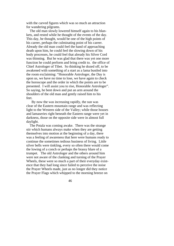with the carved figures which was so much an attraction for wandering pilgrams.

 The old man slowly lowered himself again to his blankets, and rested while he thought of the events of the day. This day, he thought, would be one of the high points of his career, perhaps the culminating point of his career. Already the old man could feel the hand of approaching death upon him, he could feel the slowing down of his body processes, he could feel that already his Silver Cord was thinning. But he was glad that there was yet one more function he could perform and bring credit to. the office of Chief Astrologer of Tibet. So thinking he dozed off, to be awakened with something of a start as a lama bustled into the room exclaiming: "Honorable Astrologer, the Day is upon us, we have no time to lose, we have again to check the horoscope and the order in which the points are to be presented. I will assist you to rise, Honorable Astrologer". So saying, he bent down and put an arm around the shoulders of the old man and gently raised him to his feet.

 By now the was increasing rapidly, the sun was clear of the Eastern mountain range and was reflecting light to the Western side of the Valley; while those houses and lamaseries right beneath the Eastern range were yet in darkness, those on the opposite side were in almost full daylight.

 The Potala was coming awake. There was the strange stir which humans always make when they are getting themselves into motion at the beginning of a day, there was a feeling of awareness that here were humans ready to continue the sometimes tedious business of living. Little silver bells were tinkling, every so often there would come the lowing of a conch or perhaps the brassy blare of a trumpet. The old Astrologer and the others around him were not aware of the clanking and turning of the Prayer Wheels, these were so much a part of their everyday existence that they had long since failed to perceive the noise the Prayer Wheels made, just as no longer did they notice the Prayer Flags which whipped to the morning breeze on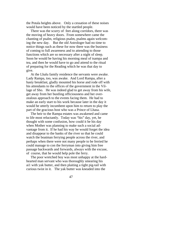the Potala heights above. Only a cessation of these noises would have been noticed by the startled people.

 There was the scurry of feet along corridors, there was the moving of heavy doors. From somewhere came the chanting of psalm, religious psalm, psalms again welcoming the new day. But the old Astrologer had no time to notice things such as these for now there was the business of coming to full awareness and to attending to those functions which are so necessary after a night of sleep. Soon he would be having his morning meal of tsampa and tea, and then he would have to go and attend to the ritual of preparing for the Reading which he was that day to give.

 At the Lhalu family residence the servants were awake. Lady Rampa, too, was awake. And Lord Rampa, after a hasty breakfast, gladly mounted his horse and rode off with his attendants to the offices of the government in the Village of Sho. He was indeed glad to get away from his wife, get away from her bustling officiousness and her overzealous approach to the events facing them. He had to make an early start to his work because later in the day it would be utterly incumbent upon him to return to play the part of the gracious host who was a Prince of Lhasa.

 The heir to the Rampa estates was awakened and came to life most reluctantly. Today was "his" day, yet, he thought with some confusion, how could it be his day when Mother was planning to make such a social advantage from it. If he had his way he would forget the idea and disappear to the banks of the river so that he could watch the boatman ferrying people across the river, and perhaps when there were not many people to be ferried he could manage to con the ferryman into giving him free passage backwards and forwards, always with the excuse, of course, that he would help pole the ferry.

 The poor wretched boy was most unhappy at the hardhearted man servant who was thoroughly smearing his ai1 with yak butter, and then plaiting a tight pig-tail with curious twist in it. The yak butter was kneaded into the

47 and 2012 and 2014 and 2014 and 2014 and 2014 and 2014 and 2014 and 2014 and 2014 and 2014 and 2014 and 201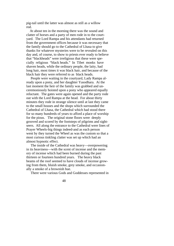pig-tail until the latter was almost as still as a willow rod.

 At about ten in the morning there was the sound and clatter of horses and a party of men rode in to the courtyard. The Lord Rampa and his attendants had returned from the government offices because it was necessary that the family should go to the Cathedral of Lhasa to give thanks for whatever mysteries were to be revealed on this day and, of course, to show to priests ever ready to believe that "blackheads" were irreligious that these were specially religious "black heads." In Tibet monks have shaven heads, while the ordinary people, the laity, had long hair, most times it was black hair, and because of the black hair they were referred to as black heads.

 People were waiting in the courtyard, Lady Rampa already upon a pony, and her daughter Yasodhara. At the last moment the heir of the family was grabbed and unceremoniously hoisted upon a pony who appeared equally reluctant. The gates were again opened and the party rode out with the Lord Rampa at the head. For about thirty minutes they rode in strange silence until at last they came to the small houses and the shops which surrounded the Cathedral of Lhasa, the Cathedral which had stood there for so many hundreds of years to afford a place of worship for the pious. The original stone floors were deeply grooved and scored by the footsteps of pilgrims and sightseers. All along the entrance to the Cathedral were lines of Prayer Wheels-big things indeed-and as each person went by they turned the Wheel as was the custom so that a most curious tinkling clatter was set up which had an almost hypnotic effect.

 The inside of the Cathedral was heavy—overpowering in its heaviness—with the scent of incense and the memory of incense which had been burned during the past thirteen or fourteen hundred years. The heavy black beams of the roof seemed to have clouds of incense growing from them, bluish smoke, grey smoke, and occasionally a smoke of a brownish hue.

There were various Gods and Goddesses represented in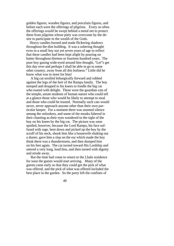golden figures, wooden figures, and porcelain figures, and before each were the offerings of pilgrims. Every so often the offerings would be swept behind a metal net to protect them from pilgrims whose piety was overcome by the desire to participate in the wealth of the Gods.

 Heavy candles burned and made flickering shadows throughout the dim building. It was a sobering thought even to a small boy not yet seven years of age to reflect that these candles had been kept alight by pouring on butter throughout thirteen or fourteen hundred years. The poor boy gazing wide-eyed around him thought, "Let"s get this day over and perhaps I shall be able to go to some other country, away from all this holiness." Little did he know what was in store for him!

 A big cat strolled lethargically forward and rubbed against the legs of the heir of the Rampa family. The boy stooped and dropped to his knees to fondle the big cat who roared with delight. These were the guardian cats of the temple, astute students of human nature who could tell at a glance those who would be likely to attempt to steal and those who could be trusted. Normally such cats would never, never approach anyone other than their own particular keeper. For a moment there was stunned silence among the onlookers, and some of the monks faltered in their chanting as their eyes wandered to the sight of the boy on his knees by the big cat. The picture was soon spoiled, however, because the Lord Rampa, his face suffused with rage, bent down and picked up the boy by the scruff of his neck, shook him like a housewife shaking out a duster, gave him a slap on the ear which made the boy think there was a thunderstorm, and then dumped him on his feet again. The cat turned toward His Lordship and uttered a very long, loud hiss, and then turned with dignity and strode away.

 But the time had come to return to the Lhalu residence for soon the guests would start arriving. Many of the guests came early so that they could get the pick of what was offered, and the pick of what was offered included the best place in the garden. So the party left the confines of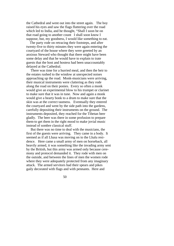the Cathedral and went out into the street again. The boy raised his eyes and saw the flags fluttering over the road which led to India, and he thought, "Shall I soon be on that road going to another count I shall soon know I suppose, but, my goodness, I would like something to eat.

 The party rode on retracing their footsteps, and after twenty-five to thirty minutes they were again entering the courtyard of the house where they were greeted by an anxious Steward who thought that there might have been some delay and that he would have to explain to irate guests that the host and hostess had been unaccountably delayed at the Cathedral.

 There was time for a hurried meal, and then the heir to the estates rushed to the window at unexpected noises approaching up the road. Monk-musicians were arriving, their musical instruments were clattering as they rode along the road on their ponies. Every so often a monk would give an experimental blow to his trumpet or clarinet to make sure that it was in tune. Now and again a monk would give a hearty bonk to a drum to make sure that the skin was at the correct tautness. Eventually they entered the courtyard and went by the side path into the gardens, carefully depositing their instruments on the ground. The instruments deposited, they reached for the Tibetan beer gladly. The beer was there in some profusion to prepare them-to get them in the right mood to make jovial music instead of sombre classical stuff.

 But there was no time to deal with the musicians, the first of the guests were arriving. They came in a body. It seemed as if all Lhasa was moving on to the Lhalu residence. Here came a small army of men on horseback, all heavily armed, it was something like the invading army sent by the British, but this army was armed only because ceremony and protocol demanded it. They rode with men on the outside, and between the lines of men the women rode where they were adequately protected from any imaginary attack. The armed servitors had their spears and pikes gaily decorated with flags and with pennants. Here and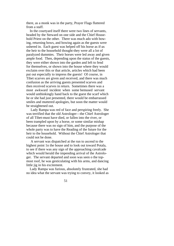there, as a monk was in the party, Prayer Flags fluttered from a staff.

 In the courtyard itself there were two lines of servants, headed by the Steward on one side and the Chief Household Priest on the other. There was much ado with bowing, returning bows, and bowing again as the guests were ushered in. Each guest was helped off his horse as if-as the heir to the household thought-they were all a lot of paralyzed dummies. Their horses were led away and given ample food. Then, depending upon the status of the guests, they were either shown into the garden and left to fend for themselves, or shown into the house where they would exclaim over this or that article, articles which had been put out especially to impress the guests! Of course, in Tibet scarves are given and received, and there was much confusion as the arriving guests presented scarves and then received scarves in return. Sometimes there was a most awkward incident when some bemused servant would unthinkingly hand back to the guest the scarf which he or she had just presented, there would be embarrassed smiles and muttered apologies, but soon the matter would be straightened out.

 Lady Rampa was red of face and perspiring freely. She was terrified that the old Astrologer—the Chief Astrologer of all Tibet-must have died, or fallen into the river, or been trampled upon by a horse, or some similar mishap because there was no sign of him, and the purpose of the whole party was to have the Reading of the future for the heir to the household. Without the Chief Astrologer that could not be done.

 A servant was dispatched at the run to ascend to the highest point 1n the house and to look out toward Potala, to see if there was any sign of the approaching cavalcade which would herald the impending arrival of the Astrologer. The servant departed and soon was seen o the topmost roof, he was gesticulating with his arms, and dancing little jig in his excitement.

 Lady Rampa was furious, absolutely frustrated, she had no idea what the servant was trying to convey, it looked as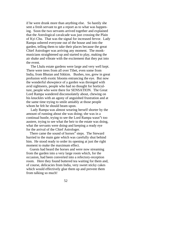if he were drunk more than anything else. So hastily she sent a fresh servant to get a report as to what was happening. Soon the two servants arrived together and explained that the Astrological cavalcade was just crossing the Plain of Kyi Chu. That was the signal for increased fervor. Lady Rampa ushered everyone out of the house and into the garden, telling them to take their places because the great Chief Astrologer was arriving any moment. The monkmusicians straightened up and started to play, making the air shake and vibrate with the excitement that they put into the event.

 The Lhalu estate gardens were large and very well kept. There were trees from all over Tibet, even some from India, from Bhutan and Sikkim. Bushes, too, grew in great profusion with exotic blooms entrancing the eye. But now the wonderful showpiece of a garden was thronged with avid sightseers, people who had no thought for horticulture, people who were there for SENSATION. The Great Lord Rampa wandered disconsolately about, chewing on his knuckles with an agony of anguished frustration and at the same time trying to smile amiably at those people whom he felt he should beam upon.

 Lady Rampa was almost wearing herself shorter by the amount of running about she was doing; she was in a continual bustle, trying to see the Lord Rampa wasn"t too austere, trying to see what the heir to the estate was doing, what the servants were doing-and keeping a ready eye for the arrival of the Chief Astrologer.

 There came the sound of horses" steps. The Steward hurried to the main gate which was carefully shut behind him. He stood ready to order its opening at just the right moment to make the maximum effect.

 Guests had heard the horses and were now streaming from the garden into a very large room which, for the occasion, had been converted into a refectory-reception room. Here they found buttered tea waiting for them and, of course, delicacies from India, very sweet sticky cakes which would effectively glue them up and prevent them from talking so much!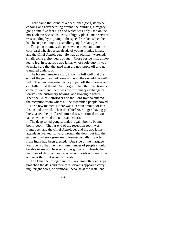There came the sound of a deep-toned gong, its voice echoing and reverberating around the building, a mighty gong some five feet high and which was only used on the most solemn occasions. Now a highly placed man servant was standing by it giving it the special strokes which he had been practicing on a smaller gong for days past.

 The gong boomed, the gate swung open, and into the courtyard wheeled a cavalcade of young monks, lamas, and the Chief Astrologer. He was an old man, wizened, small, some eighty years of age. Close beside him, almost leg to leg, in fact, rode two lamas whose sole duty it was to make sure that the aged man did not topple off and get trampled underfoot.

 The horses came to a stop, knowing full well that the end of the journey had come and now they would be well fed. The two lama-attendants jumped off their horses and carefully lifted the old Astrologer. Then the Lord Rampa came forward and there was the customary exchange of scarves, the customary bowing, and bowing in return. Then the Chief Astrologer and the Lord Rampa entered the reception room where all the assembled people bowed

 For a few moments there was a certain amount of confusion and turmoil. Then the Chief Astrologer, having politely tasted the proffered buttered tea, motioned to two lamas who carried the notes and charts.

 The deep-toned gong sounded again, boom, boom, boom-boom. The far end of the reception room was flung open and the Chief Astrologer and his two lamaattendants walked forward through the door, out into the garden to where a great marquee—especially imported from India-had been erected. One side of the marquee was open so that the maximum number of people should be able to see and hear what was going on. Inside the marquee of dais had been erected with rails on three sides and near the front were four seats.

 The Chief Astrologer and his two lama-attendants approached the dais and then four servants appeared carrying upright poles, or flambeau, because at the distal end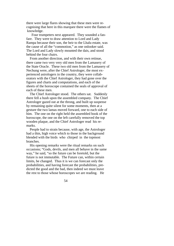there were large flares showing that these men were recognising that here in this marquee there were the flames of knowledge.

 Four trumpeters next appeared. They sounded a fanfare. They were to draw attention to Lord and Lady Rampa because their son, the heir to the Lhalu estate, was the cause of all the "commotion," as one onlooker said. The Lord and Lady slowly mounted the dais, and stood behind the four chairs.

 From another direction, and with their own retinue, there came two very very old men from the Lamasery of the State Oracle. These two old men from the Lamasery of Nechung were, after the Chief Astrologer, the most experienced astrologers in the country, they were collaborators with the Chief Astrologer, they had gone over the figures and charts and computations, and each of the sheets of the horoscope contained the seals of approval of each of these men.

 The Chief Astrologer stood. The others sat. Suddenly there fell a hush upon the assembled company. The Chief Astrologer gazed out at the throng, and built up suspense by remaining quite silent for some moments, then at a gesture the two lamas moved forward, one to each side of him. The one on the right held the assembled book of the horoscope, the one on the left carefully removed the top wooden plaque, and the Chief Astrologer read his remarks.

 People had to strain because, with age, the Astrologer had a thin, high voice which to those in the background blended with the birds who chirped in the topmost branches.

 His opening remarks were the ritual remarks on such occasions; "Gods, devils, and men all behave in the same way," he said, "so the future can be foretold, but the future is not immutable. The Future can, within certain limits, be changed. Thus it is we can forecast only the probabilities, and having forecast the probabilities, predicted the good and the bad, then indeed we must leave the rest to those whose horoscopes we are reading. He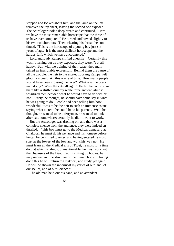stopped and looked about him, and the lama on the left removed the top sheet, leaving the second one exposed. The Astrologer took a deep breath and continued, "Here we have the most remarkable horoscope that the three of us have ever computed." He turned and bowed slightly to his two collaborators. Then, clearing his throat, he continued, "This is the horoscope of a young boy just six years of age. It is the most difficult horoscope and the hardest Life which we have encountered."

 Lord and Lady Rampa shifted uneasily. Certainly this wasn't turning out as they expected, they weren"t at all happy. But, with the training of their caste, they maintained an inscrutable expression. Behind them the cause of all the trouble, the heir to the estate, Lobsang Rampa, felt gloomy indeed. All this waste of time. How many people would have been crossing the river? What was the boatman doing? Were the cats all right? He felt he had to stand there like a stuffed dummy while three ancient, almost fossilized men decided what he would have to do with his life. Surely, he thought, he should have some say in what he was going to do. People had been telling him how wonderful it was to be the heir to such an immense estate, saying what a credit he could be to his parents. Well, he thought, he wanted to be a ferryman, he wanted to look after cats somewhere; certainly he didn't want to work.

 But the Astrologer was droning on, and there was a complete silence from the audience, they were indeed enthralled. "This boy must go to the Medical Lamasery at Chakpori, he must do his penance and his homage before he can be permitted to enter, and having entered he must start as the lowest of the low and work his way up. He must learn all the Medical arts of Tibet, he must for a time do that which is almost unmentionable; he must work with the Disposers of the Dead that, in cutting up bodies, he may understand the structure of the human body. Having done this he will return to Chakpori, and study yet again. He will be shown the innermost mysteries of our land, of our Belief, and of our Science."

The old man held out his hand, and an attendant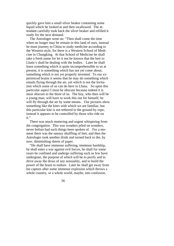quickly gave him a small silver beaker containing some liquid which he looked at and then swallowed. The attendant carefully took back the silver beaker and refilled it ready for the next demand.

 The Astrologer went on: "Then shall come the time when no longer may he remain in this land of ours, instead he must journey to China to study medicine according to the Western style, for there is a Western School of Medicine in Chungking. At that School of Medicine he shall take a fresh name for let it not be known that the heir to Lhalu's shall be dealing with the bodies. Later he shall learn something which is quite incomprehensible to us at present, it is something which has not yet come about, something which is not yet properly invented. To our experienced brains it seems that he may do something which entails flying through the air, yet which is not the levitation which some of us can do here in Lhasa. So upon this particular aspect I must be obscure because indeed it is most obscure to the three of us. The boy, who then will be a young man, will have to work this out for himself, he will fly through the air by some means. Our pictures show something like the kites with which we are familiar, but this particular kite is not tethered to the ground by rope, instead it appears to be controlled by those who ride on it."

 There was much muttering and urgent whispering from the congregation. This was wonders piled on wonders, never before had such things been spoken of. For a moment there was the uneasy shuffling of feet, and then the Astrologer took another drink and turned back to the, by now, diminishing sheets of paper.

 "He shall have immense suffering, immense hardship, he shall enter a war against evil forces, he shall for some years be confined and undergo suffering such as few have undergone, the purpose of which will be to purify and to drive away the dross of any sensuality, and to build the power of the brain to endure. Later he shall get away from his captors after some immense explosion which throws a whole country, or a whole world, maybe, into confusion.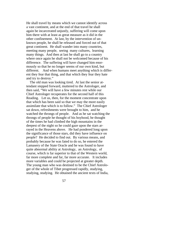He shall travel by means which we cannot identify across a vast continent, and at the end of that travel he shall again be incarcerated unjustly, suffering will come upon him there with at least as great measure as it did in the other confinement. At last, by the intervention of unknown people, he shall be released and forced out of that great continent. He shall wander into many countries, meeting many people, seeing many cultures, learning many things. And then at last he shall go to a country where once again he shall not be welcomed because of his difference. The suffering will have changed him enormously so that he no longer seems of our own kind, but different. And when humans meet anything which is different they fear that thing, and that which they fear they hate and try to destroy."

 The old man was looking tired. At last the senior attendant stepped forward, muttered to the Astrologer, and then said, "We will have a few minutes rest while our Chief Astrologer recuperates for the second half of this Reading. Let us, then, for the moment concentrate upon that which has been said so that we may the more easily assimilate that which is to follow." The Chief Astrologer sat down, refreshments were brought to him, and he watched the throngs of people. And as he sat watching the throngs of people he thought of his boyhood, he thought of the times he had climbed the high mountains in the deepest of the night so he could gaze upon the stars arrayed in the Heavens above. He had pondered long upon the significance of those stars, did they have influence on people? He decided to find out. By various means, and probably because he was fated to do so, he entered the Lamasery of the State Oracle and he was found to have quite abnormal ability at Astrology, an Astrology, of course, which is far superior to that of the Western world, far more complete and far, far more accurate. It includes more variables and could be projected at greater depth. The young man who was destined to be the Chief Astrologer of the whole of Tibet progressed rapidly, studying, studying, studying. He obtained the ancient texts of India,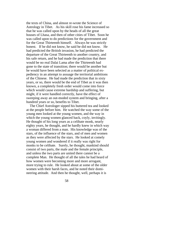the texts of China, and almost re-wrote the Science of Astrology in Tibet. As his skill rose his fame increased so that he was called upon by the heads of all the great houses of Lhasa, and then of other cities of Tibet. Soon he was called upon to do predictions for the government and for the Great Thirteenth himself. Always he was strictly honest. If he did not know, he said he did not know. He had predicted the British invasion, he had predicted the departure of the Great Thirteenth to another country, and his safe return, and he had made the prediction that there would be no real Dalai Lama after the Thirteenth had gone to the state of transition; there would be another but he would have been selected as a matter of political expediency in an attempt to assuage the territorial ambitions of the Chinese. He had made the prediction that in sixty years, or so, there would be the end of Tibet as it was then known, a completely fresh order would come into force which would cause extreme hardship and suffering, but might, if it were handled correctly, have the effect of sweeping away an out-moded system and bringing, after a hundred years or so, benefits to Tibet.

 The Chief Astrologer sipped his buttered tea and looked at the people before him. He watched the way some of the young men looked at the young women, and the way in which the young women glanced back, coyly, invitingly. He thought of his long years as a celibate monk, nearly eighty years, he thought, and he hardly knew in which way a woman differed from a man. His knowledge was of the stars, of the influence of the stars, and of men and women as they were affected by the stars. He looked at comely young women and wondered if it really was right for monks to be celibate. Surely, he thought, mankind should consist of two parts, the male and the female principle, and unless the two parts are united there cannot be a complete Man. He thought of all the tales he had heard of how women were becoming more and more arrogant, more trying to rule. He looked about at some of the older women with their harsh faces, and he noted their domineering attitude. And then he thought, well, perhaps it is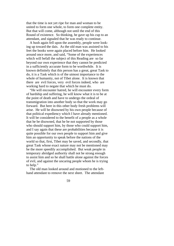that the time is not yet ripe for man and woman to be united to form one whole, to form one complete entity. But that will come, although not until the end of this Round of existence. So thinking, he gave up his cup to an attendant, and signaled that he was ready to continue.

 A hush again fell upon the assembly, people were looking up toward the dais. As the old man was assisted to his feet the books were again placed before him. He looked around once more, and said, "Some of the experiences which will befall the subject of this Reading are so far beyond our own experience that they cannot be predicted in a sufficiently accurate form to be worthwhile. It is known definitely that this person has a great, great Task to do, it is a Task which is of the utmost importance to the whole of humanity, not of Tibet alone. It is known that there are evil forces, very evil forces indeed, who are working hard to negate that which he must do.

 "He will encounter hatred, he will encounter every form of hardship and suffering, he will know what it is to be at the point of death and have to undergo the ordeal of transmigration into another body so that the work may go forward. But here in this other body fresh problems will arise. He will be disowned by his own people because of that political expediency which I have already mentioned. It will be considered to the benefit of a people as a whole that he be disowned, that he be not supported by those who should support him, by those who could support him, and I say again that these are probabilities because it is quite possible for our own people to support him and give him an opportunity to speak before the nations of the world so that, first, Tibet may be saved, and secondly, that great Task whose exact nature may not be mentioned may be the more speedily accomplished. But weak people in temporary abridged authority shall not be strong enough to assist him and so he shall battle alone against the forces of evil, and against the uncaring people whom he is trying to help."

 The old man looked around and motioned to the lefthand attendant to remove the next sheet. The attendant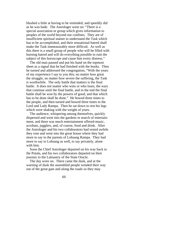blushed a little at having to be reminded, and speedily did as he was bade. The Astrologer went on: "There is a special association or group which gives information to peoples of the world beyond our confines. They are of insufficient spiritual stature to understand the Task which has to be accomplished, and their sensational hatred shall make the Task immeasurably more difficult. As well as this there is a small group of people who will be filled with burning hatred and will do everything possible to ruin the subject of this horoscope and cause him every distress."

 The old man paused and put his hand on the topmost sheet as a signal that he had finished with the books. Then he turned and addressed the congregation, "With the years of my experience I say to you this; no matter how great the struggle, no matter how severe the suffering, the Task is worthwhile. The only battle that matters is the final battle. It does not matter who wins or who loses, the wars that continue until the final battle, and in the end the final battle shall be won by the powers of good, and that which has to be done shall be done." He bowed three times to the people, and then turned and bowed three times to the Lord and Lady Rampa. Then he sat down to rest his legs which were shaking with the weight of years.

 The audience, whispering among themselves, quickly dispersed and went into the gardens in search of entertainment, and there was much entertainment offered-music, acrobats, jugglers, and, of course, food and drink. After the Astrologer and his two collaborators had rested awhile they rose and went into the great house where they had more to say to the parents of Lobsang Rampa. They had more to say to Lobsang as well, to say privately, alone with him.

 Soon the Chief Astrologer departed on his way back to the Potala, and his two collaborators departed on their journey to the Lalnasery of the State Oracle.

 The day wore on. There came the dusk, and at the warning of dusk the assembled people wended their way out of the great gate and along the roads so they may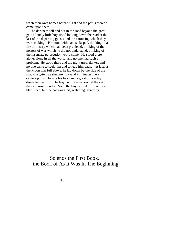reach their own homes before night and the perils thereof came upon them.

 The darkness fell and out in the road beyond the great gate a lonely little boy stood looking down the road at the last of the departing guests and the carousing which they were making. He stood with hands clasped, thinking of a life of misery which had been predicted, thinking of the horrors of war which he did not understand, thinking of the insensate persecution yet to come. He stood there alone, alone in all the world, and no one had such a problem. He stood there and the night grew darker, and no one came to seek him and to lead him back. At last, as the Moon was full above, he lay down by the side of the road-the gate was shut anyhow-and in minutes there came a purring beside his head and a great big cat lay down beside him. The boy put his arms around the cat, the cat purred louder. Soon the boy drifted off to a troubled sleep, but the cat was alert, watching, guarding.

## So ends the First Book, the Book of As It Was In The Beginning.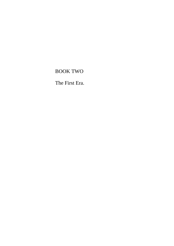# BOOK TWO

The First Era.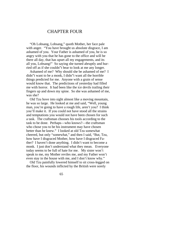#### CHAPTER FOUR

 "Oh Lobsang, Lobsang," quoth Mother, her face pale with anger. "You have brought us absolute disgrace, I am ashamed of you. Your Father is ashamed of you, he is so angry with you that he has gone to the office and will be there all day, that has upset all my engagements, and its all you, Lobsang!" So saying she turned abruptly and hurried off as if she couldn"t bear to look at me any longer.

 Ashamed of me? Why should she be ashamed of me? I didn"t want to be a monk, I didn"t want all the horrible things predicted for me. Anyone with a grain of sense would know that. The predictions of yesterday had filled me with horror. It had been like the ice devils trailing their fingers up and down my spine. So she was ashamed of me, was she?

 Old Tzu hove into sight almost like a moving mountain, he was so large. He looked at me and said, "Well, young man, you're going to have a rough life, aren't you? I think you'll make it. If you could not have stood all the strains and temptations you would not have been chosen for such a task. The craftsman chooses his tools according to the task to be done. Perhaps—who knows?—the craftsman who chose you to be his instrument may have chosen better than he knew." I looked at old Tzu somewhat cheered, but only "somewhat," and then I said, "But, Tzu, how have I disgraced Mother, how have I disgraced Father? I haven't done anything. I didn't want to become a monk. I just don't understand what they mean. Everyone today seems to be full of hate for me. My sister won't speak to me, my Mother reviles me, and my Father won't even stay in the house with me, and I don't know why."

 Old Tzu painfully lowered himself to sit cross-legged on the floor, his wounds inflicted by the British were sorely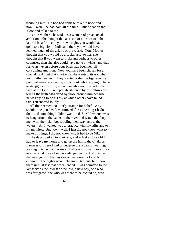troubling him. He had had damage to a hip bone and now—well—he had pain all the time. But he sat on the floor and talked to me.

 "Your Mother," he said, "is a woman of great social ambition. She thought that as a son of a Prince of Tibet, later to be a Prince in your own right, you would have gone to a big city in India and there you would have learned much of the affairs of the world. Your Mother thought that you would be a social asset to her, she thought that if you went to India and perhaps to other countries, then she also could have gone on visits, and that for years, even before your birth, has been her allconsuming ambition. Now you have been chosen for a special Task, but that's not what she wanted, its not what your Father wanted. They wanted a shining figure in the political arena, a socialite, not a monk who is going to have to struggle all his life, not a man who would wander the face of the Earth like a pariah, shunned by his fellows for telling the truth ostracized by those around him because he was trying to do a Task at which others have failed." Old Tzu snorted loudly.

 All this seemed too utterly strange for belief. Why should I be penalized, victimized, for something I hadn"t done and something I didn't want to do? All I wanted was to hang around the banks of the river and watch the ferrymen with their skin boats poling their way across the waters. All I wanted was to practice with my stilts and to fly my kites. But now—well, I just did not know what to make of things, I did not know why it had to be ME.

 The days sped all too quickly, and at last as foretold I had to leave my home and go up the hill to the Chakpori Lamasery. There I had to undergo the ordeal of waiting, waiting outside the cynosure of all eyes. Small boys clustered around me as I sat cross-legged in the dust outside the great gates. The days were unendurably long, but I endured. The nights were unbearably tedious, but I bore them until at last that ordeal ended. I was admitted to the lamasery as the lowest of the low, a new boy, one who was fair game, one who was there to be picked on, who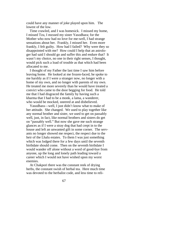could have any manner of joke played upon him. The lowest of the low.

 Time crawled, and I was homesick. I missed my home, I missed Tzu, I mzssed my sister Yasodhara; for the Mother who now had no love for me-well, I had strange sensations about her. Frankly, I missed her. Even more frankly, I felt guilty. How had I failed? Why were they so disappointed with me? How could I help that an astrologer had said I should go and suffer this and endure that? It wasn't my choice, no one in their right senses, I thought, would pick such a load of trouble as that which had been allocated to me.

 I thought of my Father the last time I saw him before leaving home. He looked at me frozen-faced, he spoke to me harshly as if I were a stranger now, no longer with a home of my own, and no longer with parents of my own. He treated me more severely than he would have treated a convict who came to the door begging for food. He told me that I had disgraced the family by having such a kharma that I had to be a monk, a lama, a wanderer, who would be mocked, sneered at and disbelieved.

 Yasodhara—well, I just didn't know what to make of her attitude. She changed. We used to play together like any normal brother and sister, we used to get on passably well, just, in fact, like normal brothers and sisters do get on "passably well." But now she gave me such strange glances as if I were a stray dog that had crept in to the house and left an unwanted gift in some corner. The servants no longer showed me respect, the respect due to the heir of the Lhalu estates. To them I was just something which was lodged there for a few days until the seventh birthdate should come. Then on the seventh birthdate I would wander off alone without a word of good-bye from anyone, up the long and lonely path leading toward a career which I would not have wished upon my worst enemies.

 At Chakpori there was the constant reek of drying herbs, the constant swish of herbal tea. Here much time was devoted to the herbalist code, and less time to reli-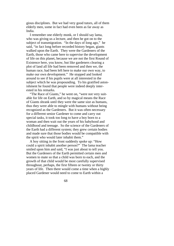gious disciplines. But we had very good tutors, all of them elderly men, some in fact had even been as far away as India.

 I remember one elderly monk, or I should say lama, who was giving us a lecture, and then he got on to the subject of transmigration. "In the days of long ago," he said, "in fact long before recorded history began, giants walked upon the Earth. They were the Gardeners of the Earth, those who came here to supervise the development of life on this planet, because we are not the first Round of Existence here, you know, but like gardeners clearing a plot of land all life had been removed and then we, the human race, had been left here to make our own way, to make our own development." He stopped and looked around to see if his pupils were at all interested in the subject which he was propounding. To his gratified astonishment he found that people were indeed deeply interested in his remarks.

 "The Race of Giants," he went on, "were not very suitable for life on Earth, and so by magical means the Race of Giants shrank until they were the same size as humans, thus they were able to mingle with humans without being recognized as the Gardeners. But it was often necessary for a different senior Gardener to come and carry out special tasks, it took too long to have a boy born to a woman and then wait out the years of his babyhood and childhood and teenage. So the science of the Gardeners of the Earth had a different system; they grew certain bodies and made sure that those bodies would be compatible with the spirit who would later inhabit them."

 A boy sitting in the front suddenly spoke up: "How could a spirit inhabit another person?" The lama teacher smiled upon him and said, "I was just about to tell you. But the Gardeners of the Earth permitted certain men and women to mate so that a child was born to each, and the growth of that child would be most carefully supervised throughout, perhaps, the first fifteen or twenty or thirty years of life. Then there would come a time when a highly placed Gardener would need to come to Earth within a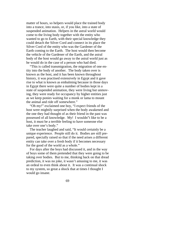matter of hours, so helpers would place the trained body into a trance, into stasis, or, if you like, into a state of suspended animation. Helpers in the astral world would come to the living body together with the entity who wanted to go to Earth, with their special knowledge they could detach the Silver Cord and connect in its place the Silver Cord of the entity who was the Gardener of the Earth coming to the Earth. The host would then become the vehicle of the Gardener of the Earth, and the astral body of the host would go away to the astral world just as he would do in the case of a person who had died.

 "This is called transmigration, the migration of one entity into the body of another. The body taken over is known as the host, and it has been known throughout history, it was practised extensively in Egypt and it gave rise to what is known as embalming because in those days in Egypt there were quite a number of bodies kept in a state of suspended animation, they were living but unmoving, they were ready for occupancy by higher entities just as we keep ponies waiting for a monk or lama to mount the animal and ride off somewhere."

 "Oh my!" exclaimed one boy, "I expect friends of the host were mightily surprised when the body awakened and the one they had thought of as their friend in the past was possessed of all knowledge. My! I wouldn"t like to be a host, it must be a terrible feeling to have someone else take over one's body."

 The teacher laughed and said, "It would certainly be a unique experience. People still do it. Bodies are still prepared, specially raised so that if the need arises a different entity can take over a fresh body if it becomes necessary for the good of the world as a whole."

 For days after the boys had discussed it, and in the way of boys some of them pretended that they were going to be taking over bodies. But to me, thinking back on that dread prediction, it was no joke, it wasn't amusing to me, it was an ordeal to even think about it. It was a continual shock to my system, so great a shock that at times I thought I would go insane.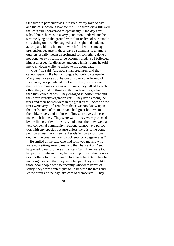One tutor in particular was intrigued by my love of cats and the cats' obvious love for me. The tutor knew full well that cats and I conversed telepathically. One day after school hours he was in a very good mood indeed, and he saw me lying on the ground with four or five of our temple cats sitting on me. He laughed at the sight and bade me accompany him to his room, which I did with some apprehension because in those days a summons to a lama's quarters usually meant a reprimand for something done or not done, or extra tasks to be accomplished. So I followed him at a respectful distance, and once in his rooms he told me to sit down while he talked to me about cats.

 "Cats," he said, "are now small creatures, and they cannot speak in the human tongue but only by telepathy. Many, many years ago, before this particular Round of Existence, cats populated the Earth. They were bigger they were almost as big as our ponies, they talked to each other, they could do things with their forepaws, which then they called hands. They engaged in horticulture and they were largely vegetarian cats. They lived among the trees and their houses were in the great trees. Some of the trees were very different from those we now know upon the Earth, some of them, in fact, had great hollows in them like caves, and in those hollows, or caves, the cats made their homes. They were warm, they were protected by the living entity of the tree, and altogether they were a very congenial community. But one cannot have perfection with any species because unless there is some comepetition unless there is some dissatisfaction to spur one on, then the creature having such euphoria degenerates."

 He smiled at the cats who had followed me and who were now sitting around me, and then he went on, "such happened to our brothers and sisters Cat. They were too happy, too contented, they had nothing to spur their ambition, nothing to drive them on to greater heights. They had no thought except that they were happy. They were like those poor people we saw recently who were bereft of sanity, they were content just to lie beneath the trees and let the affairs of the day take care of themselves. They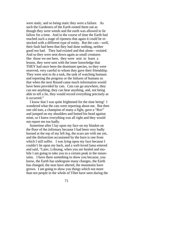were static, and so being static they were a failure. As such the Gardeners of the Earth rooted them out as though they were weeds and the earth was allowed to lie fallow for a time. And in the course of time the Earth had reached such a stage of ripeness that again it could be restocked with a different type of entity. But the cats—well, their fault had been that they had done nothing, neither good nor bad. They had existed and that alone—existed. And so they were sent down again as small creatures like those we see here, they were sent to learn a lesson, they were sent with the inner knowledge that THEY had once been the dominant species, so they were reserved, very careful to whom they gave their friendship. They were sent to do a task, the task of watching humans and reporting the progress or the failures of humans so that when the next Round came much information would have been provided by cats. Cats can go anywhere, they can see anything, they can hear anything, and, not being able to tell a lie, they would record everything precisely as it occurred."

 I know that I was quite frightened for the time being! I wondered what the cats were reporting about me. But then one old tom, a champion of many a fight, gave a "Rrrr" and jumped on my shoulders and butted his head against mine, so I knew everything was all right and they would not report me too badly.

 Sometime after I lay upon my face on my blanket on the floor of the infirmary because I had been very badly burned at the top of my left leg, the scars are with me yet, and the disfunction occasioned by the burn is one from which I still suffer. I was lying upon my face because I couldn't lie upon my back, and a well-loved lama entered and said, "Later, Lobsang, when you are healed and mobile I am going to take you to a certain peak in the mountains. I have there something to show you because, you know, the Earth has undergone many changes, the Earth has changed, the seas have altered, the mountains have grown. I am going to show you things which not more than ten people in the whole of Tibet have seen during the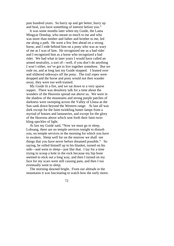past hundred years. So hurry up and get better, hurry up and heal, you have something of interest before you."

 It was some months later when my Guide, the Lama Mingyar Dondup, who meant so much to me and who was more than mother and father and brother to me, led me along a path. He went a few feet ahead on a strong horse, and I rode behind him on a pony who was as wary of me as I was of him. He recognized me as a bad rider and I recognized him as a horse who recognized a bad rider. We had what in later years I would have called an armed neutrality, a sort of—well, if you don't do anything I won't either, we've got to live together somehow. But we rode on, and at long last my Guide stopped. I leaned over and slithered sideways off the pony. The trail ropes were dropped and the horse and pony would not then wander away, they were too well-trained.

 My Guide lit a fire, and we sat down to a very sparse supper. There was desultory talk for a time about the wonders of the Heavens spread out above us. We were in the shadow of the mountains and strong purple patches of darkness were sweeping across the Valley of Lhasa as the Sun sank down beyond the Western range. At last all was dark except for the faint twinkling butter lamps from a myriad of houses and lamaseries, and except for the glory of the Heavens above which sent forth their faint twinkling speckles of light.

 At last my Guide said, "Now we must go to sleep, Lobsang, there are no temple services tonight to disturb you, no temple services in the morning for which you have to awaken. Sleep well for on the morrow we shall see things that you have never before dreamed possible." So saying, he rolled himself up in his blanket, turned on his side—and went to sleep—just like that. I lay for a time trying to scoop a hole in the rock because my hip bone seemed to stick out a long way, and then I turned on my face for my scars were still causing pain, and then I too eventually went to sleep.

 The morning dawned bright. From our altitude in the mountains it was fascinating to watch how the early morn-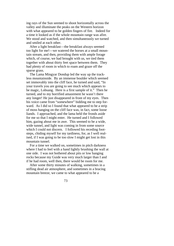ing rays of the Sun seemed to shoot horizontally across the valley and illuminate the peaks on the Western horizon with what appeared to be golden fingers of fire. Indeed for a time it looked as if the whole mountain range was afire. We stood and watched, and then simultaneously we turned and smiled at each other.

 After a light breakfast—the breakfast always seemed too light for me!—we watered the horses at a small mountain stream, and then, providing them with ample forage which, of course, we had brought with us, we tied them together with about thirty feet space between them. They had plenty of room in which to roam and graze off the sparse grass.

 The Lama Mingyar Dondup led the way up the trackless mountainside. By an immense boulder which seemed set immovably into the cliff face, he turned and said, "In your travels you are going to see much which appears to be magic, Lobsang. Here is a first sample of it." Then he turned, and to my horrified amazement he wasn't there any longer! He just disappeared in front of my eyes. Then his voice came from "somewhere" bidding me to step forward. As I did so I found that what appeared to be a strip of moss hanging on the cliff face was, in fact, some loose liands. I approached, and the lama held the fronds aside for me so that I might enter. He turned and I followed him, gazing about me in awe. This seemed to be a wide, wide tunnel, and light was coming in from some source which I could not discern. I followed his receding footsteps, chiding myself for my tardiness, for, as I well realised, if I was going to be too slow I might get lost in this mountain tunnel.

 For a time we walked on, sometimes in pitch darkness where I had to feel with a hand lightly brushing the wall at one side. I was not bothered about pits or low hanging rocks because my Guide was very much larger than I and if he had room, well then, there would be room for me.

 After some thirty minutes of walking, sometimes in a stifling dead air atmosphere, and sometimes in a bracing mountain breeze, we came to what appeared to be a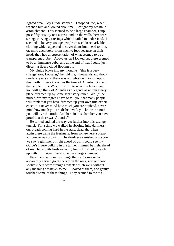lighted area. My Guide stopped. I stopped, too, when I reached him and looked about me. I caught my breath in astonishment. This seemed to be a large chamber, I suppose fifty or sixty feet across, and on the walls there were strange carvings, carvings which I failed to understand. It seemed to be very strange people dressed in remarkable clothing which appeared to cover them from head to foot, or, more accurately, from neck to foot because on their heads they had a representation of what seemed to be a transparent globe. Above us, as I looked up, there seemed to be an immense cube, and at the end of that I could just discern a fleecy cloud floating by.

 My Guide broke into my thoughts: "this is a very strange area, Lobsang," he told me, "thousands and thousands of years ago there was a mighty civilization upon this Earth. It was known as the time of Atlantis. Some of the people of the Western world to which in later years you will go think of Atlantis as a legend, as an imaginary place dreamed up by some great story-teller. Well," he mused, "to my regret I have to tell you that many people will think that you have dreamed up your own true experiences, but never mind how much you are doubted, never mind how much you are disbelieved, you know the truth, you will live the truth. And here in this chamber you have proof that there was Atlantis."

 He turned and led the way yet further into this strange tunnel. For a time we walked in absolute inky darkness, our breath coming hard in the stale, dead air. Then again there came the freshness, from somewhere a pleasant breeze was blowing. The deadness vanished and soon we saw a glimmer of light ahead of us. I could see my Guide's figure bulking in the tunnel, limmed by light ahead of me. Now with fresh air in my lungs I hurried to catch up with him. Again he stopped in a large chamber.

 Here there were more strange things. Someone had apparently carved great shelves in the rock, and on those shelves there were strange artifacts which were without any meaning whatever to me. I looked at them, and gently touched some of these things. They seemed to me ma-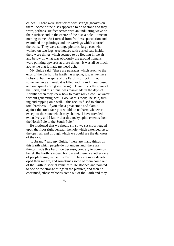chines. There were great discs with strange grooves on them. Some of the discs appeared to be of stone and they were, perhaps, six feet across with an undulating wave on their surface and in the centre of the disc a hole. It meant nothing to me. So I turned from fruitless speculation and examined the paintings and the carvings which adorned the walls. They were strange pictures, large cats who walked on two legs, tree houses with curled cats inside. there were things which seemed to be floating in the air and below on what was obviously the ground humans were pointing upwards at these things. It was all so much above me that it made my head ache.

 My Guide said, "these are passages which reach to the ends of the Earth. The Earth has a spine, just as we have Lobsang, but the spine of the Earth is of rock. In our spine we have a tunnel, it is filled with liquid in our case, and our spinal cord goes through. Here this is the spine of the Earth, and this tunnel was man-made in the days of Atlantis when they knew how to make rock flow like water without generating heat. Look at this rock;" he said, turning and rapping on a wall. "this rock is fused to almost total hardness. If you take a great stone and slam it against this rock face you would do no harm whatever except to the stone which may shatter. I have traveled extensively and I know that this rocky spine extends from the North Pole to the South Pole."

 He motioned that we should sit, so we sat cross-legged upon the floor right beneath the hole which extended up to the open air and through which we could see the darkness of the sky.

 "Lobsang," said my Guide, "there are many things on this Earth which people do not understand, there are things inside this Earth too because, contrary to common belief, the Earth is indeed hollow and there is another race of people living inside this Earth. They are more developed than we are, and sometimes some of them come out of the Earth in special vehicles." He stopped and pointed to one of the strange things in the pictures, and then he continued, 'these vehicles come out of the Earth and they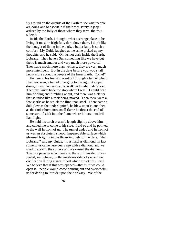fly around on the outside of the Earth to see what people are doing and to ascertain if their own safety is jeopardised by the folly of those whom they term the "outsiders".

 Inside the Earth, I thought, what a strange place to be living, it must be frightfully dark down there, I don't like the thought of living in the dark, a butter lamp is such a comfort. My Guide laughed at me as he picked up my thoughts, and he said, "Oh, its not dark inside the Earth, Lobsang. They have a Sun something like we have but theirs is much smaller and very much more powerful. They have much more than we have, they are very much more intelligent. But in the days before you, you shall know more about the people of the Inner Earth. Come!"

 He rose to his feet and went off through a tunnel which I had not seen, a tunnel diverging to the right, it sloped down, down. We seemed to walk endlessly in darkness. Then my Guide bade me stop where I was. I could hear him fiddling and fumbling about, and there was a clatter that sounded like a rock being moved. Then there were a few sparks as he struck the flint upon steel. There came a dull glow as the tinder ignited, he blew upon it, and then as the tinder burst into small flame he thrust the end of some sort of stick into the flame where it burst into brilliant light.

 He held his torch at arm's length slightly above him and called me to come to his side. I did so and he pointed to the wall in front of us. The tunnel ended and in front of us was an absolutely smooth impenetrable surface which gleamed brightly in the flickering light of the flare. "that Lobsang," said my Guide, "is as hard as diamond, in fact some of us came here years ago with a diamond and we tried to scratch the surface and we ruined the diamond. This is a passage which leads to the world inside. It was sealed, we believe, by the inside-worlders to save their civilization during a great flood which struck this Earth. We believe that if this was opened—that is, if we could open it—people would come pouring out and overwhelm us for daring to intrude upon their privacy. We of the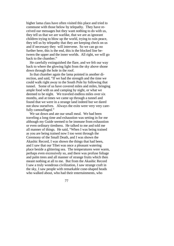higher lama class have often visited this place and tried to commune with those below by telepathy. They have received our messages but they want nothing to do with us, they tell us that we are warlike, that we are as ignorant children trying to blow up the world, trying to ruin peace, they tell us by telepathy that they are keeping check on us and if necessary they will intervene. So we can go no further here, this is the end, this is the blocked line between the upper and the inner worlds. All right, we will go back to the chamber."

 He carefully extinguished the flare, and we felt our way back to where the glowing light from the sky above shone down through the hole in the roof.

 In that chamber again the lama pointed in another direction, and said, "If we had the strength and the time we could walk right away to the South Pole by following that tunnel. Some of us have covered miles and miles, bringing ample food with us and camping by night, or what we deemed to be night. We traveled endless miles over six months, and at times we came up through a tunnel and found that we were in a strange land indeed but we dared not show ourselves. Always the exits were very very carefully camouflaged."

 We sat down and ate our small meal. We had been traveling a long time and exhaustion was setting in for me although my Guide seemed to be immune from exhaustion or even ordinary tiredness. He talked to me and told me all manner of things. He said, "When I was being trained as you are being trained now I too went through the Ceremony of the Small Death, and I was shown the Akashic Record, I was shown the things that had been, and I saw that our Tibet was once a pleasant watering place beside a glittering sea. The temperatures were warm, perhaps even excessively so, and there was profuse foliage and palm trees and all manner of strange fruits which then meant nothing at all to me. But from the Akashic Record I saw a truly wondrous civilization, I saw strange craft in the sky, I saw people with remarkable cone-shaped heads who walked about, who had their entertainments, who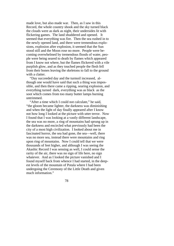made love, but also made war. Then, as I saw in this Record, the whole country shook and the sky turned black the clouds were as dark as night, their undersides lit with flickering games. The land shuddered and opened. It seemed that everything was fire. Then the sea rushed in to the newly opened land, and there were tremendous explosions, explosion after explosion, it seemed that the Sun stood still and the Moon rose no more. People were becoming overwhelmed by tremendous floods of water, people were being seared to death by flames which appeared from I know not where, but the flames flickered with a vile purplish glow, and as they touched people the flesh fell from their bones leaving the skeletons to fall to the ground with a clatter.

 "Day succeeded day and the turmoil increased, although one would have said that such a thing was impossible, and then there came a ripping, searing explosion, and everything turned dark, everything was as black as the soot which comes from too many butter lamps burning untrimmed.

 "After a time which I could not calculate," he said, "the gloom became lighter, the darkness was diminishing and when the light of day finally appeared after I know not how long I looked at the picture with utter terror. Now I found that I was looking at a vastly different landscape, the sea was no more, a ring of mountains had sprung up in the darkness and encircled what previously had been the city of a most high civilization. I looked about me in fascinated horror, the sea had gone, the sea—well, there was no more sea, instead there were mountains and ring upon ring of mountains. Now I could tell that we were thousands of feet higher, and although I was seeing the Akashic Record I was sensing as well, I could sense the rarity of the air, there was no sign of life here, no sign whatever. And as I looked the picture vanished and I found myself back from whence I had started, in the deepest levels of the mountain of Potala where I had been undergoing the Ceremony of the Little Death and given much information."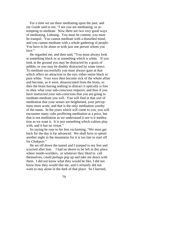For a time we sat there meditating upon the past, and my Guide said to me, "I see you are meditating, or attempting to meditate. Now there are two very good ways of meditating, Lobsang. You must be content, you must be tranquil. You cannot meditate with a disturbed mind, and you cannot meditate with a whole gathering of people. You have to be alone or with just one person whom you love."

 He regarded me, and then said, "You must always look at something black or at something which is white. If you look at the ground you may be distracted by a grain of pebble, or you may be doubly distracted by some insect. To meditate successfully you must always gaze at that which offers no attraction to the eye, either entire black or pure white. Your eyes then become sick of the whole affair and become, as it were, disassociated from the brain, so then the brain having nothing to distract it optically is free to obey what your sub-conscious requires, and thus if you have instructed your sub-conscious that you are going to meditate-meditate you will. You will find in that sort of meditation that your senses are heightened, your perceptions more acute, and that is the only meditation worthy of the name. In the years which will come to you, you will encounter many cults proffering meditation at a price, but that is not meditation as we understand it nor is it meditation as we want it. It is just something which cultists play with, and it has no virtue."

 So saying he rose to his feet exclaiming, "We must get back for the day is far advanced. We shall have to spend another night in the mountains for it is too late to start off for Chakpori."

 He set off down the tunnel and I jumped to my feet and scurried after him. I had no desire to be left in this place where inside-worlders, or whatever they liked to call themselves, could perhaps pop up and take me down with them. I did not know what they would be like, I did not know how they would like me, and I certainly did not want to stay alone in the dark of that place. So I hurried,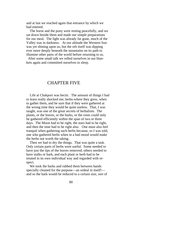and at last we reached again that entrance by which we had entered.

 The horse and the pony were resting peacefully, and we sat down beside them and made our simple preparations for our meal. The light was already far gone, much of the Valley was in darkness. At our altitude the Western Sun was yet shining upon us, but the orb itself was dipping ever more deeply beneath the mountains on its path to illumine other parts of the world before returning to us.

 After some small talk we rolled ourselves in our blankets again and committed ourselves to sleep.

## CHAPTER FIVE

 Life at Chakpori was hectic. The amount of things I had to learn really shocked me; herbs-where they grew, when to gather them, and be sure that if they were gathered at the wrong time they would be quite useless. That, I was taught, was one of the great secrets of herbalism. The plants, or the leaves, or the barks, or the roots could only be gathered efficiently within the span of two or three days. The Moon had to be right, the stars had to be right, and then the time had to be right also. One must also feel tranquil when gathering such herbs because, so I was told, one who gathered herbs when in a bad mood would make the herbs not worth the taking.

Then we had to dry the things. That was quite a task. Only certain parts of herbs were useful. Some needed to have just the tips of the leaves removed, others needed to have stalks or bark, and each plant or herb had to be treated in its own individual way and regarded with respect.

 We took the barks and rubbed them between hands specially cleaned for the purpose—an ordeal in itself! and so the bark would be reduced to a certain size, sort of

**80 1999 1999 1999 1999 1999 1999**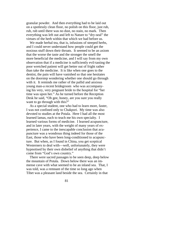granular powder. And then everything had to be laid out on a spotlessly clean floor, no polish on this floor, just rub, rub, rub until there was no dust, no stain, no mark. Then everything was left out and left to Nature to "dry-seal" the virtues of the herb within that which we had before us.

We made herbal tea, that is, infusions of steeped herbs, and I could never understand how people could get the noxious stuff down their throats. It seemed to be an axiom that the worse the taste and the stronger the smell the more beneficial the medicine, and I will say from my own observation that if a medicine is sufficiently evil-tasting the poor wretched patient will get better out of fright rather than take the medicine. It is like when one goes to the dentist, the pain will have vanished so that one hesitates on the doorstep wondering whether one should go through with it. It reminds me rather of the pallid and anxious young man-a recent bridegroom who was accompanying his very, very pregnant bride to the hospital for "her time was upon her." As he turned before the Reception Desk he said, "Oh gee, honey, are you sure you really want to go through with this?"

 As a special student, one who had to learn more, faster, I was not confined only to Chakpori. My time was also devoted to studies at the Potala. Here I had all the most learned lamas, each to teach me his own specialty. I learned various forms of medicine. I learned acupuncture, and in later years, with the weight of many years of experience, I came to the inescapable conclusion that acupuncture was a wondrous thing indeed for those of the East, those who have been long-conditioned to acupuncture. But when, as I found in China, you get sceptical Westerners to deal with—well, unfortunately, they were hypnotised by their own disbelief of anything that didn't come from "God's own country."

 There were sacred passages to be seen deep, deep below the mountain of Potala. Down below there was an immense cave with what seemed to be an inland sea. That, I was told, was a remnant of the time so long ago when Tibet was a pleasant land beside the sea. Certainly in that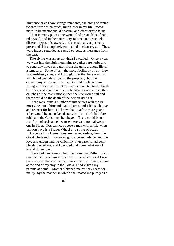immense cave I saw strange remnants, skeletons of fantastic creatures which much, much later in my life I recognised to be mastodons, dinosaurs, and other exotic fauna.

 Then in many places one would find great slabs of natural crystal, and in the natural crystal one could see kelp different types of seaweed, and occasionally a perfectly preserved fish completely embedded in clear crystal. These were indeed regarded as sacred objects, as messages from the past.

 Kite flying was an art at which I excelled. Once a year we went into the high mountains to gather rare herbs and to generally have recreation from the quite arduous life of a lamasery. Some of us—the more foolhardy of us—flew in man-lifting kites, and I thought first that here was that which had been described in the prophecy, but then I came to my senses and realized it could not be a manlifting kite because these kites were connected to the Earth by ropes, and should a rope be broken or escape from the clutches of the many monks then the kite would fall and there would be the death of the person riding it.

 There were quite a number of interviews with the Inmost One, our Thirteenth Dalai Lama, and I felt such love and respect for him. He knew that in a few more years Tibet would be an enslaved state, but "the Gods had foretold" and the Gods must be obeyed. There could be no real form of resistance because there were no real weapons in Tibet. You cannot oppose a man with a rifle when all you have is a Prayer Wheel or a string of beads.

 I received my instructions, my sacred orders, from the Great Thirteenth. I received guidance and advice, and the love and understanding which my own parents had completely denied me, and I decided that come what may I would do my best.

 There had been times when I had seen my Father. Each time he had turned away from me frozen-faced as if I was the lowest of the low, beneath his contempt. Once, almost at the end of my stay in the Potala, I had visited my parents at home. Mother sickened me by her excess formality, by the manner in which she treated me purely as a

<u>82</u>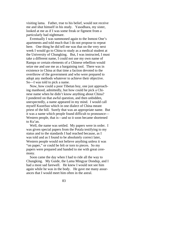visiting lama. Father, true to his belief, would not receive me and shut himself in his study. Yasodhara, my sister, looked at me as if I was some freak or figment from a particularly bad nightmare.

 Eventually I was summoned again to the Inmost One's apartments and told much that I do not propose to repeat here. One thing he did tell me was that on the very next week I would go to China to study as a medical student at the University of Chungking. But, I was instructed, I must take a different name, I could not use my own name of Rampa or certain elements of a Chinese rebellion would seize me and use me as a bargaining tool. There was in existence in China at that time a faction devoted to the overthrow of the government and who were prepared to adopt any methods whatever to achieve their objective. So—I was told to pick a name.

 Now, how could a poor Tibetan boy, one just approaching manhood, admittedly, but how could he pick a Chinese name when he didn't know anything about China? I pondered on that awful question, and then unbidden, unexpectedly, a name appeared in my mind. I would call myself KuonSuo which in one dialect of China meant priest of the hill. Surely that was an appropriate name. But it was a name which people found difficult to pronounce— Western people, that is—and so it soon became shortened to Ku'an.

 Well, the name was settled. My papers were in order. I was given special papers from the Potala testifying to my status and to the standards I had reached because, as I was told and as I found to be absolutely correct later, Western people would not believe anything unless it was "on paper," or could be felt or torn to pieces. So my papers were prepared and handed to me with great ceremony.

 Soon came the day when I had to ride all the way to Chungking. My Guide, the Lama Mingyar Dondup, and I had a most sad farewell. He knew I would not see him again while he was in the body. He gave me many assurances that I would meet him often in the astral.

<u>83</u>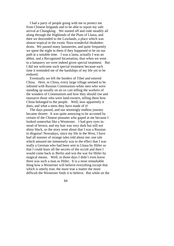I had a party of people going with me to protect me from Chinese brigands and to be able to report my safe arrival at Chungking. We started off and rode steadily all along through the Highlands of the Plain of Lhasa, and then we descended to the Lowlands, a place which was almost tropical in the exotic flora-wonderful rhododendrons. We passed many lamaseries, and quite frequently we spent the night in them if they happened to be on our path at a suitable time. I was a lama, actually I was an abbot, and a Recognized Incarnation, thus when we went to a lamasery we were indeed given special treatment. But I did not welcome such special treatment because each time it reminded me of the hardships of my life yet to be endured.

 Eventually we left the borders of Tibet and entered China. Here, in China, every large village seemed to be infested with Russian Communists-white men who were standing up usually on an ox cart telling the workers of the wonders of Communism and how they should rise and massacre those who were land-owners, telling them how China belonged to the people. Well, now apparently it does, and what a mess they have made of it!

 The days passed, and our seemingly endless journey became shorter. It was quite annoying to be accosted by certain of the Chinese peasants who gaped at me because I looked somewhat like a Westerner. I had grey eyes instead of brown, and my hair was very dark but still not shiny black, so the story went about that I was a Russian in disguise! Nowadays, since my life in the West, I have had all manner of strange tales told about me; one tale which amused me immensely was to the effect that I was really a German who had been sent to Lhasa by Hitler so that I could learn all the secrets of the occult and then I would come back to Berlin and win the war for Hitler by magical means. Well, in those days I didn't even know there was such a man as Hitler. It is a most remarkable thing how a Westerner will believe everything except that which is utterly true; the more true a matter the more difficult the Westerner finds it to believe. But while on the

<u>84 and 2008 and 2008 and 2008 and 2008 and 2008 and 2008 and 2008 and 2008 and 2008 and 2008 and 2008 and 200</u>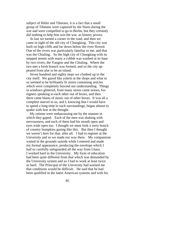subject of Hitler and Tibetans, it is a fact that a small group of Tibetans were captured by the Nazis during the war and were compelled to go to Berlin, but they certainly did nothing to help him win the war, as history proves.

 At last we turned a corner in the road, and then we came in sight of the old city of Chungking. This city was built on high cliffs and far down below the river flowed. One of the rivers was particularly familiar to me, and that was the Chialing. So the high city of Chungking with its stepped streets with many a cobble was washed at its base by two rivers, the Yangtse and the Chialing. Where the two met a fresh branch was formed, and so the city appeared from afar to be an island.

 Seven hundred and eighty steps we climbed up to the city itself. We gazed like yokels at the shops and what to us seemed to be brilliantly lit stores containing articles which were completely beyond our understanding. Things in windows glittered, from many stores came noises, foreigners speaking to each other out of boxes, and then there came blasts of music out of other boxes. It was all a complete marvel to us, and I, knowing that I would have to spend a long time in such surroundings, began almost to quake with fear at the thought.

 My retinue were embarrassing me by the manner in which they gaped. Each of the men was shaking with nervousness, and each of them had his mouth open and eyes wide open too. I thought we must look a sorry bunch of country bumpkins gazing like this. But then I thought we weren't here for that, after all. I had to register at the University and so we made our way there. My companions waited in the grounds outside while I entered and made my formal appearance, producing the envelope which I had so carefully safeguarded all the way from Lhasa. I worked hard in the University. My form of education had been quite different from that which was demanded by the University system and so I had to work at least twice as hard. The Principal of the University had warned me that conditions would be difficult. He said that he had been qualified in the latest American systems and with his

<u>85</u>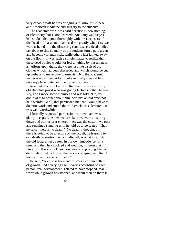very capable staff he was bringing a mixture of Chinese and American medicine and surgery to the students.

 The academic work was hard because I knew nothing of Electricity, but I soon learned! Anatomy was easy; I had studied that quite thoroughly with the Disposers of the Dead in Lhasa, and it amused me greatly when first we were ushered into the dissecting rooms where dead bodies lay about to find so many of the students turn a pale green and become violently sick, while others just fainted away on the floor. It was such a simple matter to realize that these dead bodies would not feel anything by our amateurish efforts upon them, they were just like a suit of old clothes which had been discarded and which would be cut up perhaps to make other garments. No, the academic matter was difficult at first, but eventually I was able to take my place quite near the top of the class.

 At about this time I noticed that there was a very very old Buddhist priest who was giving lectures at the University, and I made some inquiries and was told, "Oh, you don't want to bother about him, he's just an old crackpot, he's weird!" Well, that persuaded me that I would have to do extra work and attend the "old crackpot's" lectures. It was well worthwhile.

 I formally requested permission to attend and was gladly accepted. A few lectures later we were all sitting down and our lecturer entered. As was the custom we rose and remained standing until he told us to be seated. Then he said, "there is no death." No death, I thought, oh, there is going to be a lecture on the occult, he is going to call death "transition" which, after all, is what it is. But the old lecturer let us stew in our own impatience for a time, and then he chuckled and went on, "I mean that literally. If we only knew how we could prolong life indefinitely. Let us look at the process of aging, and then I hope you will see what I mean."

 He said, "A child is born and follows a certain pattern of growth. At a varying age, it varies according to each person, real development is stated to have stopped, real worthwhile growth has stopped, and from then on there is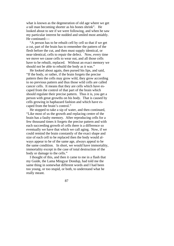what is known as the degeneration of old age where we get a tall man becoming shorter as his bones shrink". He looked about to see if we were following, and when he saw my particular interest he nodded and smiled most amiably. He continued:—

 "A person has to be rebuilt cell by cell so that if we get a cut, part of the brain has to remember the pattern of the flesh before the cut, and then must supply identical, or near-identical, cells to repair the defect. Now, every time we move we cause cells to wear out, and all those cells have to be rebuilt, replaced. Without an exact memory we should not be able to rebuild the body as it was."

 He looked about again, then pursed his lips, and said, "If the body, or rather, if the brain forgets the precise pattern then the cells may grow wild, they grow according to no previous pattern and thus those wild cells are called cancer cells. It means that they are cells which have escaped from the control of that part of the brain which should regulate their precise pattern. Thus it is, you get a person with great growths on his body. That is caused by cells growing in haphazard fashion and which have escaped from the brain's control."

 He stopped to take a sip of water, and then continued, "Like most of us the growth and replacing centre of the brain has a faulty memory. After reproducing cells for a few thousand times it forgets the precise pattern and with each succeeding growth of cells there is a difference so eventually we have that which we call aging. Now, if we could remind the brain constantly of the exact shape and size of each cell to be replaced then the body would always appear to be of the same age, always appeal to be the same condition. In short, we would have immortality, immortality except in the case of total destruction of the body or damage to the cells."

 I thought of this, and then it came to me in a flash that my Guide, the Lama Mingyar Dondup, had told me the same thing in somewhat different words and I had been too young, or too stupid, or both, to understand what he really meant.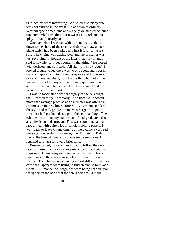Our lectures were interesting. We studied so many subjects not studied in the West. In addition to ordinary Western type of medicine and surgery we studied acupuncture and herbal remedies, but it wasn't all work and no play, although nearly so.

 One day when I was out with a friend we wandered down to the shore of the rivers and there we saw an aeroplane which had been parked and just left for some reason. The engine was ticking over and the propeller was just revolving. I thought of the kites I had flown, and I said to my friend, "I bet I could fly that thing." He roared with derision, and so I said, "All right, I'll show you." I looked around to see there was no one about and I got in that contraption and, to my own surprise and to the surprise of many watchers, I did fly the thing but not in the manner prescribed, my aerobatics were quite involuntary and I survived and landed safely only because I had keener reflexes than most.

 I was so fascinated with that highly dangerous flight that I learned to fly—officially. And because I showed more than average promise as an airman I was offered a commission in the Chinese forces. By Western standards the style and rank granted to me was Surgeon-Captain.

 After I had graduated as a pilot the commanding officer told me to continue my studies until I had graduated also as a physician and surgeon. That was soon done, and at last, armed with quite a lot of official looking papers, I was ready to leave Chungking. But there came a very sad message concerning my Patron, the Thirteenth Dalai Lama, the Inmost One, and so, obeying a summons, I returned to Lhasa for a very brief time.

 Destiny called, however, and I had to follow the dictates of those in authority above me and so I retraced my steps on to Chungking and then on to Shanghai. For a time I was on the reserve as an officer of the Chinese forces. The Chinese were having a most difficult time because the Japanese were trying to find an excuse to invade China. All manner of indignities were being heaped upon foreigners in the hope that the foreigners would make

<u>88</u> and 2012 and 2013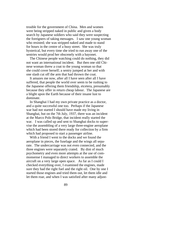trouble for the government of China. Men and women were being stripped naked in public and given a body search by Japanese soldiers who said they were suspecting the foreigners of taking messages. I saw one young woman who resisted; she was stripped naked and made to stand for hours in the centre of a busy street. She was truly hysterical, but every time she tried to run away one of the sentries would prod her obscenely with a bayonet.

 The Chinese people watching could do nothing, they did not want an international incident. But then one old Chinese woman threw a coat to the young woman so that she could cover herself; a sentry jumped at her and with one slash cut off the arm that had thrown the coat.

 It amazes me now, after all I have seen after all I have suffered, that people the world over seem to be rushing to the Japanese offering them friendship, etcetera, presumably because they offer in return cheap labour. The Japanese are a blight upon the Earth because of their insane lust to dominate.

 In Shanghai I had my own private practice as a doctor, and a quite successful one too. Perhaps if the Japanese war had not started I should have made my living in Shanghai, but on the 7th July, 1937, there was an incident at the Marco Polo Bridge, that incident really started the war. I was called up and sent to Shanghai docks to supervise the assembling of a very large three-engine aeroplane which had been stored there ready for collection by a firm which had proposed to start a passenger airline.

 With a friend I went to the docks and we found the aeroplane in pieces, the fuselage and the wings all separate. The undercarriage was not even connected, and the three engines were separately crated. By dint of much psychometry and even more attempts at the use of commonsense I managed to direct workers to assemble the aircraft on a very large open space. As far as I could I checked everything over, I examined the engines, made sure they had the right fuel and the right oil. One by one I started those engines and tried them out, let them idle and let them roar, and when I was satisfied after many adjust-

<u>89 and 2011 and 2012 and 2012 and 2012 and 2012 and 2012 and 2012 and 2012 and 2012 and 2012 and 2012 and 201</u>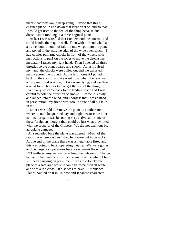ments that they would keep going, I taxied that threeengined plane up and down that large tract of land so that I would get used to the feel of the thing because one doesn't stunt too long in a three-engined plane!

 At last I was satisfied that I understood the controls and could handle them quite well. Then with a friend who had a tremendous amount of faith in me, we got into the plane and taxied to the extreme edge of the wide open space. I had coolies put large chocks in front of the wheels with instructions to pul1 on the ropes to move the chocks immediately I raised my right hand. Then I opened all three throttles so the plane roared and shook. At last I raised my hand, the chocks were pulled out and we cavorted madly across the ground. At the last moment I pulled back on the control and we went up at what I believe was a truly unorthodox angle, but we were flying, and we flew around for an hour or two to get the feel of the thing. Eventually we came back to the landing space and I was careful to note the direction of smoke. I came in slowly and landed into the wind, and I confess that I was bathed in perspiration; my friend was, too, in spite of all his faith in me!

 Later I was told to remove the plane to another area where it could be guarded day and night because the international brigade was becoming very active, and some of these foreigners thought they could do just what they liked with the property of the Chinese. We did not want our big aeroplane damaged.

 At a secluded base the plane was altered. Much of the seating was removed and stretchers were put in on racks. At one end of the plane there was a metal table fitted and this was going to be an operating theatre. We were going to do emergency operations because now—at the end of I 938—the enemy were approaching the outskirts of Shanghai, and I had instructions to close my practice which I had still been carrying on part-time. I was told to take the plane to a safe area while it could be re-painted all white and with a red cross. It also was to have "Ambulance Plane" painted on it in Chinese and Japanese characters.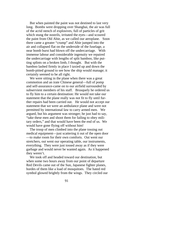But when painted the paint was not destined to last very long. Bombs were dropping over Shanghai, the air was full of the acrid stench of explosives, full of particles of grit which stung the nostrils, irritated the eyes—and scoured the paint from Old Abie, as we called our aeroplane. Soon there came a greater "crump" and Abie jumped into the air and collapsed flat on the underside of the fuselage, a near bomb burst had blown off the undercarriage. With immense labour and considerable ingenuity we repaired the undercarriage with lengths of split bamboo, like putting splints on a broken limb, I thought. But with the bamboo lashed firmly in place I taxied up and down the bomb-pitted ground to see how the ship would manage; it certainly seemed to be all right.

 We were sitting in the plane when there was a great commotion and an irate Chinese general—full of pomp and self-assurance-came on to our airfield surrounded by subservient members of his staff. Brusquely he ordered us to fly him to a certain destination: He would not take our statement that the plane really was not fit to fly until further repairs had been carried out. He would not accept our statement that we were an ambulance plane and were not permitted by international law to carry armed men. We argued, but his argument was stronger; he just had to say, "take these men and shoot them for failing to obey military orders," and that would have been the end of us. We would have gone flying off without him!

 The troop of men climbed into the plane tossing out medical equipment—just scattering it out of the open door —to make room for their own comforts. Out went our stretchers, out went our operating table, our instruments, everything. They were just tossed away as if they were garbage and would never be wanted again. As it happened they weren't.

 We took off and headed toward our destination, but when some two hours away from our point of departure Red Devils came out of the Sun, Japanese fighter planes, hordes of them like a load of mosquitoes. The hated red symbol glowed brightly from the wings. They circled our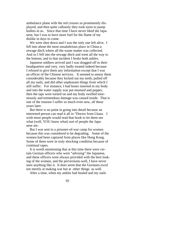ambulance plane with the red crosses so prominently displayed, and then quite callously they took turns to pump bullets in us. Since that time I have never liked the Japanese, but I was to have more fuel for the flame of my dislike in days to come.

We were shot down and I was the only one left alive. I fell into about the most unsalubrious place in China-a sewage ditch where all the waste matter was collected. And so I fell into the sewage ditch and went all the way to the bottom, and in that incident I broke both ankles.

 Japanese soldiers arrived and I was dragged off to their headquarters and very, very badly treated indeed because I refused to give them any information except that I was an officer of the Chinese services. It seemed to annoy them considerably because they kicked out my teeth, pulled off all my nails, and did other unpleasant things from which I still suffer. For instance, I had hoses inserted in my body and into the water supply was put mustard and pepper, then the taps were turned on and my body swelled enormously and tremendous damage was caused inside. That is one of the reasons I suffer so much even now, all these years later.

 But there is no point in going into detail because an interested person can read it all in "Doctor from Lhasa. I wish more people would read that book to let them see what (well, YOU know what) sort of people the Japanese are.

 But I was sent to a prisoner-of-war camp for women because this was considered to be degrading. Some of the women had been captured from places like Hong Kong. Some of them were in truly shocking condition because of continual rapes.

 It is worth mentioning that at this time there were certain German officers who were "advising" the Japanese, and these officers were always provided with the best looking of the women, and the perversions-well, I have never seen anything like it. It does seem that the Germans excel not merely at making war but at other things as well.

After a time, when my ankles had healed and my nails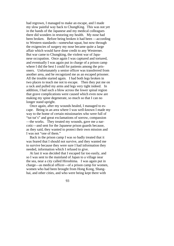had regrown, I managed to make an escape, and I made my slow painful way back to ChungKing. This was not yet in the hands of the Japanese and my medical colleagues there did wonders in restoring my health. My nose had been broken. Before being broken it had been —according to Western standards—somewhat squat, but now through the exigencies of surgery my nose became quite a large affair which would have done credit to any Westerner. But war came to Chungking, the violent war of Japanese occupation. Once again I was captured and tortured, and eventually I was again put in charge of a prison camp where I did the best I could for patients among the prisoners. Unfortunately a senior officer was transferred from another area, and he recognized me as an escaped prisoner. All the trouble started again. I had both legs broken in two places to teach me not to escape. Then they put me on a rack and pulled my arms and legs very tight indeed. In addition, I had such a blow across the lower spinal region that grave complications were caused which even now are making my spine degenerate, so much so that I can no longer stand upright.

 Once again, after my wounds healed, I managed to escape. Being in an area where I was well-known I made my way to the home of certain missionaries who were full of "tut tut's" and great exclamations of sorrow, compassion —the works. They treated my wounds, gave me a narcotic—and sent for the Japanese prison guards because, as they said, they wanted to protect their own mission and I was not "one of them."

 Back in the prison camp I was so badly treated that it was feared that I should not survive, and they wanted me to survive because they were sure I had information they needed, information which I refused to give.

 At last it was decided that I escaped far too easily, and so I was sent to the mainland of Japan to a village near the sea, near a city called Hiroshima. I was again put in charge—as medical officer—of a prison camp for women, women who had been brought from Hong Kong, Shanghai, and other cities, and who were being kept there with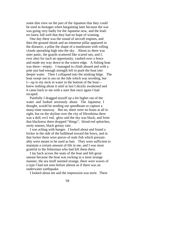some dim view on the part of the Japanese that they could be used as hostages when bargaining later because the war was going very badly for the Japanese now, and the leaders knew full well that they had no hope of winning.

 One day there was the sound of aircraft engines, and then the ground shook and an immense pillar appeared in the distance, a pillar the shape of a mushroom with rolling clouds spreading high into the sky. About us there was utter panic, the guards scattered like scared rats, and I, ever alert for such an opportunity, vaulted over a fence and made my way down to the waters edge. A fishing boat was there—empty. I managed to climb aboard and with a pole just had enough strength left to push the boat into deeper water. Then I collapsed into the stinking bilge. The boat swept out to sea on the tide which was receding, but I—up to my neck in water in the bottom of the boat knew nothing about it until at last I dizzily awakened and it came back to me with a start that once again I had escaped.

 Painfully I dragged myself up a bit higher out of the water and looked anxiously about. The Japanese, I thought, would be sending out speedboats to capture a many-time runaway. But no, there were no boats at all in sight, but on the skyline over the city of Hiroshima there was a dull, evi1 red, glow and the sky was black, and from that blackness there dropped "things", blood-red splotches, sooty masses, black greasy rain.

 I was aching with hunger. I looked about and found a locker in the side of the bulkhead toward the bows, and in that locker there were pieces of stale fish which presumably were meant to be used as bait. They were sufficient to maintain a certain amount of life in me, and I was most grateful to the fisherman who had left them there.

 I lay back across the seats of the boat and felt great unease because the boat was rocking in a most strange manner, the sea itself seemed strange, there were waves of a type I had not seen before almost as if there was an underwater earthquake.

I looked about me and the impression was eerie. There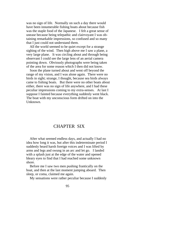was no sign of life. Normally on such a day there would have been innumerable fishing boats about because fish was the staple food of the Japanese. I felt a great sense of unease because being telepathic and clairvoyant I was obtaining remarkable impressions, so confused and so many that I just could not understand them.

All the world seemed to be quiet except for a strange sighing of the wind. Then high above me I saw a plane, a very large plane. It was circling about and through being observant I could see the large lens of an aerial camera pointing down. Obviously photographs were being taken of the area for some reason which I then did not know.

 Soon the plane turned about and went off beyond the range of my vision, and I was alone again. There were no birds in sight; strange, I thought, because sea birds always came to fishing boats. But there were no other boats about either, there was no sign of life anywhere, and I had these peculiar impressions coming to my extra-senses. At last I suppose I fainted because everything suddenly went black. The boat with my unconscious form drifted on into the Unknown.

## CHAPTER SIX

 After what seemed endless days, and actually I had no idea how long it was, but after this indeterminate period I suddenly heard harsh foreign voices and I was lifted by arms and legs and swung in an arc and let go. I landed with a splash just at the edge of the water and opened bleary eyes to find that I had reached some unknown shore.

 Before me I saw two men pushing frantically on the boat, and then at the last moment jumping aboard. Then sleep, or coma, claimed me again.

My sensations were rather peculiar because I suddenly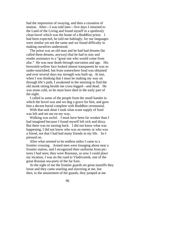had the impression of swaying, and then a cessation of motion. After—I was told later—five days I returned to the Land of the Living and found myself in a spotlessly clean hovel which was the home of a Buddhist priest. I had been expected, he told me haltingly, for our languages were similar yet not the same and we found difficulty in making ourselves understood.

 The priest was an old man and he had had dreams (he called them dreams, anyway) that he had to stay and render assistance to a "great one who would come from afar." He was near death through starvation and age. His brownish-yellow face looked almost transparent he was so under-nourished, but from somewhere food was obtained and over several days my strength was built up. At last, when I was thinking that I must be making my way on through life's path, I awakened in the morning to find the old monk sitting beside me cross-legged—and dead. He was stone cold, so he must have died in the early part of the night.

 I called in some of the people from the small hamlet in which the hovel was and we dug a grave for him, and gave him a decent burial complete with Buddhist ceremonial.

 With that task done I took what scant supply of food was left and set out on my way.

 Walking was awful. I must have been far weaker than I had imagined because I found myself left sick and dizzy. But there was no turning back. I did not know what was happening, I did not know who was an enemy or who was a friend, not that I had had many friends in my life. So I pressed on.

 After what seemed to be endless miles I came to a frontier crossing. Armed men were lounging about near a frontier station, and I recognized their uniforms from pictures I had seen; they were Russians, so now I could place my location, I was on the road to Vladivostok, one of the great Russian sea-ports of the far East.

 At the sight of me the frontier guards set great mastiffs they loose and they came snarling and slavering at me, but then, to the amazement of the guards, they jumped at me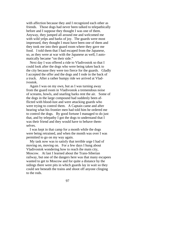with affection because they and I recognized each other as friends. Those dogs had never been talked to telepathically before and I suppose they thought I was one of them. Anyway, they jumped all around me and welcomed me with wild yelps and barks of joy. The guards were most impressed, they thought I must have been one of them and they took me into their guard room where they gave me food. I told them that I had escaped from the Japanese, so, as they were at war with the Japanese as well, I automatically became "on their side."

 Next day I was offered a ride to Vladivostok so that I could look after the dogs who were being taken back to the city because they were too fierce for the guards. Gladly I accepted the offer and the dogs and I rode in the back of a truck. After a rather bumpy ride we arrived at Vladivostok.

 Again I was on my own, but as I was turning away from the guard room in Vladivostok a tremendous noise of screams, howls, and snarling barks rent the air. Some of the dogs in the large compound had suddenly been afflicted with blood-lust and were attacking guards who were trying to control them. A Captain came and after hearing what his frontier men had told him he ordered me to control the dogs. By good fortune I managed to do just that, and by telepathy I got the dogs to understand that I was their friend and they would have to behave themselves.

 I was kept in that camp for a month while the dogs were being retrained, and when the month was over I was permitted to go on my way again.

 My task now was to satisfy that terrible urge I had of moving on, moving on. For a few days I hung about Vladivostok wondering how to reach the main city, Moscow. At last I learned about the Trans-Siberian railway, but one of the dangers here was that many escapees wanted to get to Moscow and for quite a distance by the sidings there were pits in which guards lay in wait so they could see beneath the trains and shoot off anyone clinging to the rods.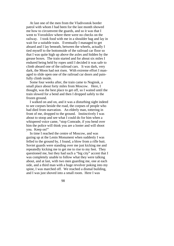At last one of the men from the Vladivostok border patrol with whom I had been for the last month showed me how to circumvent the guards, and so it was that I went to Voroshilov where there were no checks on the railway. I took food with me in a shoulder bag and lay in wait for a suitable train. Eventually I managed to get aboard and I lay beneath, between the wheels, actually I tied myself to the bottomside of the railroad car floor so that I was quite high up above the axles and hidden by the grease boxes. The train started and for about six miles I endured being held by ropes until I decided it was safe to climb aboard one of the railroad cars. It was dark, very dark, the Moon had not risen. With extreme effort I managed to slide open one of the railroad car doors and painfully climb inside.

 Some four weeks after, the train came to Noginsk, a small place about forty miles from Moscow. Here, I thought, was the best place to get off, so I waited until the train slowed for a bend and then I dropped safely to the frozen ground.

 I walked on and on, and it was a disturbing sight indeed to see corpses beside the road, the corpses of people who had died from starvation. An elderly man, tottering in front of me, dropped to the ground. Instinctively I was about to stoop and see what I could do for him when a whispered voice came, "stop Comrade, if you bend over him the police will think you are a looter and will shoot you. Keep on!"

 In time I reached the centre of Moscow, and was gazing up at the Lenin Monument when suddenly I was felled to the ground by, I found, a blow from a rifle butt. Soviet guards were standing over me just kicking me and repeatedly kicking me to get me to rise to my feet. They questioned me, but they had such a "big city" accent that I was completely unable to follow what they were talking about, and at last, with two men guarding me, one at each side, and a third man with a huge revolver poking into my spine, I was marched off. We reached a dismal building, and I was just shoved into a small room. Here I was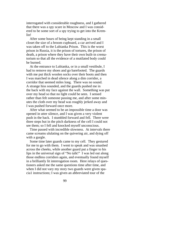interrogated with considerable roughness, and I gathered that there was a spy scare in Moscow and I was considered to be some sort of a spy trying to get into the Kremlin!

 After some hours of being kept standing in a small closet the size of a broom cupboard, a car arrived and I was taken off to the Lubianka Prison. This is the worst prison in Russia, it is the prison of tortures, the prison of death, a prison where they have their own built-in crematorium so that all the evidence of a mutilated body could be burned.

 At the entrance to Lubianka, or in a small vestibule, I had to remove my shoes and go barefooted. The guards with me put thick woolen socks over their boots and then I was marched in dead silence along a dim corridor, a corridor that seemed miles long. There was no sound. A strange hiss sounded, and the guards pushed me in the back with my face against the wall. Something was put over my head so that no light could be seen. I sensed rather than felt someone passing me, and after some minutes the cloth over my head was roughly jerked away and I was pushed forward once more.

 After what seemed to be an impossible time a door was opened in utter silence, and I was given a very violent push in the back. I stumbled forward and fell. There were three steps but in the pitch darkness of the cell I could not see them; so I fell and knocked myself unconscious.

 Time passed with incredible slowness. At intervals there came screams ululating on the quivering air, and dying off with a gurgle.

 Some time later guards came to my cell. They gestured for me to go with them. I went to speak and was smashed across the cheeks, while another guard put a finger to his lips in the universal sign of "No talk!" I was led out along those endless corridors again, and eventually found myself in a brilliantly lit interrogation room. Here relays of questioners asked me the same questions time after time, and when I did not vary my story two guards were given spacia1 instructions; I was given an abbreviated tour of the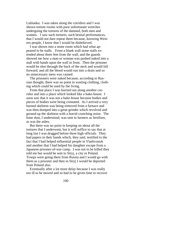Lubianka. I was taken along the corridors and I was shown torture rooms with poor unfortunate wretches undergoing the tortures of the damned, both men and women. I saw such tortures, such bestial performances, that I would not dare repeat them because, knowing Western people, I know that I would be disbelieved.

 I was shown into a stone room which had what appeared to be stalls. From a blank wall stone stalls extended about three feet from the wall, and the guards showed me how a man or woman was pushed naked into a stall with hands upon the wall in front. Then the prisoner would be shot through the back of the neck and would fall forward, and all the blood would run into a drain and so no unnecessary mess was caused.

 The prisoners were naked because, according to Russian thought, there was no point in wasting clothing, clothing which could be used by the living.

 From that place I was hurried out along another corridor and into a place which looked like a bake-house. I soon saw that it was not a bake-house because bodies and pieces of bodies were being cremated. As I arrived a very burned skeleton was being removed from a furnace and was then dumped into a great grinder which revolved and ground up the skeleton with a horrid crunching noise. The bone dust, I understood, was sent to farmers as fertilizer, as was the ashes.

 But there was no point in keeping on about all the tortures that I underwent, but it will suffice to say that at long last I was dragged before three high officials. They had papers in their hands which, they said, testified to the fact that I had helped influential people in Vladivostok and another that I had helped his daughter escape from a Japanese prisoner-of-war camp. I was not to be killed they told me but would be sent to Stryj, a city in Poland. Troops were going there from Russia and I would go with them as a prisoner and then in Stryj I would be deported from Poland also.

 Eventually after a lot more delay because I was really too ill to be moved and so had to be given time to recover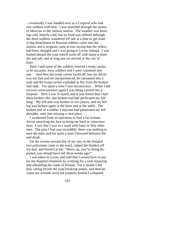—eventually I was handed over to a Corporal who had two soldiers with him. I was marched through the streets of Moscow to the railway station. The weather was freezing cold, bitterly cold, but no food was offered although the three soldiers wandered off one at a time to get food. A big detachment of Russian soldiers came into the station, and a sergeant came across saying that the orders had been changed and I was going to Lwow instead. I was loaded aboard the train which went off with many a shudder and jolt, and at long last we arrived at the city of Kiev.

 Here I and some of the soldiers entered a troop carrier, to be accurate, forty soldiers and I were crammed into one. And then the troop carrier raced off, but our driver was too fast and too inexperienced, he caroomed into a wall and the troop carrier exploded in fire from the broken fuel tank. For quite a time I was unconscious. When I did recover consciousness again I was being carried into a hospital. Here I was X-rayed, and it was found that I had three broken ribs, one broken end had perforated my left lung. My left arm was broken in two places, and my left leg was broken again at the knee and at the ankle. The broken end of a soldier's bayonet had penetrated my left shoulder, only just missing a vital place.

 I awakened from an operation to find a fat woman doctor smacking my face to bring me back to consciousness. I saw that I was in a ward with forty or fifty other men. The pain I had was incredible, there was nothing to ease the pain, and for quite a time I hovered between life and death.

 On the twenty-second day of my stay in the hospital two policemen came to the ward, ripped the blanket off my bed, and bawled at me: "Hurry up, you"re being deported, you should have left three weeks ago!"

 I was taken to Lwow and told that I would have to pay for my hospital treatment by working for a year repairing and rebuilding the roads of Poland. For a month I did that, sitting beside the road breaking stones, and then because my wounds were not properly healed I collapsed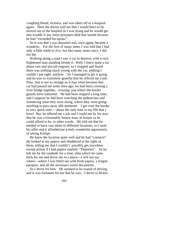coughing blood, etcetera, and was taken off to a hospital again. Here the doctor told me that I would have to be moved out of the hospital as I was dying and he would get into trouble if any more prisoners died that month because he had "exceeded his quota."

 So it was that I was deported and, once again, became a wanderer. For the first of many times I was told that I had only a little while to live, but like many times since, I did not die.

 Walking along a road I saw a car in distress, with a very frightened man standing beside it. Well, I knew quite a lot about cars and aircraft engines, so I stopped and found there was nothing much wrong with the car, nothing I couldn't put right, anyhow. So I managed to get it going and he was so extremely grateful that he offered me a job. Now, that is not so strange as it may seem because that car had passed me some time ago, we had been crossing a river bridge together, crossing just where the border guards were stationed. He had been stopped a long time, and I suppose he had been watching the pedestrians and wondering what they were doing, where they were goinganything to pass away idle moments. I got over the border in very quick time —about the only time in my life that I have! But, he offered me a job and I could see by his aura that he was a reasonably honest man, as honest as he could afford to be, in other words. He told me that he needed to have cars taken to different locations, so I took his offer and it afforded me a truly wonderful opportunity of seeing Europe.

 He knew the location quite well and he had "contacts" He looked at my papers and shuddered at the sight of them, telling me that I couldn't possibly get anywhere except prison if I had papers marked "Deportee". So he left me by the roadside for a time, after which he came back for me and drove me to a place—I will not say where—where I was fitted out with fresh papers, a forged passport, and all the necessary travel documents.

 So I drove for him. He seemed to be scared of driving and it was fortunate for me that he was. I drove to Bratis-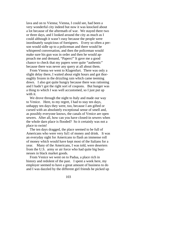lava and on to Vienna; Vienna, I could see, had been a very wonderful city indeed but now it was knocked about a lot because of the aftermath of war. We stayed there two or three days, and I looked around the city as much as I could although it wasn't easy because the people were inordinately suspicious of foreigners. Every so often a person would sidle up to a policeman and there would be whispered conversation, and then the policeman would make sure his gun was in order and then he would approach me and demand, "Papers!" It gave me a good chance to check that my papers were quite "authentic" because there was never any query at all about them.

 From Vienna we went to Klagenfurt. There was only a slight delay there, I waited about eight hours and got thoroughly frozen in the drizzling rain which came teeming down. I also got quite hungry because there was rationing and I hadn't got the right sort of coupons. But hunger was a thing to which I was well accustomed, so I just put up with it.

We drove through the night to Italy and made our way to Venice. Here, to my regret, I had to stay ten days, unhappy ten days they were, too, because I am gifted or cursed with an absolutely exceptional sense of smell and, as possibly everyone knows, the canals of Venice are open sewers. After all, how can you have closed-in sewers when the whole darn place is flooded? So it certainly was not a place to swim!

 The ten days dragged, the place seemed to be full of Americans who were very ful1 of money and drink. It was an everyday sight for Americans to flash an immense roll of money which would have kept most of the Italians for a year. Many of the Americans, I was told, were deserters from the U.S. army or air force who had quite big businesses in black market goods.

 From Venice we went on to Padua, a place rich in history and redolent of the past. I spent a week here, my employer seemed to have a great amount of business to do and I was dazzled by the different girl friends he picked up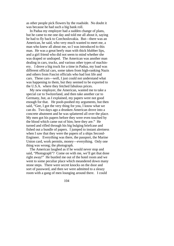as other people pick flowers by the roadside. No doubt it was because he had such a big bank roll.

 In Padua my employer had a sudden change of plans, but he came to me one day and told me all about it, saying he had to fly back to Czechoslovakia. But—there was an American, he said, who very much wanted to meet me, a man who knew all about me, so I was introduced to this man. He was a great beefy man with thick blubber lips, and a girl friend who did not seem to mind whether she was draped or undraped. The American was another man dealing in cars, trucks, and various other types of machinery. I drove a big truck for a time in Padua, my load was different official cars, some taken from high-ranking Nazis and others from Fascist officials who had lost life and cars. These cars—well, I just could not understand what was happening to them, but they seemed to be exported to the U.S.A. where they fetched fabulous prices.

 My new employer, the American, wanted me to take a special car to Switzerland, and then take another car to Germany, but, as I explained, my papers were not good enough for that. He pooh-poohed my arguments, but then said, "Gee, I got the very thing for you, I know what we can do. Two days ago a drunken American drove into a concrete abutment and he was splattered all over the place. My men got his papers before they were even touched by the blood which came out of him; here they are." He turned and rifled through his big bulging briefcase and fished out a bundle of papers. I jumped to instant alertness when I saw that they were the papers of a ships Second-Engineer. Everything was there, the passport, the Marine Union card, work permits, money—everything. Only one thing was wrong; the photograph.

 The American laughed as if he would never stop and said, "Photograph"? Come on with me, we'll get that done right away!" He bustled me out of the hotel room and we went to some peculiar place which meandered down many stone steps. There were secret knocks on the door and sort of password, and then we were admitted to a sleazy room with a gang of men lounging around there. I could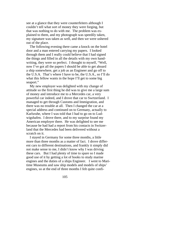see at a glance that they were counterfeiters although I couldn't tell what sort of money they were forging, but that was nothing to do with me. The problem was explained to them, and my photograph was speedily taken, my signature was taken as well, and then we were ushered out of the place.

 The following evening there came a knock on the hotel door and a man entered carrying my papers. I looked through them and I really could believe that I had signed the things and filled in all the details with my own handwriting, they were so perfect. I thought to myself, "Well, now I've got all the papers I should be able to get aboard a ship somewhere, get a job as an Engineer and go off to the U.S.A. That's where I have to be, the U.S.A., so I'll do what this fellow wants in the hope I'll get to some big seaport."

 My new employer was delighted with my change of attitude so the first thing he did was to give me a large sum of money and introduce me to a Mercedes car, a very powerful car indeed, and I drove that car to Swrtzerland. I managed to get through Customs and Immigration, and there was no trouble at all. Then I changed the car at a special address and continued on to Germany, actually to Karlsruhe, where I was told that I had to go on to Ludwigshafen. I drove there, and to my surprise found my American employer there. He was delighted to see me because he had had a report from his contacts in Switzerland that the Mercedes had been delivered without a scratch on it.

 I stayed in Germany for some three months, a little more than three months as a matter of fact. I drove different cars to different destinations, and frankly it simply did not make sense to me, I didn't know why I was driving these cars. But I had plenty of time to spare so I made good use of it by getting a lot of books to study marine engines and the duties of a ships Engineer. I went to Maritime Museums and saw ship models and models of ships' engines, so at the end of three months I felt quite confi-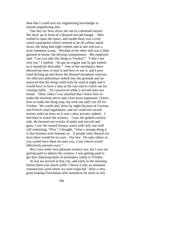dent that I could turn my engineering knowledge to marine engineering also.

 One day my boss drove me out to a deserted airport. We drew up in front of a disused aircraft hangar. Men rushed to open the doors, and inside there was a truly weird contraption which seemed to be all yellow metal struts, the thing had eight wheels and at one end was a truly immense scoop. Perched at the other end was a little glassed-in house, the driving compartment. My employer said, "Can you take this thing to Verdun?" "I don't see why not," I replied. "Its got an engine and its got wheels so it should be derivable." One of the mechanics there showed me how to start it and how to use it, and I practised driving up and down the disused aeroplane runways. An officious policeman rushed into the grounds and announced that the thing could only be used at night and it would have to have a man at the rear end to watch out for coming traffic. So I practiced while a second man was found. Then, when I was satisfied that I knew how to make the machine move and, even more important, I knew how to make the thing stop, my look-out and I set off for Verdun. We could only drive by night because of German and French road regulations, and we could not exceed twenty miles an hour so it was a slow journey indeed. I had time to watch the scenery. I saw the gutted countryside, the burned-out wrecks of tanks and aircraft and guns, I saw the ruined houses, some with only one wall still remaining, "War," I thought, "what a strange thing it is that humans treat humans so. If people only obeyed our laws there would be no wars. Our law: Do unto others as you would have them do unto you, a law which would effectively prevent wars."

 But I saw some very pleasant scenery too, but I was not getting paid to admire the scenery, I was getting paid to get that clattering hunk of machinery safely to Verdun.

 At last we arrived at that city, and early in the morning before there was much traffic I drove it into an immense construction yard where we were expected. Here a very grim looking Frenchman who seemed to be more or less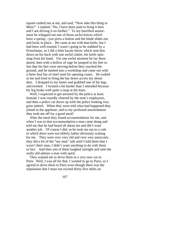square rushed out at me, and said, "Now take this thing to Metz!" I replied, "No, I have been paid to bring it here and I am driving it no further." To my horrified amazement he whipped out one of those awful knives which have a spring—you press a button and the blade slides out and locks in place. He came at me with that knife, but I had been well trained, I wasn't going to be stabbed by a Frenchman, so I did a little karate throw which sent him down on his back with one awful clatter, his knife spinning from his hand. For one awful moment he lay there dazed, then with a bellow of rage he jumped to his feet so fast that his feet were moving before they touched the ground, and he dashed into a workshop and came out with a three foot bar of steel used for opening crates. He rushed at me and tried to bring the bar down across my shoulders. I dropped to my knees and grabbed one of his legs, and twisted. I twisted a bit harder than I intended because his leg broke with quite a snap at the knee.

 Well, I expected to get arrested by the police at least. Instead, I was roundly cheered by the man's employees, and then a police car drove up with the police looking very grim indeed. When they were told what had happened they joined in the applause, and to my profound astonishment they took me off for a good meal!

 After the meal they found accommodation for me, and when I was in that accommodation a man came along and told me that he had heard all about me and did I want another job. Of course I did, so he took me out to a cafe in which there were too elderly ladies obviously waiting for me. They were very very old and very very autocratic, they did a bit of the "my man" talk until I told them that I wasn't their man, I didn't want anything to do with them in fact. And then one of them laughed outright and said she really did admire a man with spirit.

 They wanted me to drive them in a very new car to Paris. Well, I was all for that, I wanted to go to Paris, so I agreed to drive them to Paris even though there was the stipulation that I must not exceed thirty-five miles an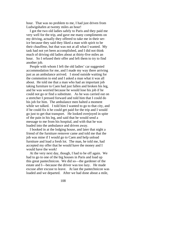hour. That was no problem to me, I had just driven from Ludwigshafen at twenty miles an hour!

 I got the two old ladies safely to Paris and they paid me very well for the trip, and gave me many compliments on my driving, actually they offered to take me in their serice because they said they liked a man with spirit to be their chauffeur, but that was not at all what I wanted. My task had not yet been accomplished, and I did not think much of driving old ladies about at thirty-five miles an hour. So I refused their offer and left them to try to find another job.

 People with whom I left the old ladies' car suggested accommodation for me, and I made my way there arriving just as an ambulance arrived. I stood outside waiting for the commotion to end and I asked a man what it was all about. He told me that a man who had an important job taking furniture to Caen had just fallen and broken his leg, and he was worried because he would lose his job if he could not go or find a substitute. As he was carried out on a stretcher I pressed forward and told him that I could do his job for him. The ambulance men halted a moment while we talked. I told him I wanted to go to that city, and if he could fix it he could get paid for the trip and I would go just to get that transport. He looked overjoyed in spite of the pain in his leg, and said that he would send a message to me from his hospital, and with that he was loaded into the ambulance and driven away.

 I booked in at the lodging house, and later that night a friend of the furniture remover came and told me that the job was mine if I would go to Caen and help unload furniture and load a fresh lot. The man, he told me, had accepted my offer that he would have the money and I would have the work!

 At the very next day, though, I had to be off again. We had to go to one of the big houses in Paris and load up this great pantechnicon. We did so—the gardener of the estate and I—because the driver was too lazy. He made excuse after excuse to leave. At last the pantechnicon was loaded and we departed. After we had done about a mile,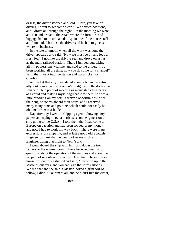or less, the driver stopped and said, "Here, you take on driving, I want to get some sleep." We shifted positions, and I drove on through the night. In the morning we were at Caen and drove to the estate where the furniture and luggage had to be unloaded. Again one of the house staff and I unloaded because the driver said he had to go else where on business.

 In the late afternoon when all the work was done the driver appeared and said; "Now we must go on and load a fresh lot." I got into the driving seat and drove on as far as the main railroad station. There I jumped out, taking all my possessions with me, and said to the driver, "I've been working all the time, now you do some for a change!" With that I went into the station and got a ticket for Cherbourg.

 Arrived at that city I wandered about a bit and eventually took a room at the Seamen's Lodgings in the dock area. I made quite a point of meeting as many ships Engineers as I could and making myself agreeable to them, so with a little prodding on my part I received opportunities to see their engine rooms aboard their ships, and I received many many hints and pointers which could not easily be obtained from text books.

 Day after day I went to shipping agents showing "my" papers and trying to get a berth as second engineer on a ship going to the U.S.A. I told them that I had come to Europe on vacation and had been robbed of my money and now I had to work my way back. There were many expressions of sympathy, and at last a good old Scottish Engineer told me that he would offer me a job as third Engineer going that night to New York.

 I went aboard the ship with him, and down the iron ladders to the engine room. There he asked me many questions about the operation of the engines and about the keeping of records and watches. Eventually he expressed himself as entirely satisfied and said, "Come on up to the Master's quarters, and you can sign the ship's articles. We did that and the ship's Master looked a grim sort of fellow; I didn't like him at all, and he didn't like me either,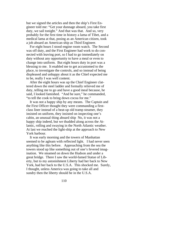but we signed the articles and then the ship's First Engineer told me: "Get your dunnage aboard, you take first duty, we sail tonight." And that was that. And so, very probably for the first time in history a lama of Tibet, and a medical lama at that, posing as an American citizen, took a job aboard an American ship as Third Engineer.

 For eight hours I stood engine room watch. The Second was off duty, and the First Engineer had work to do connected with leaving port, so I had to go immediately on duty without any opportunity to have a meal or even to change into uniform. But eight hours duty in port was a blessing to me. It enabled me to get accustomed to the place, to investigate the controls, and so instead of being displeased and unhappy about it as the Chief expected me to be, really I was well content.

 After the eight hours was up the Chief Engineer clattered down the steel ladder and formally relieved me of duty, telling me to go and have a good meal because, he said, I looked famished. "And be sure," he commanded, "to tell the cook to bring down cocoa for me."

 It was not a happy ship by any means. The Captain and the First Officer thought they were commanding a firstclass liner instead of a beat-up old tramp steamer, they insisted on uniform, they insisted on inspecting one's cabin, an unusual thing aboard ship No, it was not a happy ship indeed, but we thudded along across the Atlantic, rolling and swaying in the North Atlantic weather. At last we reached the light-ship at the approach to New York harbour.

 It was early morning and the towers of Manhattan seemed to be agleam with reflected light. I had never seen anything like this before. Approaching from the sea the towers stood up like something out of one's fevered imagination. We steamed on down the Hudson and under a great bridge. There I saw the world-famed Statue of Liberty, but to my astonishment Liberty had her back to New York, had her back to the U.S.A. This shocked me. Surely, I thought, unless America was going to take all and sundry then the liberty should be in the U.S.A.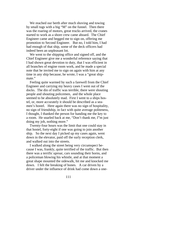We reached our berth after much shoving and towing by small tugs with a big "M" on the funnel. Then there was the roaring of motors, great trucks arrived, the cranes started to work as a shore crew came aboard. The Chief Engineer came and begged me to sign on, offering me promotion to Second Engineer. But no, I told him, I had had enough of that ship, some of the deck officers had indeed been an unpleasant lot.

 We went to the shipping office and signed off, and the Chief Engineer give me a wonderful reference saying that I had shown great devotion to duty, that I was efficient in all branches of engine room work, and he made a special note that he invited me to sign on again with him at any time in any ship because, he wrote, I was a "great shipmate."

 Feeling quite warmed by such a farewell from the Chief Engineer and carrying my heavy cases I went out of the docks. The din of traffic was terrible, there were shouting people and shouting policemen, and the whole place seemed to be absolutely mad. First I went to a ships hostel, or, more accurately it should be described as a seamen's hostel. Here again there was no sign of hospitality, no sign of friendship, in fact with quite average politeness, I thought, I thanked the person for handing me the key to a room. He snarled back at me, "Don't thank me, I"m just doing my job, nothing more."

 Twenty-four hours was the limit that one could stay in that hostel, forty-eight if one was going to join another ship. So the next day I picked up my cases again, went down in the elevator, paid off the surly reception clerk, and walked out into the streets.

 I walked along the street being very circumspect because I was, frankly, quite terrified of the traffic. But then there was a terrific uproar, cars sounding their horns, and a policeman blowing his whistle, and at that moment a great shape mounted the sidewalk, hit me and knocked me down. I felt the breaking of bones. A car driven by a driver under the influence of drink had come down a one-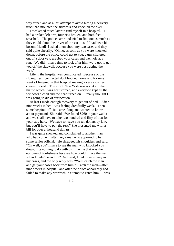way street, and as a last attempt to avoid hitting a delivery truck had mounted the sidewalk and knocked me over

 I awakened much later to find myself in a hospital. I had a broken left arm, four ribs broken, and both feet smashed. The police came and tried to find out as much as they could about the driver of the car—as if I had been his bosom friend! I asked them about my two cases and they said quite cheerily, "Oh no, as soon as you were knocked down, before the police could get to you, a guy slithered out of a doorway, grabbed your cases and went off at a run. We didn't have time to look after him, we'd got to get you off the sidewalk because you were obstructing the way."

 Life in the hospital was complicated. Because of the rib injuries I contracted double-pneumonia and for nine weeks I lingered in that hospital making a very slow recovery indeed. The air of New York was not at all like that to which I was accustomed, and everyone kept all the windows closed and the heat turned on. I really thought I was going to die of suffocation.

 At last I made enough recovery to get out of bed. After nine weeks in bed I was feeling dreadfully weak. Then some hospital official came along and wanted to know about payment! She said, "We found \$260 in your wallet and we shall have to take two hundred and fifty of that for your stay here. We have to leave you ten dollars by law, but you'll have to pay the rest." She presented me with a bill for over a thousand dollars.

 I was quite shocked and complained to another man who had come in after her, a man who appeared to be some senior official. He shrugged his shoulders and said, "Oh well, you"ll have to sue the man who knocked you down. Its nothing to do with us." To me that was the epitome of foolishness because how could I trace the man when I hadn't seen him? As I said, I had more money in my cases, and the only reply was, "Well, catch the man and get your cases back from him." Catch the man—after nine weeks in hospital, and after the police apparently had failed to make any worthwhile attempt to catch him. I was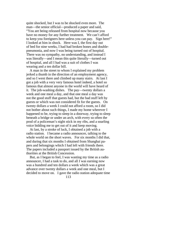quite shocked, but I was to be shocked even more. The man—the senior official—produced a paper and said, "You are being released from hospital now because you have no money for any further treatment. We can't afford to keep you foreigners here unless you can pay. Sign here!" I looked at him in shock. Here was I, the first day out of bed for nine weeks, I had had broken bones and doublepneumonia, and now I was being turned out of hospital. There was no sympathy, no understanding, and instead I was literally—and I mean this quite literally—turned out of hospital, and all I had was a suit of clothes I was wearing and a ten dollar bill.

 A man in the street to whom I explained my problem jerked a thumb in the direction of an employment agency, and so I went there and climbed up many stairs. At last I got a job with a very very famous hotel indeed, a hotel so famous that almost anyone in the world will have heard of it. The job-washing dishes. The pay—twenty dollars a week and one meal a day, and that one meal a day was not the good stuff that guests had, but the bad stuff left by guests or which was not considered fit for the guests. On twenty dollars a week I could not afford a room, so I did not bother about such things, I made my home wherever I happened to be, trying to sleep in a doorway, trying to sleep beneath a bridge or under an arch, with every so often the prod of a policeman's night stick in my ribs, and a snarling voice bidding me to get out of it and keep moving.

 At last, by a stroke of luck, I obtained a job with a radio station. I became a radio announcer, talking to the whole world on the short waves. For six months I did that, and during that six months I obtained from Shanghai papers and belongings which I had left with friends there. The papers included a passport issued by the British authorities at the British Concession.

 But, as I began to feel, I was wasting my time as a radio announcer, I had a task to do, and all I was earning now was a hundred and ten dollars a week which was a great advance over twenty dollars a week and one meal, but I decided to move on. I gave the radio station adequate time 113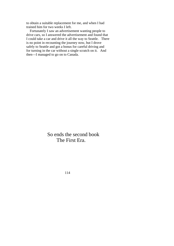to obtain a suitable replacement for me, and when I had trained him for two weeks I left.

 Fortunately I saw an advertisement wanting people to drive cars, so I answered the advertisement and found that I could take a car and drive it all the way to Seattle. There is no point in recounting the journey now, but I drove safely to Seattle and got a bonus for careful driving and for turning in the car without a single scratch on it. And then—I managed to go on to Canada.

> So ends the second book The First Era.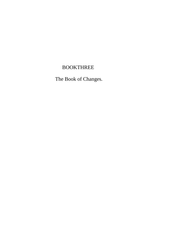## BOOKTHREE

The Book of Changes.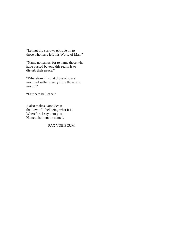"Let not thy sorrows obtrude on to those who have left this World of Man."

"Name no names, for to name those who have passed beyond this realm is to disturb their peace."

"Wherefore it is that those who are mourned suffer greatly from those who mourn."

"Let there be Peace."

....

It also makes Good Sense, the Law of Libel being what it is! Wherefore I say unto you— Names shall not be named.

PAX VOBISCUM.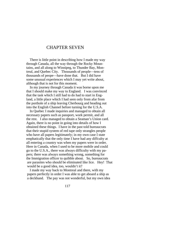## CHAPTER SEVEN

 There is little point in describing how I made my way through Canada, all the way through the Rocky Mountains, and all along to Winnipeg, to Thunder Bay, Montreal, and Quebec City. Thousands of people—tens of thousands of peope—have done that. But I did have some unusual experiences which I may yet write about, although that is not for this moment.

 In my journey through Canada it was borne upon me that I should make my way to England. I was convinced that the task which I still had to do had to start in England, a little place which I had seen only from afar from the porthole of a ship leaving Cherbourg and heading out into the English Channel before turning for the U.S.A.

 In Quebec I made inquiries and managed to obtain all necessary papers such as passport, work permit, and all the rest. I also managed to obtain a Seaman's Union card. Again, there is no point in going into details of how I obtained these things. I have in the past told bureaucrats that their stupid system of red tape only strangles people who have all papers legitimately; in my own case I state emphatically that the only time I have had any diffculty at all entering a country was when my papers were in order. Here in Canada, when I used to be more mobile and could go to the U.S.A., there was always difficulty with my papers; there was always something wrong, something for the Immigration officer to quibble about. So, bureaucrats are parasites who should be eliminated like lice. Hey! That would be a good idea, too, wouldn't it?

 I made my way back to Montreal and there, with my papers perfectly in order I was able to get aboard a ship as a deckhand. The pay was not wonderful, but my own idea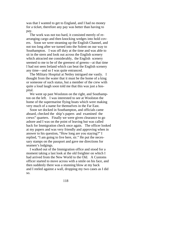was that I wanted to get to England, and I had no money for a ticket, therefore any pay was better than having to pay.

 The work was not too hard, it consisted merely of rearranging cargo and then knocking wedges into hold covers. Soon we were steaming up the English Channel, and not too long after we turned into the Solent on our way to Southampton. I was off duty at the time and was able to sit in the stern and look out across the English scenery which attracted me considerably, the English scenery seemed to me to be of the greenest of greens—at that time I had not seen Ireland which can beat the English scenery any time—and so I was quite entranced.

 The Military Hospital at Netley intrigued me vastly. I thought from the water that it must be the home of a king or someone of such status, but a member of the crew with quite a loud laugh soon told me that this was just a hospital.

 We went up past Woolston on the right, and Southampton on the left. I was interested to see at Woolston the home of the supermarine flying boats which were making very much of a name for themselves in the Far East.

 Soon we docked in Southampton, and officials came aboard, checked the ship's papers and examined the crews" quarters. Finally we were given clearance to go ashore and I was on the point of leaving but was called back for Immigration check once again. The officer looked at my papers and was very friendly and approving when in answer to his question, "How long are you staying?" I replied, "I am going to live here, sir." He put the necessary stamps on the passport and gave me directions for seamen's lodgings.

 I walked out of the Immigration office and stood for a moment taking a last look at the old freighter on which I had arrived from the New World to the Old. A Customs officer started to move across with a smile on his face, and then suddenly there was a stunning blow at my back and I reeled against a wall, dropping my two cases as I did so.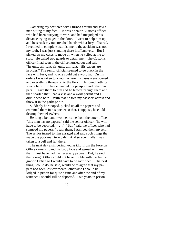Gathering my scattered wits I turned around and saw a man sitting at my feet. He was a senior Customs officer who had been hurrying to work and had misjudged his distance trying to get in the door. I went to help him up and he struck my outstretched hands with a fury of hatred. I recoiled in complete astonishment, the accident was not my fault, I was just standing there inoffensively. But I picked up my cases to move on when he yelled at me to stop. He called two guards to detain me. The Customs officer I had seen in the office hurried out and said, "Its quite all right, sir, quite all right. His papers are in order." The senior official seemed to go black in the face with fury, and no one could get a word in. On his orders I was taken to a room where my cases were opened and everything thrown on to the floor. He found nothing wrong here. So he demanded my passport and other papers. I gave them to him and he leafed through them and then snarled that I had a visa and a work permit and I didn't need both. With that he tore my passport across and threw it in the garbage bin.

 Suddenly he stooped, picked up all the papers and crammed them in his pocket so that, I suppose, he could destroy them elsewhere.

 He rang a bell and two men came from the outer office. "this man has no papers," said the senior officer, "he will have to be deported. . . ." "But," said the officer who had stamped my papers, "I saw them, I stamped them myself." The senior turned to him enraged and said such things that made the poor man turn pale. And so eventually I was taken to a cell and left there.

 The next day a simpering young idiot from the Foreign Office came, stroked his baby face and agreed with me that I must have had the necessary papers. But, he said, the Foreign Office could not have trouble with the Immigration Office so I would have to be sacrificed. The best thing I could do, he said, would be to agree that my papers had been lost overboard, otherwise I should be lodged in prison for quite a time and after the end of my sentence I should still be deported. Two years in prison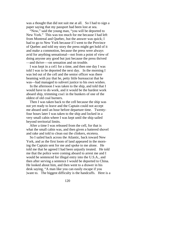was a thought that did not suit me at all. So I had to sign a paper saying that my passport had been lost at sea.

 "Now," said the young man, "you will be deported to New York." This was too much for me because I had left from Montreal and Quebec, but the answer was quick; I had to go to New York because if I went to the Province of Quebec and told my story the press might get hold of it and make a commotion, because the press were always avid for anything sensational—not from a point of view of doing anyone any good but just because the press thrived —and thrive—-on sensation and on trouble.

 I was kept in a cel1 for a time, and then one day I was told I was to be deported the next day. In the morning I was led out of the cell and the senior officer was there beaming with joy that he, petty little bureaucrat that he was—had managed to subvert justice to his own wishes.

 In the afternoon I was taken to the ship, and told that I would have to do work, and it would be the hardest work aboard ship, trimming coa1 in the bunkers of one of the oldest of old coal burners.

 Then I was taken back to the cell because the ship was not yet ready to leave and the Captain could not accept me aboard until an hour before departure time. Twentyfour hours later I was taken to the ship and locked in a very small cabin where I was kept until the ship sailed beyond territorial limits.

 After a time I was released from the cell, for that is what the small cabin was, and then given a battered shovel and rake and told to clean out the clinkers, etcetera.

 So I sailed back across the Atlantic, back toward New York, and as the first loom of land appeared in the morning the Captain sent for me and spoke to me alone. He told me that he agreed I had been unjustly treated. He told me that the police were coming aboard to arrest me and I would be sentenced for illegal entry into the U.S.A., and then after serving a sentence I would be deported to China. He looked about him, and then went to a drawer in his desk saying, "A man like you can easily escape if you |want to. The biggest difficulty is the handcuffs. Here is a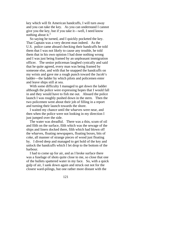key which will fit American handcuffs, I will turn away and you can take the key. As you can understand I cannot give you the key, but if you take it—well, I need know nothing about it."

 So saying he turned, and I quickly pocketed the key. That Captain was a very decent man indeed. As the U.S. police came aboard checking their handcuffs he told them that I was not likely to cause any trouble, he told them that in his own opinion I had done nothing wrong and I was just being framed by an unpleasant immigration officer. The senior policeman laughed cynically and said that he quite agreed, every man was being framed by someone else, and with that he snapped the handcuffs on my wrists and gave me a rough punch toward the Jacob's ladder—the ladder by which pilots and policemen enter and leave ships still at sea.

 With some difficulty I managed to get down the ladder although the police were expressing hopes that I would fall in and they would have to fish me out. Aboard the police launch I was roughly pushed down in the stern. Then the two policemen went about their job of filling in a report and turning their launch towards the shore.

 I waited my chance until the wharves were near, and then when the police were not looking in my direction I just jumped over the side.

 The water was dreadful. There was a thin, scum of oil and filth on the surface, filth which was the sewage of the ships and liners docked there, filth which had blown off the wharves, floating newspapers, floating boxes, bits of coke, all manner of strange pieces of wood just floating by. I dived deep and managed to get hold of the key and unlock the handcuffs which I let drop to the bottom of the harbour.

 I had to come up for air, and as I broke surface there was a fuselage of shots quite close to me, so close that one of the bullets spattered water in my face. So, with a quick gulp of air, I sank down again and struck out not for the closest ward-pilings, but one rather more distant with the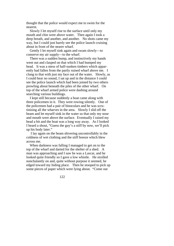thought that the police would expect me to swim for the nearest.

 Slowly I let myself rise to the surface until only my mouth and chin were above water. Then again I took a deep breath, and another, and another. No shots came my way, but I could just barely see the police launch cruising about in front of the nearer wharf.

 Gently I let myself sink again and swam slowly—to conserve my air supply—to the wharf.

 There was a sudden bump, and instinctively my hands went out and clasped on that which I had bumped my head. It was a mess of half-sunken timbers which apparently had fallen from the partly ruined wharf above me. I clung to that with just my face out of the water. Slowly, as I could hear no sound, I sat up and in the distance I could see the police launch which had been joined by two others prowling about beneath the piles of the other wharf. On top of the wharf armed police were dashing around searching various buildings.

 I kept still because suddenly a boat came along with three policemen in it. They were rowing silently. One of the policemen had a pair of binoculars and he was scrutinising all the wharves in the area. Slowly I slid off the beam and let myself sink in the water so that only my nose and mouth were above the surface. Eventually I raised my head a bit and the boat was a long way away. As I looked I heard a shout, "Guess the guy's a stiff by now, we'll pick up his body later."

 I lay again on the beam shivering uncontrollably in the coldness of wet clothing and the stiff breeze which blew across me.

 When darkness was falling I managed to get on to the top of the wharf and darted for the shelter of a shed. A man was approaching and I saw he was a Lascar, and he looked quite friendly so I gave a low whistle. He strolled nonchalantly on and, quite without purpose it seemed, he edged toward my hiding place. Then he stooped to pick up some pieces of paper which were lying about. "Come out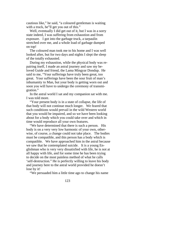cautious like," he said, "a coloured gentleman is waiting with a truck, he''ll get you out of this."

Well, eventually I did get out of it, but I was in a sorry state indeed, I was suffering from exhaustion and from exposure. I got into the garbage truck, a tarpaulin stretched over me, and a whole load of garbage dumped on top!

 The coloured man took me to his home and I was well looked after, but for two days and nights I slept the sleep of the totally exhausted.

 During my exhaustion, while the physical body was repairing itself, I made an astral journey and saw my beloved Guide and friend, the Lama Mingyar Dondup. He said to me, "Your sufferings have truly been great, too great. Your sufferings have been the sour fruit of man's inhumanity to Man, but your body is getting worn out and soon you will have to undergo the ceremony of transmigration."

 In the astral world I sat and my companion sat with me. I was told more.

 "Your present body is in a state of collapse, the life of that body will not continue much longer. We feared that such conditions would prevail in the wild Western world that you would be impaired, and so we have been looking about for a body which you could take over and which in time would reproduce all your own features.

 "We have determined that there is such a person. His body is on a very very low harmonic of your own, otherwise, of course, a change could not take place. The bodies must be compatible, and this person has a body which is compatible. We have approached him in the astral because we saw that he contemplated suicide. It is a young Englishman who is very very dissatisfied with life, he is not at all happy with life, and for some time he has been trying to decide on the most painless method of what he calls 'self-destruction." He is perfectly willing to leave his body and journey here to the astral world provided he doesn't lose by it!

"We persuaded him a little time ago to change his name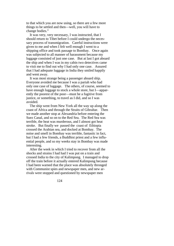to that which you are now using, so there are a few more things to be settled and then—well, you will have to change bodies."

 It was very, very necessary, I was instructed, that I should return to Tibet before I could undergo the necessary process of transmigration. Careful instructions were given to me and when I felt well enough I went to a shipping office and took passage to Bombay. Once again was subjected to all manner of harassment because my luggage consisted of just one case. But at last I got aboard the ship and when I was in my cabin two detectives came to visit me to find out why I had only one case. Assured that I had adequate luggage in India they smiled happily and went away.

 It was most strange being a passenger aboard ship. Everyone avoided me because I was a pariah who had only one case of luggage. The others, of course, seemed to have enough luggage to stock a whole store, but I—apparently the poorest of the poor—must be a fugitive from justice, or something, to travel as I did, and so I was avoided.

 The ship went from New York all the way up along the coast of Africa and through the Straits of Gibraltar. Then we made another stop at Alexandria before entering the Suez Canal, and so on to the Red Sea. The Red Sea was terrible, the heat was murderous, and I almost got heat stroke. But finally we passed the coast of Ethiopia crossed the Arabian sea, and docked at Bombay. The noise and smell in Bombay was terrible, fantastic in fact, but I had a few friends, a Buddhist priest and a few influential people, and so my weeks stay in Bombay was made interesting.

 After the week in which I tried to recover from all the shocks and strains I had had I was put on a train and crossed India to the city of Kalimpong. I managed to drop off the train before it actually entered Kalimpong because I had been warned that the place was absolutely thronged with Communist spies and newspaper men, and new arrivals were stopped and questioned by newspaper men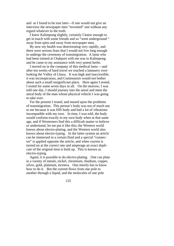and as I found to be true later—if one would not give an interview the newspaper men "invented" one without any regard whatever to the truth.

 I knew Kalimpong slightly, certainly I knew enough to get in touch with some friends and so "went underground " away from spies and away from newspaper men.

 By now my health was deteriorating very rapidly, and there were serious fears that I would not live long enough to undergo the ceremony of transmigration. A lama who had been trained at Chakpori with me was in Kalimpong and he came to my assistance with very potent herbs.

 I moved on in the company of this medical lama —and after ten weeks of hard travel we reached a lamasery overlooking the Valley of Lhasa. It was high and inaccessible, it was inconspicuous, and Communists would not bother about such a small insignificant place. Here again I rested, I rested for some seven days in all. On the morrow, I was told one day, I should journey into the astral and meet the astral body of the man whose physical vehicle I was going to take over.

 For the present I rested, and mused upon the problems of transmigration. This person's body was not of much use to me because it was HIS body and had a lot of vibrations incompatible with my own. In time, I was told, the body would conform exactly to my own body when at that same age, and if Westerners find this a difficult matter to believe or understand, let me put it like this; the Western world knows about electro-plating, and the Western world also knows about electro-typing. In the latter system an article can be immersed in a certain fluid and a special "connector" is applied opposite the article, and when current is turned on at the correct rate and amperage an exact duplicate of the original item is built up. This is known as electro-typing.

 Again, it is possible to do electro-plating. One can plate in a variety of metals, nickel, chromium, rhodium, copper, silver, gold, platinum, etcetera. One merely has to know how to do it. But the current flows from one pole to another through a liquid, and the molecules of one pole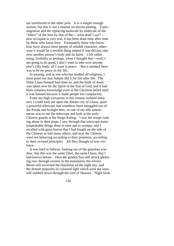are transferred to the other pole. It is a simple enough system, but this is not a treatise on electro-plating. Transmigration and the replacing molecule by molecule of the "fabric" of the host by that of the— what shall I say? new occupant is very real, it has been done time after time by those who know how. Fortunately those who know how have always been people of reliable character, otherwise it would be a terrible thing indeed if one did just take over another person's body and do harm. I felt rather smug, foolishly so perhaps, when I thought that—well, I am going to do good, I don't want to take over anyone else's silly body, all I want is peace. But it seemed there was to be no peace in my life.

 In passing, and as one who has studied all religions, I must point out that Adepts did it for life after life. The Dalai Lama himself had done so, and the body of Jesus was taken over by the Spirit of the Son of God, and it had been common knowledge even in the Christian belief until it was banned because it made people too complacent.

 From my high viewpoint in this remote isolated lamasery I could look out upon the distant city of Lhasa; quite a powerful telescope had somehow been smuggled out of the Potala and brought here, so one of my idle amusements was to use the telescope and look at the surly Chinese guards at the Pargo Kaling. I saw the troops rushing about in their jeeps, I saw through that telescope many unspeakable things done to men and to women, and I recalled with great horror that I had fought on the side of the Chinese as had many others, and now the Chinese were not behaving according to their promises, according to their avowed principles. All they thought of was violence.

 It was hard to believe, looking out of the glassless window, that this was the same Tibet, the same Lhasa, that I had known before. Here the golden Sun still struck gleaming rays through ravines in the mountains, the silvery Moon still traversed the blackness of the night sky, and the distant pinpoints of coloured light which were the stars still stabbed down through the roof of Heaven. Night birds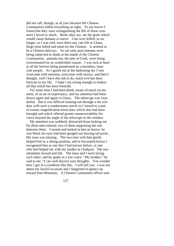did not call, though, as of yore because the Chinese Communists killed everything on sight. To my horror I found that they were extinguishing the life of those creatures I loved so much. Birds, they say, ate the grain which would cause humans to starve. Cats were killed, so no longer, so I was told, were there any cats left in Lhasa. Dogs were killed and eaten by the Chinese. It seemed to be a Chinese delicacy. So not only poor humans were being subjected to death at the hands of the Chinese Communists, animals too, the pets of Gods, were being exterminated for no worthwhile reason. I was sick at heart at all the horrors being perpetrated on a harmless, innocent people. As I gazed out at the darkening sky I was overcome with emotion, overcome with sorrow, and then I thought, well I have this job to do, much evil has been forecast in my life. I hope I am strong enough to endure all that which has been foretold.

 For some time I had been dimly aware of much excitement, of an air of expectancy, and my attention had been drawn again and again to Lhasa. The telescope was wonderful. But it was difficult looking out through a slit window with such a cumbersome article so I turned to a pair of twenty magnification binoculars which also had been brought and which offered greater maneuverability for views beyond the angle of the telescope in the window.

 My attention was suddenly distracted from looking out for three men entered, two of them supporting the one between them. I turned and looked at him in horror; he was blind, his eyes had been gouged out leaving red pools. His nose was missing. The two men with him gently helped him to a sitting position, and in fascinated horror I recognised him as one that I had known before, as one who had helped me with my studies at Chakpori. The two attendants bowed and left. The lama and I were facing each other, and he spoke in a low voice: "My brother," he said to me, "I can well discern your thoughts. You wonder how I got in a condition like this. I will tell you. I was out about my lawful occasion and I happened to glance up toward Iron Mountain. A Chinese Communist officer sud-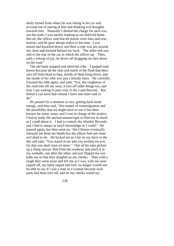denly turned from where he was sitting in his car and accused me of staring at him and thinking evil thoughts towards him. Naturally I denied the charge for such was not the truth, I was merely looking at our beloved home. But no, the officer said that all priests were liars and reactionists, and he gave abrupt orders to his men. I was seized and knocked down, and then a rope was put around my chest and knotted behind my back. The other end was tied to the rear of the car in which the officer sat. Then, with a whoop of joy, he drove off dragging me face down on the road."

 The old lama stopped and lifted his robe. I gasped with horror because all the skin and much of the flesh had been torn off from head to foot, shreds of flesh hung down, and the inside of his robe was just a bloody mess. He carefully lowered his robe again, and said, "Yes, the roughness of the road tore off my nose, it tore off other things too, and now I am waiting to pass over to the Land Beyond. But before I can have that release I have one more task to do."

 He paused for a moment or two, getting back some energy, and then said, "this matter of transmigration and the possibility that we might have to use it has been known for many years, and I was in charge of the project, I had to study the ancient manuscripts to find out as much as I could about it. I had to consult the Akashic Records and I had to amass as much knowledge as I could." He paused again, but then went on, "the Chinese eventually released me from my bonds but the officer had one more evil deed to do. He kicked me as I lay on my back in the dirt and said, "You stared at me and you wished me evil, for that you shall stare no more." One of his men picked up a sharp narrow flint from the roadway and stuck it in my eyeballs, one after the other, and just flipped my eyeballs out so that they dangled on my cheeks. Then with a laugh they went away and left me as I was, with my nose ripped off, my body ripped and torn, no longer would one be able to say if I was a man or a woman because such parts had been torn off, and on my cheeks rested my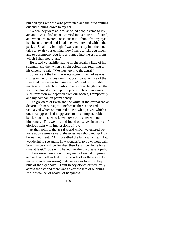blinded eyes with the orbs perforated and the fluid spilling out and running down to my ears.

 "When they were able to, shocked people came to my aid and I was lifted up and carried into a house. I fainted, and when I recovered consciousness I found that my eyes had been removed and I had been well treated with herbal packs. Stealthily by night I was carried up into the mountains to await your coming, now I have to tel1 you much, and to accompany you into a journey into the astral from which I shall not return."

 He rested yet awhile that he might regain a little of his strength, and then when a slight colour was returning to his cheeks he said, "We must go into the astral."

 So we went the familiar route again. Each of us was sitting in the lotus position, that position which we of the East find the easiest to maintain. We said our suitable mantras with which our vibrations were so heightened that with the almost imperceptible jerk which accompanies such transition we departed from our bodies, I temporarily and my companion permanently.

 The greyness of Earth and the white of the eternal snows departed from our sight. Before us there appeared a veil, a veil which shimmered bluish-white, a veil which as one first approached it appeared to be an impenetrable barrier, but those who knew how could enter without hindrance. This we did, and found ourselves in an area of glorious light with impressions of joy.

 At that point of the astral world which we entered we were upon a green sward, the grass was short and springy beneath our feet. "Ah!" breathed the lama with me, "How wonderful to see again, how wonderful to be without pain. Soon my task will be finished then I shall be Home for a time at least." So saying he led me along a pleasant path.

 There were trees about, many many trees, all in green and red and yellow leaf. To the side of us there swept a majestic river, mirroring in its watery surface the deep blue of the sky above. Faint fleecy clouds drifted lazily across the sky and there was an atmosphere of bubbling life, of vitality, of health, of happiness.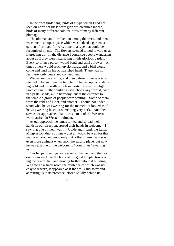In the trees birds sang, birds of a type which I had not seen on Earth for these were glorious creatures indeed, birds of many different colours, birds of many different plumage.

 The old man and I walked on among the trees, and then we came to an open space which was indeed a garden, a garden of brilliant flowers, none of a type that could be recognized by me. The flowers seemed to nod toward us as if greeting us. In the distance I could see people wandering about as if they were luxuriating in this glorious garden. Every so often a person would bend and sniff a flower. At times others would reach up skywards, and a bird would come and land on his outstretched hand. There was no fear here, only peace and contentment.

 We walked on a while, and then before us we saw what seemed to be an immense temple. It had a cupola of shining gold and the walls which supported it were of a light fawn colour. Other buildings stretched away from it, each in a pastel shade, all in harmony, but at the entrance to the temple a group of people were waiting. Some of them wore the robes of Tibet, and another—I could not understand what he was wearing for the moment, it looked as if he was wearing black or something very dark. And then I saw as we approached that it was a man of the Western world attired in Western raiment.

 At our approach the lamas turned and spread their hands in our direction, spread their hands in welcome. I saw that one of them was my Guide and friend, the Lama Mingyar Dondup, so I knew that all would be well for this man was good and good only. Another figure I saw was even more eminent when upon the earthly plane, but now he was just one of the welcoming "committee" awaiting us.

 Our happy greetings were soon exchanged, and then as one we moved into the body of the great temple, traversing the central hall and moving further into that building. We entered a small room the existence of which was not easy to discern, it appeared as if the walls slid away and, admitting us to its presence, closed solidly behind us.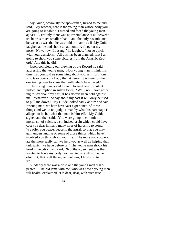My Guide, obviously the spokesman, turned to me and said, "My brother, here is the young man whose body you are going to inhabit." I turned and faced the young man aghast. Certainly there was no resemblance at all between us, he was much smaller than I, and the only resemblance between us was that he was bald the same as I! My Guide laughed at me and shook an admonitory finger at my nose: "Now, now, Lobsang," he laughed, "not so quick with your decisions. All this has been planned, first I am going to show you some pictures from the Akashic Reoord." And this he did.

 Upon completing our viewing of the Record he said, addressing the young man, "Now young man, I think it is time that you told us something about yourself, for if one is to take over your body then it certainly is time for the one taking over to know that with which he is faced."

 The young man, so addressed, looked very truculent indeed and replied in sullen tones, "Well, no, I have nothing to say about my past, it has always been held against me. Whatever I do say about my past it will only be used to pull me down." My Guide looked sadly at him and said, "Young man, we here have vast experience of these things and we do not judge a man by what his parentage is alleged to be but what that man is himself." My Guide sighed and then said, "You were going to commit the mortal sin of suicide, a sin indeed, a sin which could have cost you dear in many many lives of hardship to atone. We offer you peace, peace in the astral, so that you may gain understanding of some of those things which have troubled you throughout your life. The more you cooperate the more easily can we help you as well as helping that task which we have before us." The young man shook his head in negation, and said, "No, the agreement was that I wanted to leave my body, you wanted to stuff someone else in it, that's all the agreement was, I hold you to it".

 Suddenly there was a flash and the young man disappeared. The old lama with me, who was now a young man full health, exclaimed, "Oh dear, dear, with such trucu-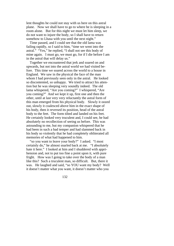lent thoughts he could not stay with us here on this astral plane. Now we shall have to go to where he is sleeping in a room alone. But for this night we must let him sleep, we do not want to injure the body, so I shall have to return somehow to Lhasa with you until the next night."

 Time passed, and I could see that the old lama was failing rapidly, so I said to him, "time we went into the astral." "Yes," he replied, "I shall not see this body of mine again. I must go, we must go, for if I die before I am in the astral that will delay us."

 Together we encountered that jerk and soared on and upwards, but not into the astral world we had visited before. This time we soared across the world to a house in England. We saw in the physical the face of the man whom I had previously seen only in the astral. He looked so discontented, so unhappy. We tried to attract his attention but he was sleeping very soundly indeed. The old lama whispered, "Are you coming?" I whispered, "Are you coming?" And we kept it up, first one and then the other, until at last very very reluctantly the astral form of this man emerged from his physical body. Slowly it oozed out, slowly it coalesced above him in the exact shape of his body, then it reversed its position, head of the astral body to the feet. The form tilted and landed on his feet. He certainly looked very truculent and, I could see, he had absolutely no recollection of seeing us before. This was astounding to me, but my companion whispered that he had been in such a bad temper and had slammed back in his body so violently that he had completely obliterated all memories of what had happened to him.

 "so you want to leave your body?" I asked. "I most certainly do," he almost snarled back at me. "I absolutely hate it here." I looked at him and I shuddered with apprihension and, not to put too fine a point upon it, with pure fright. How was I going to take over the body of a man like this? Such a truculent man, so difficult. But, there it was. He laughed and said, "so YOU want my body? Well it doesn't matter what you want, it doesn't matter who you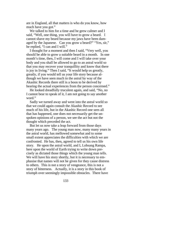are in England, all that matters is who do you know, how much have you got."

 We talked to him for a time and he grew calmer and I said, "Well, one thing, you will have to grow a beard. I cannot shave my beard because my jaws have been damaged by the Japanese. Can you grow a beard?" "Yes, sir," he replied, "I can and I will."

 I thought for a moment and then I said, "Very well, you should be able to grow a suitable beard in a month. In one month's time, then, I will come and I will take over your body and you shall be allowed to go to an astral world so that you may recover your tranquillity and know that there is joy in living." Then I said, "It would help us greatly, greatly, if you would tell us your life story because although we have seen much in the astral by way of the Akashic Records there still is a boon to be derived by hearing the actual experiences from the person concerned."

 He looked dreadfully truculent again, and said, "No, no I cannot bear to speak of it, I am not going to say another word."

 Sadly we turned away and went into the astral world so that we could again consult the Akashic Record to see much of his life, but in the Akashic Record one sees all that has happened, one does not necessarily get the unspoken opinions of a person, we see the act but not the thought which preceded the act.

 But let us now take a leap forward from those days many years ago. The young man now, many many years in the astral world, has mellowed somewhat and to some small extent appreciates the difficulties with which we are confronted. He has, then, agreed to tell us his own life story. He upon the astral world, and I, Lobsang Rampa, here upon the world of Earth trying to write down precisely as dictated those things which the young man tells. We will have his story shortly, but it is necessary to emphasise that names will not be given for they cause distress to others. This is not a story of vengeance, this is not a story of bitterness. Actually, it is a story in this book of triumph over seemingly impossible obstacles. There have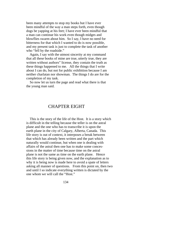been many attempts to stop my books but I have ever been mindful of the way a man steps forth, even though dogs be yapping at his feet; I have ever been mindful that a man can continue his work even though midges and blowflies swarm about him. So I say, I have no need for bitterness for that which I wanted to do is now possible, and my present task is just to complete the task of another who "fell by the roadside."

 Again, I say with the utmost sincerity at my command that all these books of mine are true, utterly true, they are written without authors" license, they contain the truth as these things happened to me. All the things that I write about I can do, but not for public exhibition because I am neither charlatan nor showman. The things I do are for the completion of my task.

 So now let us turn the page and read what there is that the young man said.

## CHAPTER EIGHT

 This is the story of the life of the Host. It is a story which is difficult in the telling because the teller is on the astral plane and the one who has to transcribe it is upon the earth plane in the city of Calgary, Alberta, Canada. This life story is out of context, it interposes a break between that which has already been written and the part which naturally would continue, but when one is dealing with affairs of the astral then one has to make some concessions in the matter of time because time on the astral plane is not the same as time on the earth plane. Hence this life story is being given now, and the explanation as to why it is being now is made here to avoid a spate of letters asking all manner of questions. From this point on, then two and until I so indicate everything written is dictated by the one whom we will call the "Host."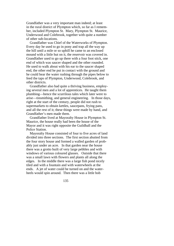Grandfather was a very important man indeed; at least in the rural district of Plympton which, so far as I remember, included Plympton St. Mary, Plympton St. Maurice, Underwood and Colebrook, together with quite a number of other sub-locations.

 Grandfather was Chief of the Waterworks of Plympton. Every day he used to go in pony and trap all the way up the hill until a mile or so uphill he came to an enclosed mound with a little hut on it, the reservoir was covered in. Grandfather used to go up there with a four foot stick, one end of which was saucer shaped and the other rounded. He used to walk about with his ear to the saucer shaped end, the other end he put in contact with the ground and he could hear the water rushing through the pipes below to feed the taps of Plympton, Underwood, Colebrook, and other districts.

 Grandfather also had quite a thriving business, employing several men and a lot of apprentices. He taught them plumbing—hence the scurrilous tales which later were to arise—tinsmithing, and general engineering. In those days, right at the start of the century, people did not rush to supermarkets to obtain kettles, saucepans, frying pans, and all the rest of it; these things were made by hand, and Grandfather's men made them.

 Grandfather lived at Mayoralty House in Plympton St. Maurice, the house really had been the house of the Mayor and it was right opposite the Guildhall and the Police Station.

 Mayoralty House consisted of four to five acres of land divided into three sections. The first section abutted from the four story house and formed a walled garden of probably just under an acre. In that garden near the house there was a grotto built of very large pebbles and with windows of various coloured glasses. Outside that there was a small lawn with flowers and plants all along the edges. In the middle there was a large fish pond nicely tiled and with a fountain and with waterwheels at the ends. A jet of water could be turned on and the waterheels would spin around. Then there was a little bob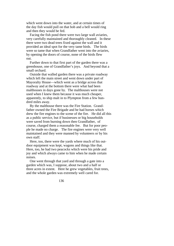which went down into the water, and at certain times of the day fish would pull on that bob and a bell would ring and then they would be fed.

 Facing the fish pond there were two large wall aviaries, very carefully maintained and thoroughly cleaned. In these there were two dead trees fixed against the wall and it provided an ideal spot for the very tame birds. The birds were so tame that when Grandfather went into the aviaries, by opening the doors of course, none of the birds flew out.

 Further down to that first part of the garden there was a greenhouse, one of Grandfather's joys. And beyond that a small orchard.

 Outside that walled garden there was a private roadway which left the main street and went down under part of Mayoralty House—which went as a bridge across that roadway and at the bottom there were what had been malthouses in days gone by. The malthouses were not used when I knew them because it was much cheaper, apparently, to ship malt in to Plympton from a few hundred miles away.

 By the malthouse there was the Fire Station. Grandfather owned the Fire Brigade and he had horses which drew the fire engines to the scene of the fire. He did all this as a public service, but if businesses or big households were saved from burning down then Grandfather, of course, charged them a reasonable fee. But for poor people he made no charge. The fire engines were very well maintained and they were manned by volunteers or by his own staff.

 Here, too, there were the yards where much of his outdoor equipment was kept, wagons and things like that. Here, too, he had two peacocks which were his pride and joy and which always came to him when he made certain noises.

 One went through that yard and through a gate into a garden which was, I suppose, about two and a half or three acres in extent. Here he grew vegetables, fruit trees, and the whole garden was extremely well cared for.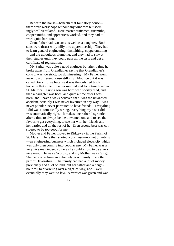Beneath the house—beneath that four story house there were workshops without any windows but seemingly well ventilated. Here master craftsmen, tinsmiths, coppersmiths, and apprentices worked, and they had to work quite hard too.

 Grandfather had two sons as well as a daughter. Both sons were thrust willy-nilly into apprenticeship. They had to learn general engineering, tinsmithing, coppersmithing —and the ubiquitous plumbing, and they had to stay at their studies until they could pass all the tests and get a certificate of registration.

 My Father was quite a good engineer but after a time he broke away from Grandfather saying that Grandfather's control was too strict, too domineering. My Father went away to a different house still in St. Maurice but it was called Brick House because it was the only red brick house in that street. Father married and for a time lived in St. Maurice. First a son was born who shortly died, and then a daughter was born, and quite a time after I was born, and I have always believed that I was the unwanted accident, certainly I was never favoured in any way, I was never popular, never permitted to have friends. Everything I did was automatically wrong, everything my sister did was automatically right. It makes one rather disgruntled after a time to always be the unwanted one and to see the favourite get everything, to see her with her friends and her parties and all the rest of it. Even second best was considered to be too good for me.

 Mother and Father moved to Ridgeway in the Parish of St. Mary. There they started a business—no, not plumbing —an engineering business which included electricity which was only then coming into popular use. My Father was a very nice man indeed so far as he could afford to be a very nice man. He was a Scorpio, and my Mother was a Virgo. She had come from an extremely good family in another part of Devonshire. The family had had a lot of money previously and a lot of land, but her father and a neighbour fell to quarreling over a right-of-way, and—well eventually they went to law. A verdict was given and was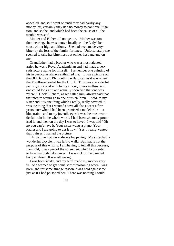appealed, and so it went on until they had hardly any money left, certainly they had no money to continue litigation, and so the land which had been the cause of all the trouble was sold.

 Mother and Father did not get on. Mother was too domineering, she was known locally as 'the Lady" because of her high ambitions. She had been made very bitter by the loss of the family fortunes. Unfortunately she seemed to take her bitterness out on her husband and on me.

 Grandfather had a brother who was a most talented artist, he was a Royal Academician and had made a very satisfactory name for himself. I remember one painting of his in particular always enthralled me. It was a picture of the Old Barbican, Plymouth; the Barbican as it was when the Mayflower sailed for the U.S.A. This was a wonderful picture, it glowed with living colour, it was mellow, and one could look at it and actually soon find that one was "there." Uncle Richard, as we called him, always said that that picture would go to one of us children. It did, to my sister and it is one thing which I really, really coveted, it was the thing that I wanted above all else except a few years later when I had been promised a model train —a blue train—and to my juvenile eyes it was the most wonderful train in the whole world, I had been solemnly promised it, and then on the day I was to have it I was told "Oh no you can't have it. Your sister wants a piano. Your Father and I are going to get it now." Yes, I really wanted that train as I wanted the picture.

 Things like that were always happening. My sister had a wonderful bicycle, I was left to walk. But that is not the purpose of this writing, I am having to tell all this because, I am told, it was part of the agreement when I consented to have my body taken over. I was sick of the damned body anyhow. It was all wrong.

 I was born sickly, and my birth made my mother very ill. She seemed to get some sort of poisoning when I was born, and for some strange reason it was held against me just as if I had poisoned her. There was nothing I could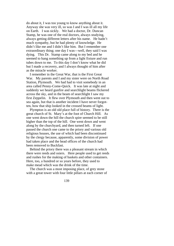do about it, I was too young to know anything about it. Anyway she was very ill, so was I and I was ill all my life on Earth. I was sickly. We had a doctor, Dr. Duncan Stamp, he was one of the real doctors, always studying, always getting different letters after his name. He hadn't much sympathy, but he had plenty of knowledge. He didn't like me and I didn't like him. But I remember one extraordinary thing; one day I was—well, they said I was dying. This Dr. Stamp came along to my bed and he seemed to hang something up from a light fixture and run tubes down to me. To this day I don't know what he did but I made a recovery, and I always thought of him after as the miracle worker.

 I remember in the Great War, that is the First Great War. My parents and I and my sister were on North Road Station, Plymouth. We had had to visit somebody in an area called Penny-Come-Quick. It was late at night and suddenly we heard gunfire and searchlight beams flickered across the sky, and in the beam of searchlight I saw my first Zeppelin. It flew over Plymouth and then went out to sea again, but that is another incident I have never forgotten, how that ship looked in the crossed beams of light.

 Plympton is an old old place full of history. There is the great church of St. Mary's at the foot of Church Hill. As one went down the hill the church spire seemed to be still higher than the top of the hill. One went down and went along by the churchyard, and then turned left. If one passed the church one came to the priory and various old religious houses, the use of which had been discontinued by the clergy because, apparently, some division of power had taken place and the head offices of the church had been removed to Buckfast.

 Behind the priory there was a pleasant stream in which there were reeds and osiers. Here people used to get reeds and rushes for the making of baskets and other containers. Here, too, a hundred or so years before, they used to make mead which was the drink of the time.

 The church was a most imposing place, of grey stone with a great tower with four little pillars at each corner of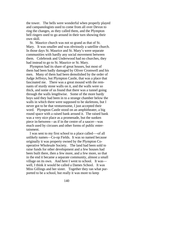the tower. The bells were wonderful when properly played and campanologists used to come from all over Devon to ring the changes, as they called them, and the Plympton bell ringers used to go around in their turn showing their own skill.

 St. Maurice church was not so grand as that of St. Mary. It was smaller and was obviously a satellite church. In those days St. Maurice and St. Mary's were separate communities with hardly any social movement between them. Colebrook and Underwood had no churches, they had instead to go to St. Maurice or St. Mary.

 Plympton had its share of great houses, but most of them had been badly damaged by Oliver Cromwell and his men. Many of them had been demolished by the order of Judge Jeffreys, but Plympton Castle, that was a place that fascinated me. There was a great mound with the remnants of sturdy stone walls on it, and the walls were so thick, and some of us found that there was a tunnel going through the walls lengthwise. Some of the more hardy boys said they had been in to a strange chamber below the walls in which there were supposed to be skeletons, but I never got to be that venturesome, I just accepted their word. Plympton Castle stood on an amphitheater, a big round space with a raised bank around it. The raised bank was a very nice place as a promenade, but the sunken piece in-between—as if in the centre of a saucer—was much used by circuses and other forms of public entertainment.

 I was sent to my first school to a place called—-of all unlikely names—Co-op Fields. It was so named because originally it was property owned by the Plympton Cooperative Wholesale Society. The land had been sold to raise funds for other development and a few houses had been built there, then a few more, and a few more, so that in the end it became a separate community, almost a small village on its own. And here I went to school. It was well, I think it would be called a Dames School. It was Miss Gillings and her sister. Together they ran what purported to be a school, but really it was more to keep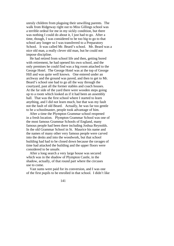unruly children from plaguing their unwilling parents. The walk from Ridgeway right out to Miss Gillings school was a terrible ordeal for me in my sickly condition, but there was nothing I could do about it, I just had to go. After a time, though, I was considered to be too big to go to that school any longer so I was transferred to a Preparatory School. It was called Mr. Beard's school. Mr. Beard was a nice old man, a really clever old man, but he could not impose discipline.

 He had retired from school life and then, getting bored with retirement, he had opened his own school, and the only premises he could find was a big room attached to the George Hotel. The George Hotel was at the top of George Hill and was quite well known. One entered under an archway and the ground was paved, and then to get to Mr. Beard's school one had to go all the way through the courtyard, past all the former stables and coach houses. At the far side of the yard there were wooden steps going up to a room which looked as if it had been an assembly hall. That was the first school where I started to learn anything, and I did not learn much, but that was my fault not the fault of old Beard. Actually, he was far too gentle to be a schoolmaster, people took advantage of him.

 After a time the Plympton Grammar school reopened in a fresh location. Plympton Grammar School was one of the most famous Grammar Schools of England, many famous people had been there including Joshua Reynolds. In the old Grammar School in St. Maurice his name and the names of many other very famous people were carved into the desks and into the woodwork, but that school building had had to be closed down because the ravages of time had attacked the building and the upper floors were considered to be unsafe.

 After a long search a very large house was secured which was in the shadow of Plympton Castle, in the shadow, actually, of that round part where the circuses use to come.

 Vast sums were paid for its conversion, and I was one of the first pupils to be enrolled in that school. I didn't like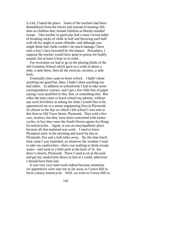it a bit, I hated the place. Some of the teachers had been demobilized from the forces and instead of treating children as children they treated children as bloody-minded troops. One teacher in particular had a most vicious habit of breaking sticks of chalk in half and throwing each half with all his might at some offender, and although you might think that chalk couldn't do much damage I have seen a boy's face lacerated by the impact. Nowadays, I suppose the teacher would have gone to prison for bodily assault, but at least it kept us in order.

 For recreation we had to go to the playing fields of the old Grammar School which gave us a walk of about a mile, a mile there, then all the exercise, etcetera, a mile back.

 Eventually time came to leave school. I hadn't done anything too good but, then, I hadn't done anything too bad either. In addition to schoolwork I had to take some correspondence courses, and I got a few little bits of paper saying I was qualified in this, that, or something else. But when the time came to leave school my parents, without any such frivolities as asking me what I would like to be, apprenticed me to a motor engineering firm in Plymouth. So almost to the day on which I left school I was sent to this firm in Old Town Street, Plymouth. They sold a few cars, etcetera, but they were more concerned with motorcycles, in fact they were the South Devon agents for Douglas motorcycles. Again, it was an unsympathetic place because all that mattered was work. I used to leave Plympton early in the morning and travel by bus to Plymouth, five and a half miles away. By the time lunch time came I was famished, so whatever the weather I used to take my sandwiches—there was nothing to drink except water—and went to a little park at the back of St. Andrew's church, Plymouth. There I used to sit in the park and get my sandwiches down as fast as I could, otherwise I should have been late.

 It was very very hard work indeed because sometime we apprentices were sent out as far away as Crown Hill to fetch a heavy motorcycle. Well, we went to Crown Hill or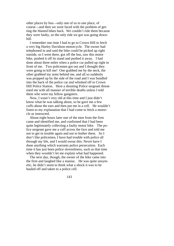other places by bus—only one of us to one place, of course—and then we were faced with the problem of getting the blasted bikes back. We couldn't ride them because they were faulty, so the only ride we got was going downhill.

 I remember one time I had to go to Crown Hill to fetch a very big Harley Davidson motorcycle. The owner had telephoned in and said the bike could be picked up right outside, so I went there, got off the bus, saw this motor bike, pushed it off its stand and pushed it away. I had done about three miles when a police car pulled up right in front of me. Two policemen got out and I thought they were going to kill me! One grabbed me by the neck, the other grabbed my arms behind me, and all so suddenly was propped up by the side of the road and I was bundled into the back of the police car and whisked off to Crown Hill Police Station. Here a shouting Police sergeant threatened me with all manner of terrible deaths unless I told them who were my fellow gangsters.

 Now, I wasn't very old at this time and I just didn't know what he was talking about, so he gave me a few cuffs about the ears and then put me in a cell. He wouldn't listen to my explanation that I had come to fetch a motorcle as instructed.

 About eight hours later one of the men from the firm came and identified me, and confirmed that I had been quite legitimately collecting a faulty motor bike. The police sergeant gave me a cuff across the face and told me not to get in trouble again and not to bother them. So I don't like policemen, I have had trouble with police all through my life, and I would swear this: Never have I done anything which warrants police persecution. Each time it has just been police slovenliness, such as that time when they wouldn't let me explain what had happened.

 The next day, though, the owner of the bike came into the firm and laughed like a maniac. He was quite unsymetic, he didn't seem to think what a shock it was to be hauled off and taken to a police cell.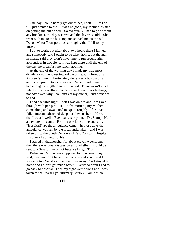One day I could hardly get out of bed, I felt ill, I felt so ill I just wanted to die. It was no good, my Mother insisted on getting me out of bed. So eventually I had to go without any breakfast, the day was wet and the day was cold. She went with me to the bus stop and shoved me on the old Devon Motor Transport bus so roughly that I fell to my knees.

 I got to work, but after about two hours there I fainted and somebody said I ought to be taken home, but the man in charge said they didn't have time to run around after apprentices in trouble, so I was kept there until the end of the day, no breakfast, no lunch, nothing.

 At the end of the working day I made my way most dizzily along the street toward the bus stop in front of St. Andrew's church. Fortunately there was a bus waiting and I collapsed into a corner seat. When I got home I just had enough strength to totter into bed. There wasn't much interest in any welfare, nobody asked how I was feelings, nobody asked why I couldn't eat my dinner, I just went off to bed.

 I had a terrible night, I felt I was on fire and I was wet through with perspiration. In the morning my Mother came along and awakened me quite roughly—for I had fallen into an exhausted sleep—and even she could see that I wasn't well. Eventually she phoned Dr. Stamp. Half a day later he came. He took one look at me and said, "Hospital!" So the ambulance came—in those days the ambulance was run by the local undertaker—and I was taken off to the South Demon and East Cornwall Hospital. I had very bad lung trouble.

 I stayed in that hospital for about eleven weeks, and then there was great discussion as to whether I should be sent to a Sanatorium or not because I'd got T.B.

 Father and Mother were opposed to it because, they said, they wouldn't have time to come and visit me if I was sent to a Sanatorium a few miles away. So I stayed at home and I didn't get much better. Every so often I had to go back to hospital. Then my sight went wrong and I was taken to the Royal Eye Infirmary, Mutley Plain, which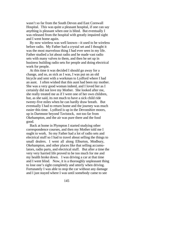wasn't so far from the South Devon and East Cornwall Hospital. This was quite a pleasant hospital, if one can say anything is pleasant when one is blind. But eventually I was released from the hospital with greatly impaired sight and I went home again.

 By now wireless was well known—it used to be wireless before radio. My Father had a crystal set and I thought it was the most marvelous thing I had ever seen in my life. Father studied a lot about radio and he made vast radio sets with many valves to them, and then he set up in business building radio sets for people and doing electrical work for people.

 At this time it was decided I should go away for a change, and so, as sick as I was, I was put on an old bicycle and sent with a workman to Lydford where I had an aunt. I often wished that this aunt had been my mother. She was a very good woman indeed, and I loved her as I certainly did not love my Mother. She looked after me, she really treated me as if I were one of her own children, but, as she said, its not much to have a sick child ride twenty-five miles when he can hardly draw breath. But eventually I had to return home and the journey was much easier this time. Lydford is up in the Devonshire moors, up in Dartmoor beyond Tavistock, not too far from Okehampton, and the air was pure there and the food good.

 Back at home in Plympton I started studying other correspondence courses, and then my Mother told me I ought to work. So my Father had a lot of radio sets and electrical stuff so I had to travel about selling the things to small dealers. I went all along Elburton, Modbury, Okehampton, and other places like that selling accumulators, radio parts, and electrical stuff. But after a time the very very harried life proved to be too much for me and my health broke down. I was driving a car at that time and I went blind. Now, it is a thoroughly unpleasant thing to lose one's sight completely and utterly when driving. Fortunately I was able to stop the car without any damage and I just stayed where I was until somebody came to see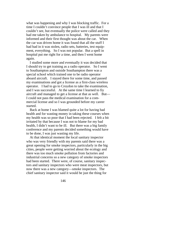what was happening and why I was blocking traffic. For a time I couldn't convince people that I was ill and that I couldn't see, but eventually the police were called and they had me taken by ambulance to hospital. My parents were informed and their first thought was about the car. When the car was driven home it was found that all the stuff I had had in it was stolen, radio sets, batteries, test equipment, everything. So I was not popular. But a spell in hospital put me right for a time, and then I went home again.

 I studied some more and eventually it was decided that I should try to get training as a radio operator. So I went to Southampton and outside Southampton there was a special school which trained one to be radio operator aboard aircraft. I stayed there for some time, and passed my examinations and got a license as a first-class wireless operator. I had to go to Croydon to take the examination, and I was successful. At the same time I learned to fiy aircraft and managed to get a license at that as well. But— I could not pass the medical examination for a commercial license and so I was grounded before my career started.

 Back at home I was blamed quite a lot for having bad health and for wasting money in taking these courses when my health was so poor that I had been rejected. I felt a bit irritated by that because I was not to blame for my bad health, I didn't want to be ill. But there was a big family conference and my parents decided something would have to be done, I was just wasting my life.

 At that identical moment the local sanitary inspector who was very friendly with my parents said there was a great opening for smoke inspectors, particularly in the big cities, people were getting worried about the ecology and there was too much smoke pollution from factories and industrial concerns so a new category of smoke inspectors had been started. There were, of course, sanitary inspectors and sanitary inspectors who were meat inspectors, but now there was a new category—smoke inspectors. The chief sanitary inspector said it would be just the thing for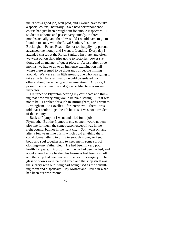me, it was a good job, well paid, and I would have to take a special course, naturally. So a new correspondence course had just been brought out for smoke inspectors. I studied it at home and passed very quickly, in three months actually, and then I was told I would have to go to London to study with the Royal Sanitary Institute in Buckingham Palace Road. So not too happily my parents advanced the money and I went to London. Every day I attended classes at the Royal Sanitary Institute, and often we went out on field trips going to factories, power stations, and all manner of queer places. At last, after three months, we had to go to an immense examination hall where there seemed to be thousands of people milling around. We were all in little groups; one who was going to take a particular examination would be isolated from others taking the same type of examination. Anyway, I passed the examination and got a certificate as a smoke inspector.

 I returned to Plympton bearing my certificate and thinking that now everything would be plain sailing. But it was not to be. I applied for a job in Birmingham, and I went to Birmingham—to Lozelles—for interview. There I was told that I couldn't get the job because I was not a resident of that county.

 Back to Plympton I went and tried for a job in Plymouth. But the Plymouth city council would not employ me for much the same reason except I was in the right county, but not in the right city. So it went on, and after a few years like this in which I did anything that I could do—anything to bring in enough money to keep body and soul together and to keep me in some sort of clothing—my Father died. He had been in very poor health for years. Most of the time he had been in bed, and about a year before he died his business had been sold off and the shop had been made into a doctor's surgery. The glass windows were painted green and the shop itself was the surgery with our living part being used as the consulting room and dispensary. My Mother and I lived in what had been our workrooms.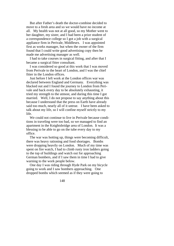But after Father's death the doctor-combine decided to move to a fresh area and so we would have no income at all. My health was not at all good, so my Mother went to her daughter, my sister, and I had been a prize student of a correspondence college so I got a job with a surgical appliance firm in Perivale, Middlesex. I was appointed first as works manager, but when the owner of the firm found that I could write good advertising copy then he made me advertising manager as well.

 I had to take courses in surgical fitting, and after that I became a surgical fitter consultant.

 I was considered so good at this work that I was moved from Perivale to the heart of London, and I was the chief fitter in the London offices.

 Just before I left work at the London offices war was declared between England and Germany. Everything was blacked out and I found the journey to London from Perivale and back every day to be absolutely exhausting, it tried my strength to the utmost, and during this time I got married. Well, I do not propose to say anything about this because I understand that the press on Earth have already said too much, nearly all of it untrue. I have been asked to talk about my life, so I will confine myself strictly to my life.

 We could not continue to live in Perivale because conditions in traveling were too bad, so we managed to find an apartment in the Knightsbridge area of London. It was a blessing to be able to go on the tube every day to my office.

 The war was hotting up, things were becoming difficult, there was heavy rationing and food shortages. Bombs were dropping heavily on London. Much of my time was spent on fire watch, I had to climb rusty iron ladders going to the top of buildings and watch out for approaching German bombers, and if I saw them in time I had to give warning to the work people below.

 One day I was riding through Hyde Park on my bicycle going to work and I saw bombers approaching. One dropped bombs which seemed as if they were going to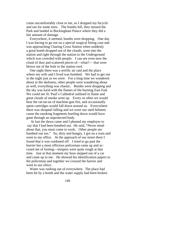come uncomfortably close to me, so I dropped my bicycle and ran for some trees. The bombs fell, they missed the Park and landed in Buckingham Palace where they did a fair amount of damage.

 Everywhere, it seemed, bombs were dropping. One day I was having to go out on a special surgical fitting case and was approaching Charing Cross Station when suddenly a great bomb dropped out of the clouds, went into the station and right through the station to the Underground which was crowded with people. I can see even now the cloud of dust and scattered pieces of—what?— that were blown out of the hole in the station roof.

 One night there was a terrific air raid and the place where my wife and I lived was bombed. We had to get out in the night just as we were. For a long time we wandered about in the darkness, other people were wandering about as well, everything was chaotic. Bombs were dropping and the sky was lurid with the flames of the burning East End. We could see St. Paul's Cathedral outlined in flame and great clouds of smoke went up. Every so often we would hear the rat-tat-tat of machine-gun fire, and occasionally spent cartridges would fall down around us. Everywhere there was shrapnel falling and we wore our steel helmets cause the smoking fragments hurtling down would have gone through an unprotected body.

 At last the dawn came and I phoned my employer to say that I had been bombed out. He said, "Never mind about that, you must come to work. Other people are bombed out too." So, dirty and hungry, I got on a train and went to my office. At the approach of our street there I found that it was cordoned off. I tried to go past the barrier but a most officious policeman came up and accused me of looting—tempers were quite rough at that time. Just at that moment my boss stepped out of a car and came up to me. He showed his identification papers to the policeman and together we crossed the barrier and went to our ofiice.

 Water was rushing out of everywhere. The place had been hit by a bomb and the water supply had been broken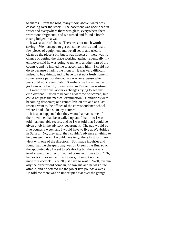to shards. From the roof, many floors above, water was cascading over the stock. The basement was neck-deep in water and everywhere there was glass, everywhere there were stone fragments, and we turned and found a bomb casing lodged in a wall.

 It was a state of chaos. There was not much worth saving. We managed to get out some records and just a few pieces of equipment and we all set to and tried to clean up the place a bit, but it was hopeless—there was no chance of getting the place working again. Eventually my employer said he was going to move to another part of the country, and he invited me to accompany him. I could not do so because I hadn't the money. It was very difficult indeed to buy things, and to have to set up a fresh home in some remote part of the country was an expense which I just could not contemplate. So—because I was unable to go I was out of a job, unemployed in England in wartime.

 I went to various labour exchanges trying to get any employment. I tried to become a wartime policeman, but I could not pass the medical examination. Conditions were becoming desperate; one cannot live on air, and as a last resort I went to the offices of the correspondence school where I had taken so many courses.

 It just so happened that they wanted a man, some of their own men had been called up, and I had—so I was told—an enviable record, and so I was told that I could be given a job in the advisory department. The pay would be five pounds a week, and I would have to live at Weybridge in Surrey. No, they said, they couldn't advance anything to help me get there. I would have to go there first for interview with one of the directors. So I made inquiries and found that the cheapest way was by Green Line Bus, so on the appointed day I went to Weybridge but there was a terrific wait, the director had not come in. I was told, "Oh, he never comes in the time he says, he might not be in until four o'clock. You"ll just have to wait." Well, eventually the director did come in, he saw me and he was quite affable, and he offered me the job at five pounds a week He told me there was an unoccupied fiat over the garage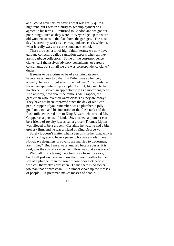and I could have this by paying what was really quite a high rent, but I was in a hurry to get employment so I agreed to his terms. I returned to London and we got our poor things, such as they were, to Weybridge, up the worn old wooden steps to the flat above the garages. The next day I started my work as a correspondence clerk, which is what it really was, to a correspondence school.

 There are such a lot of high falutin terms; we now have garbage collectors called sanitation experts when all they are is garbage collectors. Some of the correspondence clerks cal1 themselves advisory consultants or careers consultants, but still all we did was correspondence clerks' duties.

 It seems to be a crime to be of a certain category. I have always been told that my Father was a plumber; actually, he wasn't, but what if he had been? Certainly he served an apprenticeship as a plumber but, like me, he had no choice. I served an apprenticeship as a motor engineer. And anyway, how about the famous Mr. Crapper, the gentleman who invented water closets as they are today? They have not been improved since the day of old Crapper. Crapper, if you remember, was a plumber, a jolly good one, too, and his invention of the flush tank and the flush toilet endeared him to King Edward who treated Mr. Crapper as a personal friend. So, you see, a plumber can be a friend of royalty just as can a grocer; Thomas Lipton was alleged to be a grocer. Certainly he was, he had a big grocery firm, and he was a friend of King George V.

 Surely it doesn't matter what a person's father was, why is it such a disgrace to have a parent who was a tradesman? Nowadays daughters of royalty are married to tradesmen, aren't they? But I am always amused because Jesus, it is said, was the son of a carpenter. How was that a disgrace?

 Well, all this is taking me a long way from my story, but I will just say here and now that I would rather be the son of a plumber than the son of those poor sick people who call themselves pressmen. To me there is no sicker job than that of pressman. A plumber clears up the messes of people. A pressman makes messes of people.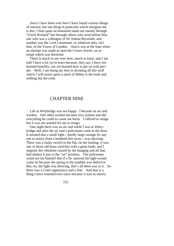Since I have been over here I have found various things of interest, but one thing in particular which intrigues me is this; I bear quite an honoured name not merely through "Uncle Richard" but through others who went before him one who was a colleague of Sir Joshua Reynolds, and another was the Lord Lieutenant, or whatever they cal1 him, of the Tower of London. And it was at the time when an attempt was made to steal the Crown Jewels, an attempt which was thwarted.

 There is much to see over here, much to learn, and I am told I have a lot yet to learn because, they say, I have not learned humility, not yet learned how to get on with people. Well, I am doing my best in dictating all this stuff which I will swear upon a stack of Bibles is the truth and nothing but the truth.

## CHAPTER NINE

 Life at Weybridge was not happy. I became an air raid warden. One other warden became very jealous and did everything he could to cause me harm. I offered to resign but it was not wanted for me to resign.

 One night there was an air raid while I was at Wheybridge and after the air raid a policeman came to the door, It seemed that a small light—hardly large enough for any one to notice from a hundred feet away—was showing. There was a faulty switch in the flat, on the landing, it was one of those old brass switches with a great knob, and I suppose the vibration caused by the banging and all that, had shaken it just to the "on" position. The policeman could see for himself that if a fly sneezed the light would come on because the spring in the tumbler was defective But, no, the light was showing, that's all there was to it. So there was a Court appearance and a fine. And that is a thing I have resented ever since because it was so utterly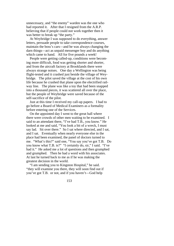unnecessary, and "the enemy" warden was the one who had reported it. After that I resigned from the A.R.P. believing that if people could not work together then it was better to break up "the party."

 At Weybridge I was supposed to do everything, answer letters, persuade people to take correspondence courses, maintain the boss's cars—and he was always changing the darn things—act as unpaid messenger boy and do anything which came to hand. All for five pounds a week!

 People were getting called-up, conditions were becoming more difficult, food was getting shorter and shorter, and from the aircraft factory at Brooklands there were always strange noises. One day a Wellington was being flight-tested and it crashed just beside the village of Weybridge. The pilot saved the village at the cost of his own life because he crashed that plane upon the electrified railway line. The plane was like a toy that had been snapped into a thousand pieces, it was scattered all over the place, but the people of Weybridge were saved because of the self-sacrifice of the pilot.

 Just at this time I received my call-up papers. I had to go before a Board of Medical Examiners as a formality before entering one of the Services.

 On the appointed day I went to the great hall where there were crowds of other men waiting to be examined. I said to an attendant there, "I've had T.B., you know." He looked at me and said, "You look a bit of a wreck, I must say lad. Sit over there." So I sat where directed, and I sat, and I sat. Eventually when nearly everyone else in the place had been examined, the panel of doctors turned to me. "What's this?" said one, "You say you've got T.B. Do you know what T.B. is?" "I certainly do, sir," I said. "I've had it." He asked me a lot of questions and then grumphed and grumphed. Then he had a word with his associates. At last he turned back to me as if he was making the greatest decision in the world.

 "I am sending you to Kingston Hospital," he said. "they will examine you there, they will soon find out if you've got T.B. or not, and if you haven't—God help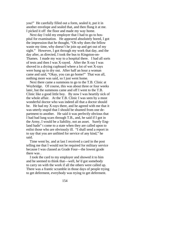you!" He carefully filled out a form, sealed it, put it in another envelope and sealed that, and then flung it at me. I picked it off the floor and made my way home.

 Next day I told my employer that I had to go to hospital for examination. He appeared absolutely bored, I got the impression that he thought, "Oh why does the fellow waste my time, why doesn't he join up and get out of my sight." However, I got through my work that day, and the day after, as directed, I took the bus to Kingston-on-Thames. I made my way to a hospital there. I had all sorts of tests and then I was X-rayed. After the X-ray I was shoved in a drying cupboard where a lot of wet X-rays were hung up to dry out. After half an hour a woman came and said, "Okay, you can go home!" That was all, nothing more was said, so I just went home.

 Next there came a summons to go to the T.B. Clinic at Weybridge. Of course, this was about three or four weeks later, but the summons came and off I went to the T.B. Clinic like a good little boy. By now I was heartily sick of the whole affair. At the T.B. Clinic I was seen by a most wonderful doctor who was indeed all that a doctor should be. He had my X-rays there, and he agreed with me that it was utterly stupid that I should be shunted from one department to another. He said it was perfectly obvious that I had bad lung scars through T.B., and, he said if I got in the Army, I would be a liability, not an asset. Surely England hadn" t come to a state when they are called upon to enlist those who are obviously ill. "I shall send a report in to say that you are unfitted for service of any kind," he said.

 Time went by, and at last I received a card in the post telling me that I would not be required for military service because I was classed as Grade Four—the lowest grade there was .

 I took the card to my employer and showed it to him and he seemed to think that—well, he'd got somebody to carry on with the work if all the others were called up. There was a frantic scramble in those days of people trying to get deferment, everybody was trying to get deferment.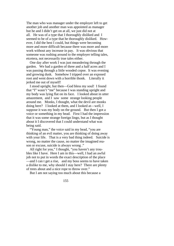The man who was manager under the employer left to get another job and another man was appointed as manager but he and I didn't get on at all, we just did not at all. He was of a type that I thoroughly disliked and I seemed to be of a type that he thoroughly disliked. However, I did the best I could, but things were becoming more and more difficult because there was more and more work without any increase in pay. It was obvious that someone was rushing around to the employer telling tales, etcetera, not necessarily true tales either.

 One day after work I was just meandering through the garden. We had a garden of three and a half acres and I was passing through a little wooded copse. It was evening and growing dusk. Somehow I tripped over an exposed root and went down with a horrible thonk. Literally it jerked me out of myself!

 I stood upright, but then—God bless my soul! I found that "I" wasn't "me" because I was standing upright and my body was lying flat on its face. I looked about in utter amazement, and I saw some strange looking people around me. Monks, I thought, what the devil are monks doing here? I looked at them, and I looked at—well, I suppose it was my body on the ground. But then I got a voice or something in my head. First I had the impression that it was some strange foreign lingo, but as I thought about it I discovered that I could understand what was being said.

 "Young man," the voice said in my head, "you are thinking of an evil matter, you are thinking of doing away with your life. That is a very bad thing indeed. Suicide is wrong, no matter the cause, no matter the imagined reason or excuse, suicide is always wrong ."

 All right for you," I thought, "you haven't any troubles like I have. Here I am in this—well, I had an awful job not to put in words the exact description of the place —and I can t get a rise, and my boss seems to have taken a dislike to me, why should I stay here? There are plenty of trees about and a nice rope to throw over."

But I am not saying too much about this because a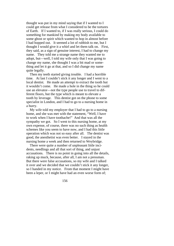thought was put in my mind saying that if I wanted to I could get release from what I considered to be the tortures of Earth. If I wanted to, if I was really serious, I could do something for mankind by making my body available to some ghost or spirit which wanted to hop in almost before I had hopped out. It seemed a lot of rubbish to me, but I thought I would give it a whirl and let them talk on. First, they said, as a sign of genuine interest, I had to change my name. They told me a strange name they wanted me to adopt, but—well, I told my wife only that I was going to change my name, she thought I was a bit mad or something and let it go at that, and so I did change my name quite legally.

 Then my teeth started giving trouble. I had a horrible time. At last I couldn't stick it any longer and I went to a local dentist. He made an attempt to extract the tooth but it wouldn't come. He made a hole in the thing so he could use an elevator—not the type people use to travel to different floors, but the type which is meant to elevate a tooth by leverage. This dentist got on the phone to some specialist in London, and I had to go to a nursing home in a hurry.

 My wife told my employer that I had to go to a nursing home, and she was met with the statement, "Well, I have to work when I have toothache!" And that was all the sympathy we got. So I went to this nursing home, at my own expense, of course, there was no such thing as health schemes like you seem to have now, and I had this little operation which was not so easy after all. The dentist was good, the anesthetist was even better. I stayed in the nursing home a week and then returned to Weybridge.

 There were quite a number of unpleasant little incidents, needlings and all that sort of thing, and unjust accusations. There is no point in going into all the details, raking up muck, because, after all, I am not a pressman. But there were false accusations, so my wife and I talked it over and we decided that we couldn't stick it any longer, so I handed in my notice. From that moment I might have been a leper, or I might have had an even worse form of;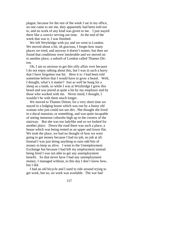plague, because for the rest of the week I sat in my office, no one came to see me, they apparently had been told not to, and no work of any kind was given to me. I just stayed there like a convict serving out time. At the end of the week that was it, I was finished.

 We left Weybridge with joy and we went to London. We moved about a bit, oh gracious, I forget how many places we tried, and anyway it doesn't matter, but then we found that conditions were intolerable and we moved on to another place, a suburb of London called Thames Ditton.

 Oh, I am so anxious to get this silly affair over because I do not enjoy talking about this, but I was in such a hurry that I have forgotten one bit. Here it is: I had been told sometime before that I would have to grow a beard. Well, I thought, what's it matter? Just as well be hung for a sheep as a lamb, so while I was at Weybridge I grew this beard and was jeered at quite a bit by my employer and by those who worked with me. Never mind, I thought, I wouldn't be with them much longer.

 We moved to Thames Ditton; for a very short time we stayed in a lodging house which was run by a funny old woman who just could not see dirt. She thought she lived in a ducal mansion, or something, and was quite incapable of seeing immense cobwebs high up in the corners of the stairway. But she was too ladylike and so we looked for another place. Down the road there was such a place, a house which was being rented as an upper and lower flat. We took the place, we had no thought of how we were going to get money because I had no job, no job at all. Instead I was just doing anything to earn odd bits of money to keep us alive. I went to the Unemployment Exchange but because I had left my employment instead being fired I was not able to get any unemployment benefit. So that never have I had any unemployment money, I managed without, to this day I don't know how, but I did.

 I had an old bicycle and I used to ride around trying to get work, but no, no work was available. The war had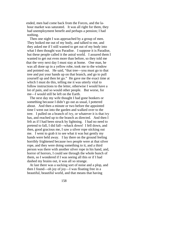ended, men had come back from the Forces, and the la bour market was saturated. It was all right for them, they had unemployment benefit and perhaps a pension; I had nothing.

 Then one night I was approached by a group of men. They hoiked me out of my body, and talked to me, and they asked me if I still wanted to get out of my body into what I then thought was Paradise. I suppose it is Paradise. but these people called it the astral world. I assured them I wanted to get out even more than before, so they told me that the very next day I must stay at home. One man, he was all done up in a yellow robe, took me to the window and pointed out. He said, "that tree—you must go to that tree and put your hands up on that branch, and go to pull yourself up and then let go." He gave me the exact time at which I must do this, telling me it was utterly vital to follow instructions to the letter, otherwise I would have a lot of pain, and so would other people. But worse, for me—I would still be left on the Earth.

 The next day my wife thought I had gone bonkers or something because I didn't go out as usual, I pottered about. And then a minute or two before the appointed time I went out into the garden and walked over to the tree. I pulled on a branch of ivy, or whatever it is that ivy has, and reached up to the branch as directed. And then I felt as if I had been struck by lightning. I had no need to pretend to fall, I did fall—whack down! I fell down, and then, good gracious me, I saw a silver rope sticking out me. I went to grab it to see what it was but gently my hands were held away. I lay there on the ground feeling horribly frightened because two people were at that silver rope, and they were doing something to it, and a third person was there with another silver rope in his hand, and, horror of horrors, I could see through the whole bunch of them, so I wondered if I was seeing all this or if I had dashed my brains out, it was all so strange.

 At last there was a sucking sort of noise and a plop, and then I found—oh joy of joy—I was floating free in a beautiful, beautiful world, and that means that having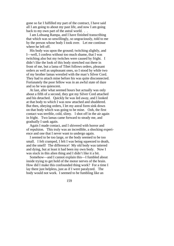gone so far I fulfilled my part of the contract, I have said all I am going to about my past life, and now I am going back to my own part of the astral world. . .

 I am Lobsang Rampa, and I have finished transcribing that which was so unwillingly, so ungraciously, told to me by the person whose body I took over. Let me continue where he left off.

 His body was upon the ground; twitching slightly, and I—well, I confess without too much shame, that I was twitching also but my twitches were caused by fright. I didn't like the look of this body stretched out there in front of me, but a lama of Tibet follows orders, pleasant orders as well as unpleasant ones, so I stood by while two of my brother lamas wrestled with the man's Silver Cord. They had to attach mine before his was quite disconnected. Fortunately the poor fellow was in an awful state of daze and so he was quiescent.

 At last, after what seemed hours but actually was only about a fifth of a second, they got my Silver Cord attached and his detached. Quickly he was led away, and I looked at that body to which I was now attached and shuddered. But then, obeying orders, I let my astral form sink down on that body which was going to be mine. Ooh, the first contact was terrible, cold, slimy. I shot off in the air again in fright. Two lamas came forward to steady me, and gradually I sank again.

 Again I made contact, and I shivered with horror and of repulsion. This truly was an incredible, a shocking experience and one that I never want to undergo again.

 I seemed to be too large, or the body seemed to be too small. I felt cramped, I felt I was being squeezed to death, and the smell! The difference! My old body was tattered and dying, but at least it had been my own body. Now I was stuck in this alien thing and I didn't like it a bit.

 Somehow—and I cannot explain this—I fumbled about inside trying to get hold of the motor nerves of the brain. How did I make this confounded thing work? For a time I lay there just helpless, just as if I were paralyzed. The body would not work. I seemed to be fumbling like an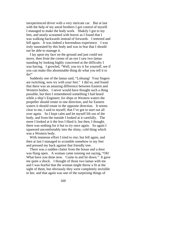inexperienced driver with a very intricate car. But at last with the help of my astral brothers I got control of myself. I managed to make the body work. Shakily I got to my feet, and nearly screamed with horror as I found that I was walking backwards instead of forwards. I teetered and fell again. It was indeed a horrendous experience. I was truly nauseated by this body and was in fear that I should not be able to manage it.

 I lay upon my face on the ground and just could not move, then from the corner of an eye I saw two lamas standing by looking highly concerned at the difficulty I was having. I growled, "Well, you try it for yourself, see if you can make this abominable thing do what you tell it to do!"

 Suddenly one of the lamas said, "Lobsang! Your fingers are twitching, now try with your feet." I did so, and found that there was an amazing difference between Eastern and Western bodies. I never would have thought such a thing possible, but then I remembered something I had heard while a ship's Engineer; for ships in Western waters the propeller should rotate in one direction, and for Eastern waters it should rotate in the opposite direction. It seems clear to me, I said to myself, that I've got to start out all over again. So I kept calm and let myself lift out of the body, and from the outside I looked at it carefully. The more I looked at it the less I liked it, but then, I thought, there was nothing for it but to try once again. So again I squeezed uncomfortably into the slimy, cold thing which was a Western body.

 With immense effort I tried to rise, but fell again, and then at last I managed to scramble somehow to my feet and pressed my back against that friendly tree.

 There was a sudden clatter from the house and a door was flung open. A woman came running out saying, "Oh! What have you done now. Come in and lie down." It gave me quite a shock. I thought of those two lamas with me and I was fearful that the woman might throw a fit at the sight of them, but obviously they were completely invisible to her, and that again was one of the surprising things of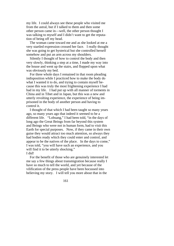my life. I could always see these people who visited me from the astral, but if I talked to them and then some other person came in—well, the other person thought I was talking to myself and I didn't want to get the reputation of being off my head.

 The woman came toward me and as she looked at me a very startled expression crossed her face. I really thought she was going to get hysterical but she controlled herself somehow and put an arm across my shoulders.

 Silently I thought of how to control the body and then very slowly, thinking a step at a time, I made my way into the house and went up the stairs, and flopped upon what was obviously my bed.

 For three whole days I remained in that room pleading indisposition while I practiced how to make the body do what I wanted it to do, and trying to contain myself because this was truly the most frightening experience I had had in my life. I had put up with all manner of torments in China and in Tibet and in Japan, but this was a new and utterly revolting experience, the experience of being imprisoned in the body of another person and having to control it.

 I thought of that which I had been taught so many years ago, so many years ago that indeed it seemed to be a different life. "Lobsang," I had been told, "in the days of long ago the Great Beings from far beyond this system and Beings who were not in human form, had to visit this Earth for special purposes. Now, if they came in their own guise they would attract too much attention, so always they had bodies ready which they could enter and control, and appear to be the natives of the place. In the days to come," I was told, "you will have such an experience, and you will find it to be utterly shocking." I did!

 For the benefit of those who are genuinely interested let me say a few things about transmigration because really I have so much to tell the world, and yet because of the vilification of the press people have been hocussed into believing my story. I will tell you more about that in the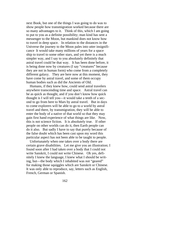next Book, but one of the things I was going to do was to show people how transmigration worked because there are so many advantages to it. Think of this, which I am going to put to you as a definite possibility; man kind has sent a messenger to the Moon, but mankind does not know how to travel in deep space. In relation to the distances in the Universe the journey to the Moon pales into utter insignificance It would take many millions of years for a space ship to travel to some other stars, and yet there is a much simpler way, and I say to you absolutely definitely that astral travel could be that way. It has been done before, it is being done now by creatures (I say "creatures" because they are not in human form) who come from a completely different galaxy. They are here now at this moment, they have come by astral travel, and some of them occupy human bodies such as did the Ancients of Old.

 Humans, if they knew how, could send astral travelers anywhere transcending time and space. Astral travel can be as quick as thought, and if you don't know how quick thought is I will tell you—it would take a tenth of a second to go from here to Mars by astral travel. But in days to come explorers will be able to go to a world by astral travel and there, by transmigration, they will be able to enter the body of a native of that world so that they may gain first hand experience of what things are like. Now, this is not science fiction. It is absolutely true. If other people on other worlds can do it, then Earth people can do it also. But sadly I have to say that purely because of the false doubt which has been cast upon my word this particular aspect has not been able to be taught to people.

 Unfortunately when one takes over a body there are certain grave disabilities. Let me give you an illustration; I found soon after I had taken over a body that I could not write Sanskrit, I could not write Chinese. Oh yes, definitely I knew the language, I knew what I should be writing, but—the body which I inhabited was not "geared" for making those squiggles which are Sanskrit or Chinese. It was only able to reproduce, say, letters such as English, French, German or Spanish.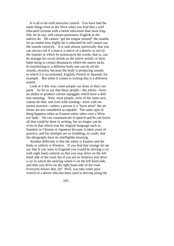It is all to do with muscular control. You have had the same things even in the West when you find that a well educated German with a better education than most English, let us say, still cannot pronounce English as the natives do. He cannot "get his tongue around" the sounds. So no matter how highly he is educated he still cannot say the sounds correctly. It is said almost universally that you can always tell if a man is a native of a district or not by the manner in which he pronounces his words, that is, can he manage his vocal chords as the native would, or does habit bring in certain disonances which the native lacks. In transferring to a different body one can do all the sounds, etcetera, because the body is producing sounds to which it is accustomed, English, French or Spanish, for example. But when it comes to writing that is a different matter.

 Look at it this way; some people can draw or they can paint. So let us say that these people—the artists—have an ability to produce certain squiggles which have a definite meaning. Now, most people, even of the same race, cannot do that, and even with training—even with immense practice—unless a person is a "born artist" the art forms are not considered acceptable. The same type of thing happens when an Eastern entity takes over a Western body. He can communicate in speech and he can know all that could be done in writing, but no longer can he write in that which was his original language such as Sanskrit or Chinese or Japanese because it takes years of practice, and his attempts are so fumbling, so crude, that the ideographs have no intelligible meaning.

 Another difficulty is that the entity is Eastern and the body or vehicle is Western. If you find that strange let me say that if you were in England you would be driving a car with right hand controls so that you may drive on the left hand side of the road, but if you are in America you drive a car in which the steering wheel is on the left hand side, and then you drive on the right hand side of the road. Everyone knows that, eh? Well, you take some poor wretch of a driver who has been used to driving along the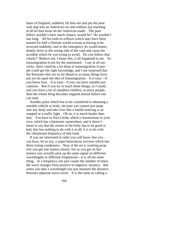lanes of England, suddenly lift him out and put the poor soul slap into an American car and without any teaching at all let him loose on the American roads. The poor fellow wouldn't have much chance, would he? He wouldn't last long. All his built-in reflexes which may have been trained for half a lifetime would scream at having to be reversed suddenly, and in the emergency he would immediately drive to the wrong side of the road and cause the accident which he was trying to avoid. Do you follow that clearly? Believe me, I know this, it all happened to me. So transmigration is not for the uninitiated. I say in all sincerity, there could be a lot done in transmigration if people could get the right knowledge, and I am surprised that the Russians who are so far ahead in so many things have not yet hit upon the idea of transmigration. It is easy—if you know how. It is easy—if you can have suitable precautions. But if you try to teach these things, as I could, and you have a lot of mindless children, or press people, then the whole thing becomes negated almost before one can start.

 Another point which has to be considered is obtaining a suitable vehicle or body, because you cannot just jump into any body and take over like a bandit entering a car stopped at a traffic light. Oh no, it is much harder than that. You have to find a body which is harmonious to your own, which has a harmonic somewhere, and it doesn't mean to say that the owner of the body has to be good or bad, that has nothing to do with it at all; it is to do with the vibrational frequency of that body.

 If you are interested in radio you will know that you can have, let us say, a super-heterodyne receiver which has three tuning condensers. Now if the set is working properly you get one station clearly, but as you get on harmonics you actually pick up the same signal on different wavelengths or different frequencies—it is all the same thing. In a frequency one just counts the number of times the wave changes from positive to negative, etcetera. But when you take a wavelength you just measure the distance between adjacent wave-crests. It is the same as calling a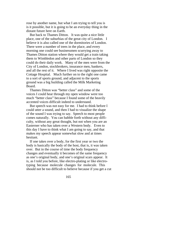rose by another name, but what I am trying to tell you is is it possible, but it is going to be an everyday thing in the distant future here on Earth.

 But back to Thames Ditton. It was quite a nice little place, one of the suburbias of the great city of London. I believe it is also called one of the dormitories of London. There were a number of trees in the place, and every morning one could see businessmen scurrying away to Thames Ditton station where they would get a train taking them to Wimbledon and other parts of London so they could do their daily work. Many of the men were from the City of London, stockbrokers, insurance men, bankers, and all the rest of it. Where I lived was right opposite the Cottage Hospital. Much further on to the right one came to a sort of sports ground, and adjacent to the sports ground was a big building called the Milk Marketing Board.

 Thames Ditton was "better class" and some of the voices I could hear through my open window were too much "better class" because I found some of the heavily accented voices difficult indeed to understand.

 But speech was not easy for me. I had to think before I could utter a sound, and then I had to visualize the shape of the sound I was trying to say. Speech to most people comes naturally. You can babble forth without any difficulty, without any great thought, but not when you are an Easterner who has taken over a Western body. Even to this day I have to think what I am going to say, and that makes my speech appear somewhat slow and at times hesitant.

 If one takes over a body, for the first year or two the body is basically the body of the host, that is, it was taken over. But in the course of time the body frequency changes and eventually it becomes of the same frequency as one's original body, and one's original scars appear. It is, as I told you before, like electro-plating or like electrotyping because molecule changes for molecule. This should not be too difficult to believe because if you get a cut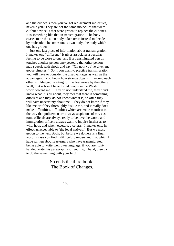and the cut heals then you"ve got replacement molecules, haven't you? They are not the same molecules that were cut but new cells that were grown to replace the cut ones. It is something like that in transmigration. The body ceases to be the alien body taken over, instead molecule by molecule it becomes one's own body, the body which one has grown.

 Just one last piece of information about transmigration. It makes one "different." It gives associates a peculiar feeling to be close to one, and if a transmigrated person touches another person unexpectedly that other person may squeak with shock and say, "Oh now you've given me goose pimples!" So if you want to practice transmigration you will have to consider the disadvantages as well as the advantages. You know how strange dogs sniff around each other, stiff-legged, waiting for the first move by the other? Well, that is how I have found people in the Western world toward me. They do not understand me, they don't know what it is all about, they feel that there is something different and they do not know what it is, so often they will have uncertainty about me. They do not know if they like me or if they thoroughly dislike me, and it really does make difficulties, difficulties which are made manifest in the way that policemen are always suspicious of me, customs officials are always ready to believe the worst, and immigration officers always want to inquire further as to why, how, and when, etcetera, etcetera. It makes one, in effect, unacceptable to 'the local natives." But we must get on to the next Book, but before we do here is a final word in case you find it difficult to understand that which I have written about Easterners who have transmigrated being able to write their own language; if you are righthanded write this paragraph with your right hand, then try to do the same thing with your left!

> So ends the third book The Book of Changes.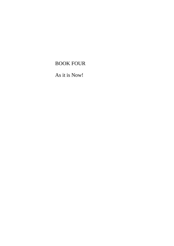## BOOK FOUR

As it is Now!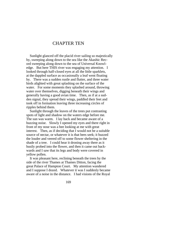## CHAPTER TEN

 Sunlight glanced off the placid river sailing so majestically by, sweeping along down to the sea like the Akashic Record sweeping along down to the sea of Universal Knowledge. But here THIS river was engaging my attention. I looked through half-closed eyes at all the little sparklets, at the dappled surface as occasionally a leaf went floating by. There was a sudden rustle and flutter, and three water birds alighted with great splashing on the surface of the water. For some moments they splashed around, throwing water over themselves, digging beneath their wings and generally having a good avian time. Then, as if at a sudden signal, they spread their wings, paddled their feet and took off in formation leaving three increasing circles of ripples behind them.

 Sunlight through the leaves of the trees put contrasting spots of light and shadow on the waters edge before me. The sun was warm. I lay back and became aware of a buzzing noise. Slowly I opened my eyes and there right in front of my nose was a bee looking at me with great interest. Then, as if deciding that I would not be a suitable source of nectar, or whatever it is that bees seek; it buzzed the louder and veered off to some flower sheltering in the shade of a tree. I could hear it droning away there as it busily probed into the flower, and then it came out backwards and I saw that its legs and body were covered in yellow pollen.

 It was pleasant here, reclining beneath the trees by the side of the river Thames at Thames Ditton, facing the great Palace of Hampton Court. My attention wandered and I suppose I dozed. Whatever it was I suddenly became aware of a noise in the distance. I had visions of the Royal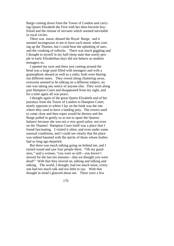Barge coming down from the Tower of London and carrying Queen Elizabeth the First with her then-favorite boyfriend and the retinue of servants which seemed inevitable in royal circles.

 There was music aboard the Royal Barge, and it seemed incongruous to me to have such music when coming up the Thames, but I could hear the splashing of oars, and the creaking of rollocks. There was much giggling and I thought to myself in my half-sleep state that surely people in early Elizabethan days did not behave as modern teenagers so.

 I opened my eyes and there just coming around the bend was a large punt filled with teenagers and with a gramophone aboard as well as a radio, both were blaring out different tunes. They rowed along chattering away, everyone seemed to be talking on a different subject, no one was taking any notice of anyone else. They went along past Hampton Court and disappeared from my sight, and for a time again all was peace.

 I thought again of the great Queen Elizabeth and of her journeys from the Tower of London to Hampton Court; nearly opposite to where I lay on the bank was the site where they used to have a landing jetty. The rowers used to come close and then ropes would be thrown and the Barge pulled in gently so as not to upset the Queens balance because she was not a very good sailor, not even on the Thames! Hampton Court itself was a place that I found fascinating. I visited it often, and even under some unusual conditions, and I could see clearly that the place was indeed haunted with the spirits of those whose bodies had so long ago departed.

 But there was much talking going on behind me, and I turned round and saw four people there. "Oh my goodness," said a woman, "you were so still—you haven't moved for the last ten minutes—that we thought you were dead!" With that they moved on, talking and talking and talking. The world, I thought, had too much noise, everyone had too much talk and too little to say. With that thought in mind I glanced about me. There were a few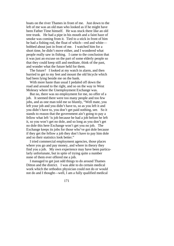boats on the river Thames in front of me. Just down to the left of me was an old man who looked as if he might have been Father Time himself. He was stuck there like an old tree trunk. He had a pipe in his mouth and a faint haze of smoke was coming from it. Tied to a stick in front of him he had a fishing rod, the float of which—red and white bobbed about just in front of me. I watched him for a short time, he didn't move either, and I wondered what people really saw in fishing. I came to the conclusion that it was just an excuse on the part of some elderly people so that they could keep still and meditate, think of the past, and wonder what the future held for them.

 The future? I looked at my watch in alarm, and then hurried to get to my feet and mount the old bicycle which had been lying beside me on the bank.

 With more haste than usual I pedaled off down the road and around to the right, and so on the way to West Molesey where the Unemployment Exchange was.

 But no, there was no employment for me, no offer of a job. It seemed there were too many people and too few jobs, and as one man told me so bluntly, "Well mate, you left your job and you didn't have to, so as you left it and you didn't have to, you don't get paid nothing, see. So it stands to reason that the government ain't going to pay a fellow what left 'is job because he had a job before he left it, so you won't get no dole, and so long as you don't get no dole this here Exchange won't get you no job. The Exchange keeps its jobs for those who've got dole because if they get the fellow a job they don't have to pay him dole and so their statistics look better."

 I tried commercial employment agencies, those places where you go and pay money, and where in theory they find you a job. My own experience may have been particularly unfortunate, but in spite of trying quite a number none of them ever offered me a job.

 I managed to get just odd things to do around Thames Ditton and the district. I was able to do certain medical work which the orthodox physician could not do or would not do and I thought—well, I am a fully qualified medical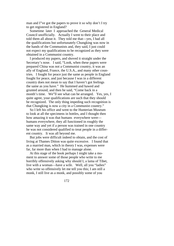man and I"ve got the papers to prove it so why don't I try to get registered in England?

 Sometime later I approached the General Medical Council unofficially. Actually I went to their place and told them all about it. They told me that—yes, I had all the qualifications but unfortunately Chungking was now in the hands of the Communists and, they said, I just could not expect my qualifications to be recognized as they were obtained in a Communist country.

 I produced my papers, and shoved it straight under the Secretary's nose. I said, "Look, when these papers were prepared China was not a Communist country, it was an ally of England, France, the U.S.A., and many other countries. I fought for peace just the same as people in England fought for peace, and just because I was in a different country does not mean to say that I haven't got feelings the same as you have." He hummed and hawed and grunted around, and then he said, "Come back in a month's time. We"ll see what can be arranged. Yes, yes, I quite agree, your qualifications are such that they should be recognized. The only thing impeding such recognition is that Chungking is now a city in a Communist country."

 So I left his office and went to the Hunterian Museum to look at all the specimens in bottles, and I thought then how amazing it was that humans everywhere were humans everywhere, they all functioned in roughly the same way and yet if a person was trained in one country he was not considered qualified to treat people in a different country. It was all beyond me.

 But jobs were difficult indeed to obtain, and the cost of living at Thames Ditton was quite excessive. I found that as a married man, which in theory I was, expenses were far, far more than when I had to manage alone.

 At this stage of the book perhaps I might take a moment to answer some of those people who write to me horribly offensively asking why should I, a lama of Tibet, live with a woman—have a wife. Well, all you "ladies" who write so offensively let me tell you this; I am still a monk, I still live as a monk, and possibly some of you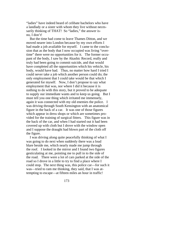"ladies" have indeed heard of celibate bachelors who have a landlady or a sister with whom they live without necessarily thinking of THAT! So "ladies," the answer isno, I don't!

 But the time had come to leave Thames Ditton, and we moved nearer into London because by my own efforts I had made a job available for myself. I came to the conclusion that as the body that I now occupied was living "overtime" there were no opportunities for it. The former occupant of the body, I saw by the Akashic Record, really and truly had been going to commit suicide, and that would have completed all the opportunities which his vehicle, his body, would have had. Thus, no matter how hard I tried I could never take a job which another person could do; the only employment that I could take would be that which I generated for myself. Now, I don't propose to say what employment that was, nor where I did it because it is nothing to do with this story, but it proved to be adequate to supply our immediate wants and to keep us going. But I must tell you one thing which irritated me immensely, again it was connected with my old enemies the police. I was driving through South Kensington with an anatomical figure in the back of a car. It was one of those figures which appear in dress shops or which are sometimes provided for the training of surgical fitters. This figure was in the back of the car, and when I had started out it had been covered up with cloth but I drove with the window open and I suppose the draught had blown part of the cloth off the figure.

 I was driving along quite peacefully thinking of what I was going to do next when suddenly there was a loud blare beside me, which nearly made me jump through the roof. I looked in the mirror and I found two figures gesticulating at me, pointing me to pull in to the side of the road. There were a lot of cars parked at the side of the road so I drove in a little to try to find a place where I could stop. The next thing was, this police car—for such it was—tried to ram me thinking, they said, that I was attempting to escape—at fifteen miles an hour in traffic!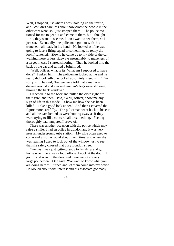Well, I stopped just where I was, holding up the traffic. and I couldn't care less about how cross the people in the other cars were, so I just stopped there. The police motioned for me to get out and come to them, but I thought —no, they want to see me, I don t want to see them, so I just sat. Eventually one policeman got out with his truncheon all ready in his hand. He looked as if he was going to face a firing squad or something, he really did look frightened. Slowly he came up to my side of the car walking more or less sideways presumably to make less of a target in case I started shooting. Then he looked into the back of the car and turned a bright red.

 "Well, officer, what is it? What am I supposed to have done?" I asked him. The policeman looked at me and he really did look silly, he looked absolutely sheepish. "I"m sorry, sir," he said, "but we were told that a man was driving around and a naked woman's legs were showing through the back window."

 I reached in to the back and pulled the cloth right off the figure, and then I said, "Well, officer, show me any sign of life in this model. Show me how she has been killed. Take a good look at her." And then I covered the figure more carefully. The policeman went back to his car and all the cars behind us were hooting away as if they were trying to fill a concert hall or something. Feeling thoroughly bad tempered I drove off.

 There was another occasion with the police which may raise a smile; I had an office in London and it was very near an underground tube station. My wife often used to come and visit me round about lunch time, and when she was leaving I used to look out of the window just to see that she safely crossed that busy London street.

 One day I was just getting ready to finish up and go home when there was a loud official knock at the door. I got up and went to the door and there were two very large policemen. One said, "We want to know what you are doing here." I turned and let them come into my office. He looked about with interest and his associate got ready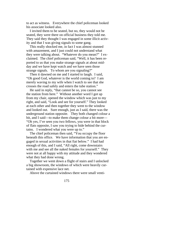to act as witness. Everywhere the chief policeman looked his associate looked also.

 I invited them to be seated, but no, they would not be seated, they were there on official business they told me. They said they thought I was engaged in some illicit activity and that I was giving signals to some gang.

 This really shocked me, in fact I was almost stunned with amazement, and I just could not understand what they were talking about. "Whatever do you mean?" I exclaimed. The chief policeman said, "Well, it has been reported to us that you make strange signals at about midday and we have kept watch and we have seen those strange signals. To whom are you signaling?"

 Then it dawned on me and I started to laugh. I said, "Oh good God, whatever is the world coming to? I am merely waving to my wife when I watch to see that she crosses the road safely and enters the tube station."

 He said in reply, "that cannot be so, you cannot see the station from here." Without another word I got up from my chair, opened the window which was just to my right, and said, "Look and see for yourself." They looked at each other and then together they went to the window and looked out. Sure enough, just as I said, there was the underground station opposite. They both changed colour a bit, and I said—to make them change colour a bit more— "Oh yes, I've seen you two fellows, you were in that block of flats opposite, I saw you trying to hide behind the curtains. I wondered what you were up to."

 The chief policeman then said, "You occupy the floor beneath this office. We have information that you are engaged in sexual activities in that fiat below." I had had enough of this, and I said, "All right, come downstairs with me and see all the naked females for yourself." They were not at all happy with my attitude and they wondered what they had done wrong.

 Together we went down a flight of stairs and I unlocked a big showroom, the windows of which were heavily curtained with expensive lace net.

Above the curtained windows there were small venti-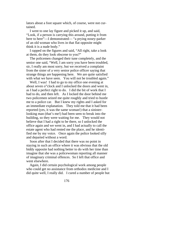lators about a foot square which, of course, were not curtained.

 I went to one lay figure and picked it up, and said, "Look, if a person is carrying this around, putting it from here to here"—I demonstrated— "a prying nosey-parker of an old woman who lives in that flat opposite might think it is a nude body."

 I rapped on the figures and said, "All right, take a look at them, do they look obscene to you?"

 The policemen changed their tune completely, and the senior one said, "Well, I am sorry you have been troubled, sir, I really am most sorry, but we received a complaint from the sister of a very senior police officer saying that strange things are happening here. We are quite satisfied with what we have seen. You will not be troubled again."

 Well, I was! I had to go to my office one evening at about seven o"clock and I unlocked the doors and went in, as I had a perfect right to do. I did the bit of work that I had to do, and then left. As I locked the door behind me two policemen seized me quite roughly and tried to hustle me to a police car. But I knew my rights and I asked for an immediate explanation. They told me that it had been reported (yes, it was the same woman!) that a sinisterlooking man (that's me!) had been seen to break into the building, so they were waiting for me. They would not believe that I had a right to be there, so I unlocked the office again and we went in, and I had actually to call the estate agent who had rented me the place, and he identified me by my voice. Once again the police looked silly and departed without a word.

 Soon after that I decided that there was no point in staying in such an office where it was obvious that the old biddy opposite had nothing better to do with her time than imagine that she was a policewoman reporting all manner of imaginary criminal offences. So I left that office and went elsewhere.

 Again, I did certain psychological work among people who could get no assistance from orthodox medicine and I did quite well, I really did. I cured a number of people but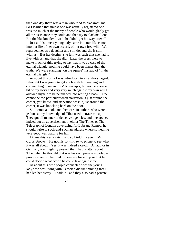then one day there was a man who tried to blackmail me. So I learned that unless one was actually registered one was too much at the mercy of people who would gladly get all the assistance they could and then try to blackmail one. But the blackmailer—well, he didn't get his way after all!

 Just at this time a young lady came into our life, came into our life of her own accord, of her own free will. We regarded her as a daughter and still do, and she is still with us. But her destiny, she felt, was such that she had to live with us, and that she did. Later the press were to make much of this, trying to say that it was a case of the eternal triangle; nothing could have been firmer than the truth. We were standing "on the square" instead of "in the eternal triangle."

 At about this time I was introduced to an authors' agent. I thought I was going to get a job with him reading and commenting upon authors' typescripts, but no, he knew a bit of my story and very very much against my own will I allowed myself to be persuaded into writing a book. One cannot be too particular when starvation is just around the corner, you know, and starvation wasn't just around the corner, it was knocking hard on the door.

 So I wrote a book, and then certain authors who were jealous at my knowledge of Tibet tried to trace me up. They got all manner of detective agencies, and one agency indeed put an advertisement in either The Times or The Telegraph of London advertising for Lobsang Rampa; he should write to such-and-such an address where something very good was waiting for him.

 I knew this was a catch, and so I told my agent, Mr. Cyrus Brooks. He got his son-in-law to phone to see what it was all about. Yes, it was indeed a catch. An author in Germany was mightily peeved that I had written about Tibet when he thought that was his own private inviolable province, and so he tried to have me traced up so that he could decide what action he could take against me.

 At about this time people connected with the young lady who was living with us took a dislike thinking that I had led her astray—I hadn't—and they also had a private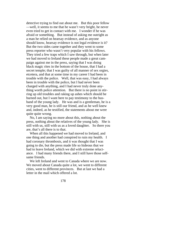detective trying to find out about me. But this poor fellow —well, it seems to me that he wasn't very bright, he never even tried to get in contact with me. I wonder if he was afraid or something. But instead of asking me outright as a man he relied on hearsay evidence, and as anyone should know, hearsay evidence is not legal evidence is it? But the two sides came together and they went to some press reporter who wasn't very popular with his fellows. They tried a few traps which I saw through, but when later we had moved to Ireland these people made a great campaign against me in the press, saying that I was doing black magic rites in the bottom of the house, that I had a secret temple; that I was guilty of all manner of sex orgies, etcetera, and that at some time in my career I had been in trouble with the police. Well, that was easy, I had always been in trouble with the police, but I had never been charged with anything, and I had never truly done anything worth police attention. But there is no point in stirring up old troubles and raking up ashes which should be burned out, but I want here to pay testimony to the husband of the young lady. He was and is a gentleman, he is a very good man, he is still our friend, and as he well knew and, indeed, as he testified, the statements about me were quite quite wrong.

 No, I am saying no more about this, nothing about the press, nothing about the relatives of the young lady. She is still with us, still with us as a loved daughter. So there you are, that's all there is to that.

 When all this happened we had moved to Ireland, and one thing and another had conspired to ruin my health. I had coronary thrombosis, and it was thought that I was going to die, but the press made life so hideous that we had to leave Ireland, which we did with extreme reluctance. I had many friends there, and I still have those selfsame friends.

 We left Ireland and went to Canada where we are now. We moved about Canada quite a lot, we went to different cities, went to different provinces. But at last we had a letter in the mail which offered a lot.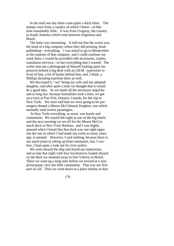In the mail one day there came quite a thick letter. The stamps were from a country of which I knew—at that time remarkably little. It was from Uruguay, the country in South America which rests between Argentina and Brazil.

 The letter was interesting. It told me that the writer was the head of a big company where they did printing, book publishing—everything. I was asked to go to Montevideo at the expense of that company, and I could continue my work there, I would be provided with secretaries, typists, translation services—in fact everything that I wanted. The writer sent me a photograph of himself looking quite impressive behind a big desk with an I.B.M. typewriter in front of him, a lot of books behind him, and, I think, a Phillips dictating machine there as well.

 We discussed it, "we" being my wife and our adopted daughter, and after quite a time we thought that it would be a good idea. So we made all the necessary inquiries and at long last, because formalities took a time, we got on a train at Fort Erie, Ontario, Canada, for the trip to New York. We were told that we were going to be passengers aboard a Moore McColmack freighter, one which normally took twelve passengers.

 In New York everything, as usual, was bustle and commotion. We stayed the night at one of the big hotels and the next morning we set off for the Moore McCormack dock in New York Harbour, and I was highly amused when I found that that dock was one right opposite the one to which I had made my swim so many years ago, it seemed. However, I said nothing, because there is not much point in raking up bitter memories, but, I confess, I kept quite a look out for river police.

 We went aboard the ship and found our staterooms, and so late that night with four locomotives loaded aboard on the deck we steamed away to first Vittoria in Brazil. There we went up a long inlet before we arrived at a very picturesque, very hot little community. That was our first port of call. Then we went down to a place nearby so that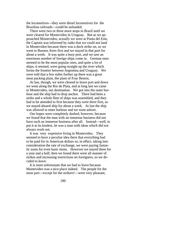the locomotives—they were diesel locomotives for the Brazilian railroads—could be unloaded.

 There were two or three more stops in Brazil until we were cleared for Montevideo in Uruguay. But as we approached Montevideo, actually we were at Punta del Este, the Captain was informed by radio that we could not land in Montevideo because there was a dock strike on, so we went to Buenos Aires first and we stayed in that port for about a week. It was quite a busy port, and we saw an enormous number of foreign ships come in. German ones seemed to be the most popular ones, and quite a lot of ships, it seemed, were going straight up the river which forms the frontier between Argentina and Uruguay. We were told that a few miles further up there was a great meat packing plant, the plant of Fray Bentos.

 At last, though, we were cleared to leave port and down we went along the Rio de Plata, and at long last we came to Montevideo, our destination. We got into the outer harbour and the ship had to drop anchor. There had been a strike and a whole fleet of ships was assembled, and they had to be attended to first because they were there first, so we stayed aboard ship for about a week. At last the ship was allowed to enter harbour and we went ashore.

 Our hopes were completely dashed, however, because we found that the man with an immense business did not have such an immense business after all. Instead—well, to put it at its kindest, he was a man with ideas which did not always work out.

 It was very expensive living in Montevideo. They seemed to have a peculiar idea there that everything had to be paid for in American dollars so, in effect, taking into consideration the rate of exchange, we were paying fantastic sums for even basic items. However we stayed there for a year and a half, then we found there were all manner of strikes and increasing restrictions on foreigners, so we decided to leave.

 It is most unfortunate that we had to leave because Montevideo was a nice place indeed. The people for the most part—except for the strikers!—were very pleasant,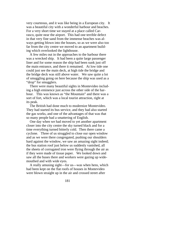very courteous, and it was like being in a European city. It was a beautiful city with a wonderful harbour and beaches. For a very short time we stayed at a place called Carrasco, quite near the airport. This had one terrible defect in that very fine sand from the immense beaches was always getting blown into the houses, so as we were also too far from the city centre we moved to an apartment building which overlooked the lighthouse.

 A few miles out in the approaches to the harbour there was a wrecked ship. It had been a quite large passenger liner and for some reason the ship had been sunk just off the main entrance, and there it remained. At low tide one could just see the main deck, at high tide the bridge and the bridge deck was still above water. We saw quite a lot of smuggling going on here because the ship was used as a "drop" for smugglers.

 There were many beautiful sights in Montevideo including a high eminence just across the other side of the harbour. This was known as "the Mountain" and there was a sort of fort, which was a local tourist attraction, right at its peak.

 The British had done much to modernize Montevideo. They had started its bus service, and they had also started the gas works, and one of the advantages of that was that so many people had a smattering of English.

 One day when we had moved to yet another apartment closer into the city centre the sky turned black and for a time everything turned bitterly cold. Then there came a cyclone. Three of us struggled to close our open window and as we were there congregated, pushing our shoulders hard against the window, we saw an amazing sight indeed; the bus station roof just below us suddenly vanished, all the sheets of corrugated iron were flying through the air as if they were made of tissue paper. We looked down and saw all the buses there and workers were gazing up widemouthed and with wide eyes.

 A really amusing sight—for us—was when hens, which had been kept on the flat roofs of houses in Montevideo were blown straight up in the air and crossed street after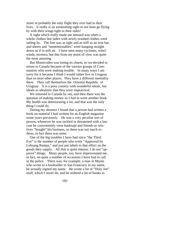street in probably the only flight they ever had in their lives. It really is an astonishing sight to see hens go flying by with their wings tight to their sides!

 A sight which really made me amused was when a whole clothes line laden with newly-washed clothes went sailing by. The line was as tight and as stiff as an iron bar, and sheets and "unmentionables" were hanging straight down as if in still air. I have seen many cyclones, whirlwinds, etcetera, but this from my point of view was quite the most amusing.

 But Montevideo was losing its charm, so we decided to return to Canada because of the various groups of Communists who were making trouble. In many ways I am sorry for it because I think I would rather live in Uruguay than in most other places. They have a different mentality there. They call themselves the Oriental Republic of Uruguay. It is a poor country with wonderful ideals, but ideals so idealistic that they were impractical.

 We returned to Canada by sea, and then there was the question of making money so I had to write another book. My health was deteriorating a lot, and that was the only thing I could do.

 During my absence I found that a person had written a book on material I had written for an English magazine some years previously. He was a very peculiar sort of person, whenever he was tackled or threatened with a law case he conveniently went bankrupt and friends or relatives "bought" his business, so there was not much redress, in fact there was none.

 One of the big troubles I have had since "the Third Eye" is the number of people who write "Approved by Lobsang Rampa," and just put labels to that effect on the goods they supply. All that is quite intense; I do not "approve" things. Many people, too, have impersonated me, in fact, on quite a number of occasions I have had to call in the police. There was, for example, a man in Miami who wrote to a bookseller in San Francisco in my name, he actually signed my name. He wrote a lot of "Holy Joe" stuff, which I never do, and he ordered a lot of books to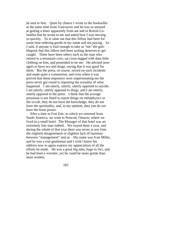be sent to him. Quite by chance I wrote to the bookseller at the same time from Vancouver and he was so amazed at getting a letter apparently from me and in British Columbia that he wrote to me and asked how I was moving so quickly. So it came out that this fellow had been for some time ordering goods in my name and not paying. As I said, if anyone is fool enough to take as "me" the gobblegook that this fellow had been writing deserves to get caught. There have been others such as the man who retired to a mountain cave, sat cross-legged with darn little clothing on him, and pretended to be me. He advised teenagers to have sex and drugs, saying that it was good for them. But the press, of course, seized on such incidents and made quite a commotion, and even when it was proved that these impostors were impersonating me the press never got round to reporting the actuality of what happened. I am utterly, utterly, utterly opposed to suicide. I am utterly, utterly opposed to drugs, and I am utterly, utterly opposed to the press. I think that the average pressman is not fitted to report things on metaphysics or the occult, they do not have the knowledge, they do not have the spirituality, and, in my opinion, they just do not have the brain power.

 After a time in Fort Erie, to which we returned from South America, we went to Prescott, Ontario, where we lived in a small hotel. The Manager of that hotel was an extremely fine man indeed. We stayed there a year, and during the whole of that year there was never at any time the slightest disagreement or slightest lack of harmony between "management" and us. His name was Ivan Miller, and he was a real gentleman and I wish I knew his address now to again express my appreciation of all the efforts he made. He was a great big man, huge in fact, and he had been a wrestler, yet he could be more gentle than most women.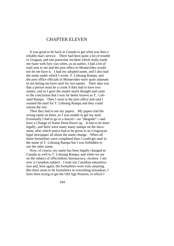## CHAPTER ELEVEN

 It was good to be back in Canada to get what was then a reliable mai1 service. There had been quite a lot of trouble in Uruguay and one particular incident which really made me foam with fury was when, as an author, I had a lot of mail sent to me and the post office in Montevideo would not let me have it. I had my adopted name, and I also had the name under which I wrote, T. Lobsang Rampa, and the post office officials in Montevideo were quite adamant in not letting me have mail for two names. Their idea was that a person must be a crook if they had to have two names, and so I gave the matter much thought and came to the conclusion that I was far better known as T. Lobsand Rampa. Then I went to the post office and said I wanted the mail for T. Lobsang Rampa and they could retrain the rest.

 Then they had to see my papers. My papers had the wrong name on them, so I was unable to get my mail. Eventually I had to go to a lawyer—an "abogado"—and have a Change of Name Deed drawn up. It had to be done legally, and there were many many stamps on the document, after which notice had to be given in an Uruguayan legal newspaper all about the name change. When all those formalities were completed then I could get mail in the name of T. Lobsang Rampa but I was forbidden to use the other name. .

 Now, of course, my name has been legally changed in Canada as well to T. Lobsang Rampa, and while we are on the subject of officialdom, bureaucracy, etcetera I am now a Canadian subject. I took out Canadian naturalization and, here again, the formalities were truly amazing. But there seem to be formalities in everything nowadays, I have been trying to get the Old Age Pension, to which I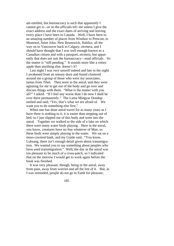am entitled, but bureaucracy is such that apparently I cannot get it—or so the officials tel1 me unless I give the exact address and the exact dates of arriving and leaving every place I have been in Canada. Well, I have been to an amazing number of places from Windsor to Prescott, to Montreal, Saint John, New Brunswick, Halifax, all the way on to Vancouver back to Calgary, etcetera, and I should have thought that I was well enough known as a Canadian citizen and with a passport, etcetera, but apparently that does not suit the bureaucracy—mad officials. So the matter is "still pending." It sounds more like a rotten apple than anything else, doesn't it?

 Last night I was very unwell indeed and late in the night I awakened from an uneasy doze and found clustered around me a group of those who were my associates, lamas from Tibet. They were in the astral, and they were agitating for me to get out of the body and go over and discuss things with them. "What is the matter with you all?" I asked. "If I feel any worse than I do now I shall be over there permanently." The Lama Mingyar Dondup smiled and said, "Yes, that's what we are afraid of. We want you to do something else first."

 When one has done astral travel for as many years as I have there is nothing to it, it is easier than stepping out of bed, so I just slipped out of this body and went into the astral. Together we walked to the side of a lake on which there were many water birds playing. Here in the astral, you know, creatures have no fear whatever of Man, so these birds were simply playing in the water. We sat on a moss-covered bank, and my Guide said, "You know, Lobsang, there isn't enough detail given about transmigration. We wanted you to say something about peoples who have used transmigration." Well, the day in the astral was too pleasant to be much of a cross-patch, so I indicated that on the morrow I would get to work again before the book was finished.

 It was very pleasant, though, being in the astral, away from pain, away from worries and all the lest of it. But, as I was reminded, people do not go to Earth for pleasure,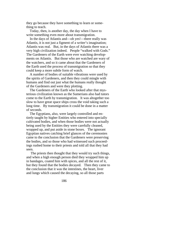they go because they have something to learn or something to teach.

 Today, then, is another day, the day when I have to write something even more about transmigration.

 In the days of Atlantis and—oh yes!—there really was Atlantis, it is not just a figment of a writer's imagination; Atlantis was real. But, in the days of Atlantis there was a very high civilization indeed. People "walked with Gods." The Gardeners of the Earth were ever watching developments on Atlantis. But those who are watched are wary of the watchers, and so it came about that the Gardeners of the Earth used the process of transmigration so that they could keep a more subtle form of watch.

 A number of bodies of suitable vibrations were used by the spirits of Gardeners, and then they could mingle with humans and find out just what the humans really thought of the Gardeners and were they plotting.

 The Gardeners of the Earth who looked after that mysterious civilization known as the Sumerians also had tutors come to the Earth by transmigration. It was altogether too slow to have great space ships cross the void taking such a long time. By transmigration it could be done in a matter of seconds.

 The Egyptians, also, were largely controlled and entirely taught by higher Entities who entered into specially cultivated bodies, and when those bodies were not actually being used by the Entities they were carefully cleaned, wrapped up, and put aside in stone boxes. The ignorant Egyptian natives catching brief glances of the ceremonies came to the conclusion that the Gardeners were preserving the bodies, and so those who had witnessed such proceedings rushed home to their priests and told all that they had seen.

 The priests then thought that they would try such things, and when a high enough person died they wrapped him up in bandages, coated him with spices, and all the rest of it, but they found that the bodies decayed. Then they came to the conclusion that it was the intestines, the heart, liver and lungs which caused the decaying, so all those parts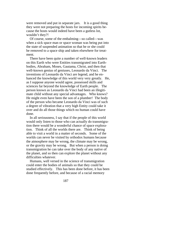were removed and put in separate jars. It is a good thing they were not preparing the hosts for incoming spirits because the hosts would indeed have been a gutless lot, wouldn't they?!

 Of course, some of the embalming—so called—was when a sick space man or space woman was being put into the state of suspended animation so that he or she could be removed to a space ship and taken elsewhere for treatment.

 There have been quite a number of well-known leaders on this Earth who were Entities transmigrated into Earthbodies, Abraham, Moses, Gautama, Christ, and then that well-known genius of geniuses, Leonardo da Vinci. The inventions of Leonardo da Vinci are legend, and he enhanced the knowledge of this world very very greatly. He, as I suppose anyone would agree, possessed skills and sciences far beyond the knowledge of Earth people. The person known as Leonardo da Vinci had been an illegitimate child without any special advantages. Who knows? He might even have been the son of a plumber! The body of the person who became Leonardo da Vinci was of such a degree of vibration that a very high Entity could take it over and do all those things which no human could have done.

 In all seriousness, I say that if the people of this world would only listen to those who can actually do transmigration there would be a wonderful chance of space exploration. Think of all the worlds there are. Think of being able to visit a world in a matter of seconds. Some of the worlds can never be visited by orthodox humans because the atmosphere may be wrong, the climate may be wrong, or the gravity may be wrong. But when a person is doing transmigration he can take over the body of any native of the planet, and so then can explore the planet without any difficulties whatever.

 Humans, well versed in the science of transmigration could enter the bodies of animals so that they could be studied effectively. This has been done before, it has been done frequently before, and because of a racial memory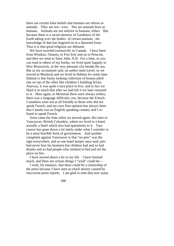there are certain false beliefs that humans are reborn as animals. They are not—ever. Nor are animals born as humans. Animals are not inferior to humans, either. But because there is a racial memory of Gardeners of the Earth taking over the bodies of certain animals, the knowledge of that has lingered on in a distorted form. Thus it is that good religions are debased.

We have traveled extensively in Canada. I have been from Windsor, Ontario, to Fort Erie and on to Prescott, and then we went to Saint John, N.B. For a time, as you can read in others of my books, we lived quite happily in New Brunswick, in the very pleasant city beside the sea. But as my accountant said, an author must travel, so we moved to Montreal and we lived in Habitat for some time. Habitat is that funny looking collection of houses piled one on top of the other like children's building bricks. Anyway, it was quite a nice place to live, and in fact we liked it so much that after we had left it we later returned to it. Here again, in Montreal there were always strikes, there was a language difficulty, too, because the French-Canadians were not at all friendly to those who did not speak French, and my own firm opinion has always been that Canada was an English speaking country and I refused to speak French.

 Soon came the time when we moved again, this time to Vancouver, British Columbia, where we lived in a hotel, actually a hotel which also had apartments to it. Vancouver has gone down a lot lately under what I consider to be a most horrible form of government. And another complaint against Vancouver is that "no pets" was the sign everywhere, and as one hotel keeper once said, pets had never hurt his business but children had and so had drunks and so had people who smoked in bed and set the place on fire.

 I have moved about a lot in my life. I have learned much, and there are certain things I "wish" could be—

 I wish, for instance, that there could be a censorship of the press because I have seen so much misery caused by inaccurate press reports. I am glad to note that now many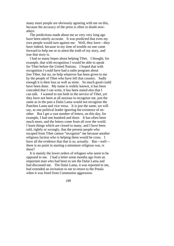many more people are obviously agreeing with me on this. because the accuracy of the press is often in doubt nowadays.

 The predictions made about me so very very long ago have been utterly accurate. It was predicted that even my own people would turn against me. Well, they have—they have indeed, because in my time of trouble no one came forward to help me or to attest the truth of my story, and true that story is.

 I had so many hopes about helping Tibet. I thought, for example, that with recognition I would be able to speak for Tibet before the United Nations. I hoped that with recognition I could have had a radio program about free Tibet, but no, no help whatever has been given to me by the people of Tibet who have left that country. Sadly enough it is their loss as well as mine. So much good could have been done. My name is widely known, it has been conceded that I can write, it has been stated also that I can talk. I wanted to use both in the service of Tibet, yet they have not been at all anxious to recognize me, just the same as in the past a Dalai Lama would not recognize the Panchen Lama and vice versa. It is just the same, we will say, as one political leader ignoring the existence of another. But I get a vast number of letters, on this day, for example, I had one hundred and three. It has often been much more, and the letters come from all over the world. I learn things which are closed to many, and I have been told, rightly or wrongly, that the present people who escaped from Tibet cannot "recognize" me because another religious faction who is helping them would be cross. I have all the evidence that that is so, actually. But—well there is no point in starting a miniature religious war, is there?

 It is mainly the lower orders of refugees who seem to be opposed to me. I had a letter some months ago from an important man who had been to see the Dalai Lama and had discussed me. The Dalai Lama, it was reported to me, had extended an invitation to me to return to the Potala when it was freed from Communist aggression.

189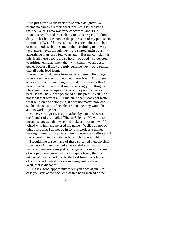And just a few weeks back our adopted daughter (we "name no names," remember?) received a letter saying that the Dalai Lama was very concerned about Dr. Rampa's health, and the Dalai Lama was praying for him daily. That letter is now in the possession of my publishers.

 Another "wish" I have is this; there are quite a number of occult bodies about, some of them claiming to be very very ancient even though they were started again by an advertising man just a few years ago. But my complaint is this; if all these people are so holy—so good—so devoted to spiritual enlightenment then why cannot we all get together because if they are truly genuine they would realize that all paths lead Home.

 A number of students from some of these cult-colleges have asked me why I did not get in touch with Group soand-so or Group something else, and the answer is that I have done, and I have had some shockingly insulting replies from these groups all because they are jealous or because they have been poisoned by the press. Well, I do not see it that way at all. I maintain that it does not matter what religion one belongs to, it does not matter how one studies the occult. If people are genuine they would be able to work together.

 Some years ago I was approached by a man who was the founder of a so-called Tibetan Science. He wrote to me and suggested that we could make a lot of money if I joined with him and he used my name. Well, I do not do things like that, I do not go in for this work as a moneymaking gimmick. My beliefs are my everyday beliefs and I live according to the code under which I was taught.

 I would like to see many of these so-called metaphysical societies or Orders licensed after careful examination. So many of them are fakes just out to gather money. I know of one particular group who admit quite freely that they take what they consider to be the best from a whole load of writers and hash it up as something quite different. Well, that is dishonest.

 This is a good opportunity to tell you once again—in case you start at the back end of this book instead of the

190